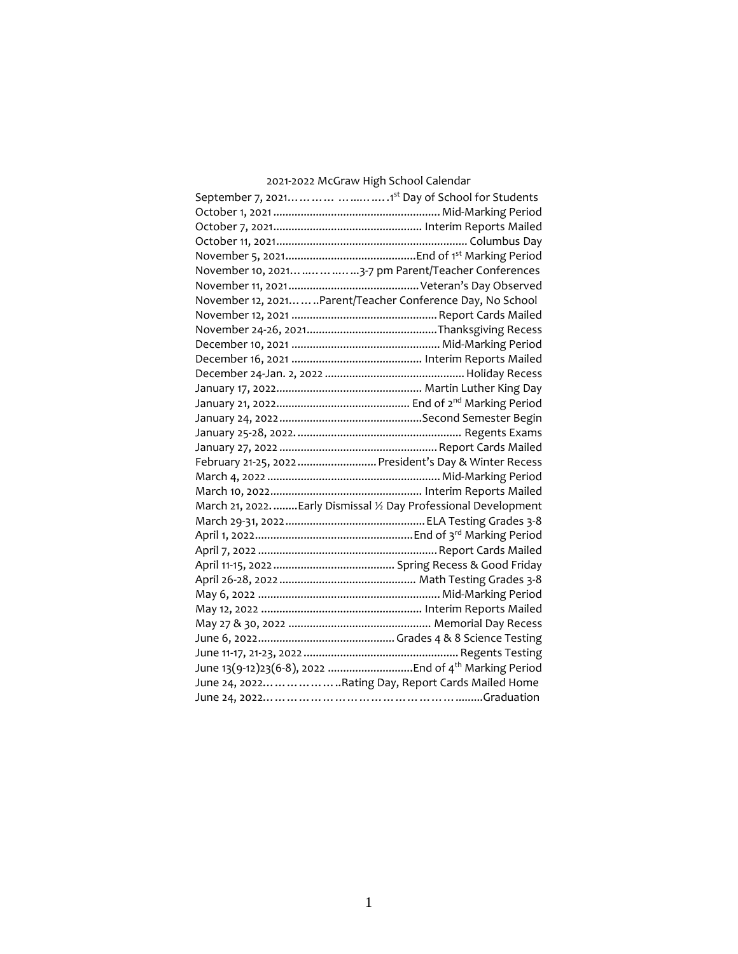# 2021-2022 McGraw High School Calendar

| November 10, 2021     3-7 pm Parent/Teacher Conferences           |
|-------------------------------------------------------------------|
|                                                                   |
| November 12, 2021Parent/Teacher Conference Day, No School         |
|                                                                   |
|                                                                   |
|                                                                   |
|                                                                   |
|                                                                   |
|                                                                   |
|                                                                   |
|                                                                   |
|                                                                   |
|                                                                   |
| February 21-25, 2022  President's Day & Winter Recess             |
|                                                                   |
|                                                                   |
| March 21, 2022.  Early Dismissal 1/2 Day Professional Development |
|                                                                   |
|                                                                   |
|                                                                   |
|                                                                   |
|                                                                   |
|                                                                   |
|                                                                   |
|                                                                   |
|                                                                   |
|                                                                   |
|                                                                   |
| June 24, 2022Rating Day, Report Cards Mailed Home                 |
|                                                                   |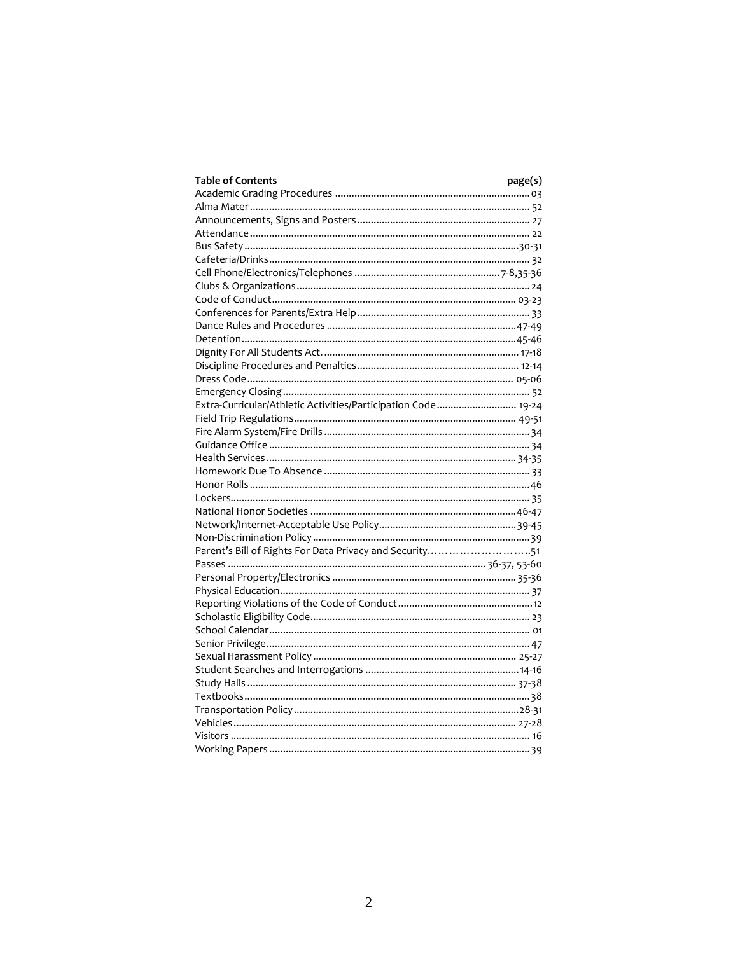| <b>Table of Contents</b>                                      | page(s) |
|---------------------------------------------------------------|---------|
|                                                               |         |
|                                                               |         |
|                                                               |         |
|                                                               |         |
|                                                               |         |
|                                                               |         |
|                                                               |         |
|                                                               |         |
|                                                               |         |
|                                                               |         |
|                                                               |         |
|                                                               |         |
|                                                               |         |
|                                                               |         |
|                                                               |         |
|                                                               |         |
| Extra-Curricular/Athletic Activities/Participation Code 19-24 |         |
|                                                               |         |
|                                                               |         |
|                                                               |         |
|                                                               |         |
|                                                               |         |
|                                                               |         |
|                                                               |         |
|                                                               |         |
|                                                               |         |
|                                                               |         |
| Parent's Bill of Rights For Data Privacy and Security51       |         |
|                                                               |         |
|                                                               |         |
|                                                               |         |
|                                                               |         |
|                                                               |         |
|                                                               |         |
|                                                               |         |
|                                                               |         |
|                                                               |         |
|                                                               |         |
|                                                               |         |
|                                                               |         |
|                                                               |         |
|                                                               |         |
|                                                               |         |
|                                                               |         |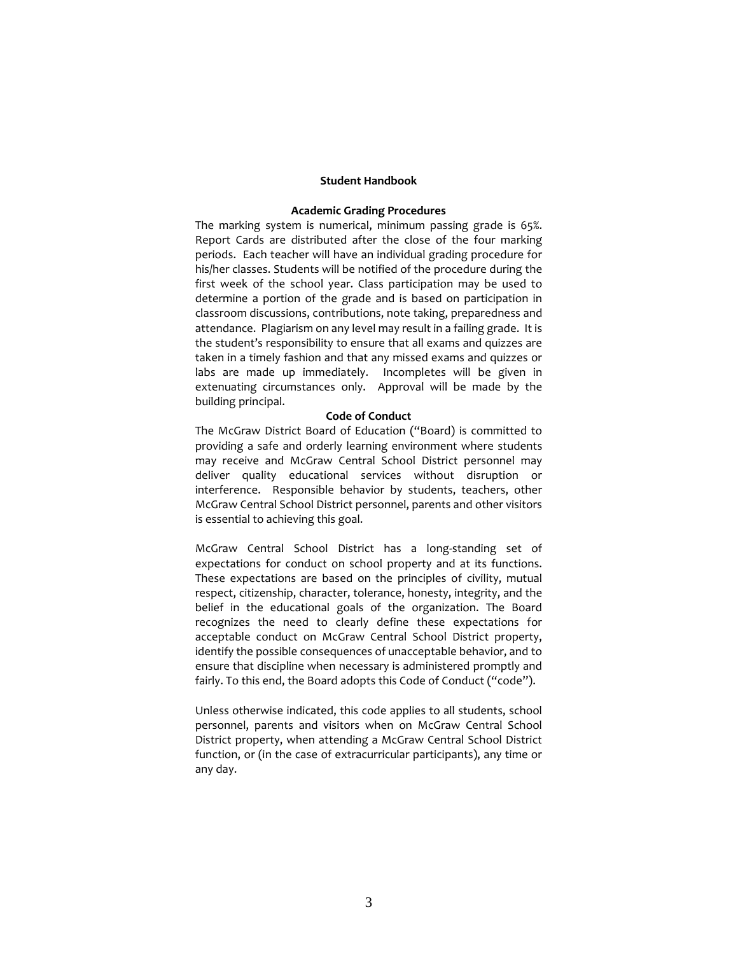#### **Student Handbook**

#### **Academic Grading Procedures**

The marking system is numerical, minimum passing grade is 65%. Report Cards are distributed after the close of the four marking periods. Each teacher will have an individual grading procedure for his/her classes. Students will be notified of the procedure during the first week of the school year. Class participation may be used to determine a portion of the grade and is based on participation in classroom discussions, contributions, note taking, preparedness and attendance. Plagiarism on any level may result in a failing grade. It is the student's responsibility to ensure that all exams and quizzes are taken in a timely fashion and that any missed exams and quizzes or labs are made up immediately. Incompletes will be given in extenuating circumstances only. Approval will be made by the building principal.

#### **Code of Conduct**

The McGraw District Board of Education ("Board) is committed to providing a safe and orderly learning environment where students may receive and McGraw Central School District personnel may deliver quality educational services without disruption or interference. Responsible behavior by students, teachers, other McGraw Central School District personnel, parents and other visitors is essential to achieving this goal.

McGraw Central School District has a long-standing set of expectations for conduct on school property and at its functions. These expectations are based on the principles of civility, mutual respect, citizenship, character, tolerance, honesty, integrity, and the belief in the educational goals of the organization. The Board recognizes the need to clearly define these expectations for acceptable conduct on McGraw Central School District property, identify the possible consequences of unacceptable behavior, and to ensure that discipline when necessary is administered promptly and fairly. To this end, the Board adopts this Code of Conduct ("code").

Unless otherwise indicated, this code applies to all students, school personnel, parents and visitors when on McGraw Central School District property, when attending a McGraw Central School District function, or (in the case of extracurricular participants), any time or any day.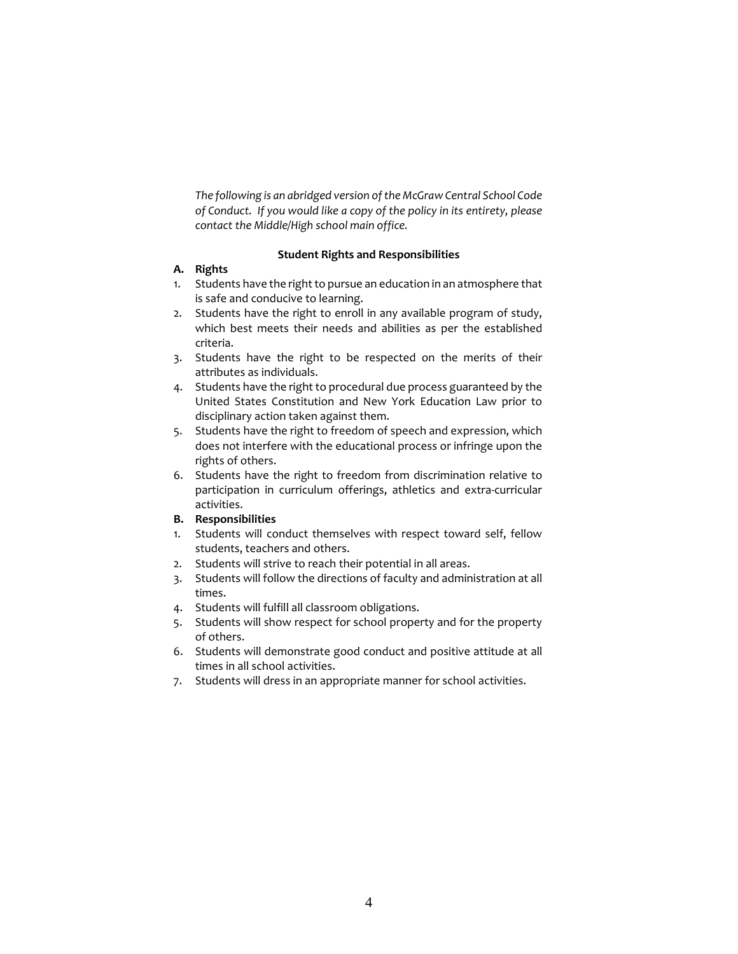*The following is an abridged version of the McGraw Central School Code of Conduct. If you would like a copy of the policy in its entirety, please contact the Middle/High school main office.*

# **Student Rights and Responsibilities**

# **A. Rights**

- 1. Students have the right to pursue an education in an atmosphere that is safe and conducive to learning.
- 2. Students have the right to enroll in any available program of study, which best meets their needs and abilities as per the established criteria.
- 3. Students have the right to be respected on the merits of their attributes as individuals.
- 4. Students have the right to procedural due process guaranteed by the United States Constitution and New York Education Law prior to disciplinary action taken against them.
- 5. Students have the right to freedom of speech and expression, which does not interfere with the educational process or infringe upon the rights of others.
- 6. Students have the right to freedom from discrimination relative to participation in curriculum offerings, athletics and extra-curricular activities.
- **B. Responsibilities**
- 1. Students will conduct themselves with respect toward self, fellow students, teachers and others.
- 2. Students will strive to reach their potential in all areas.
- 3. Students will follow the directions of faculty and administration at all times.
- 4. Students will fulfill all classroom obligations.
- 5. Students will show respect for school property and for the property of others.
- 6. Students will demonstrate good conduct and positive attitude at all times in all school activities.
- 7. Students will dress in an appropriate manner for school activities.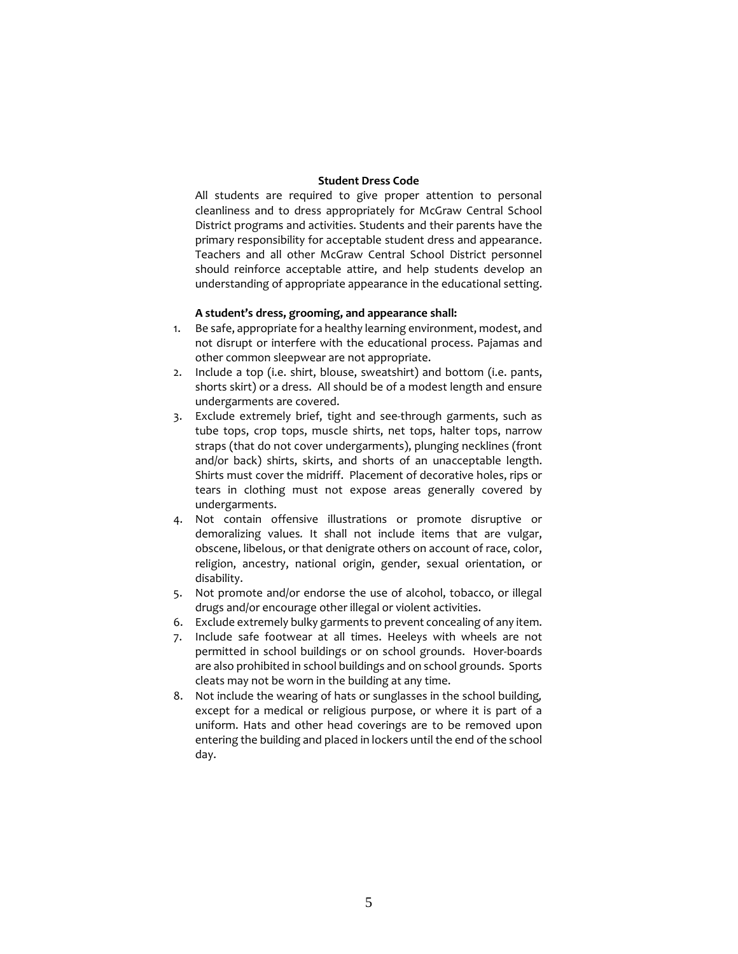### **Student Dress Code**

All students are required to give proper attention to personal cleanliness and to dress appropriately for McGraw Central School District programs and activities. Students and their parents have the primary responsibility for acceptable student dress and appearance. Teachers and all other McGraw Central School District personnel should reinforce acceptable attire, and help students develop an understanding of appropriate appearance in the educational setting.

### **A student's dress, grooming, and appearance shall:**

- 1. Be safe, appropriate for a healthy learning environment, modest, and not disrupt or interfere with the educational process. Pajamas and other common sleepwear are not appropriate.
- 2. Include a top (i.e. shirt, blouse, sweatshirt) and bottom (i.e. pants, shorts skirt) or a dress. All should be of a modest length and ensure undergarments are covered.
- 3. Exclude extremely brief, tight and see-through garments, such as tube tops, crop tops, muscle shirts, net tops, halter tops, narrow straps (that do not cover undergarments), plunging necklines (front and/or back) shirts, skirts, and shorts of an unacceptable length. Shirts must cover the midriff. Placement of decorative holes, rips or tears in clothing must not expose areas generally covered by undergarments.
- 4. Not contain offensive illustrations or promote disruptive or demoralizing values*.* It shall not include items that are vulgar, obscene, libelous, or that denigrate others on account of race, color, religion, ancestry, national origin, gender, sexual orientation, or disability.
- 5. Not promote and/or endorse the use of alcohol, tobacco, or illegal drugs and/or encourage other illegal or violent activities.
- 6. Exclude extremely bulky garments to prevent concealing of any item.
- 7. Include safe footwear at all times. Heeleys with wheels are not permitted in school buildings or on school grounds. Hover-boards are also prohibited in school buildings and on school grounds. Sports cleats may not be worn in the building at any time.
- 8. Not include the wearing of hats or sunglasses in the school building*,* except for a medical or religious purpose, or where it is part of a uniform. Hats and other head coverings are to be removed upon entering the building and placed in lockers until the end of the school day.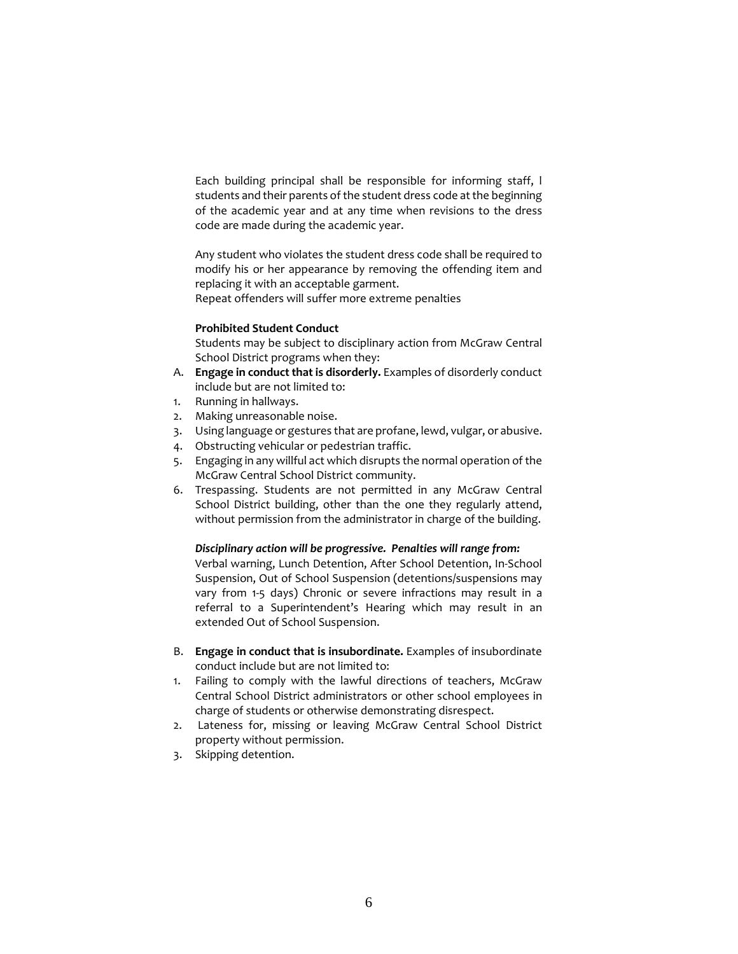Each building principal shall be responsible for informing staff, l students and their parents of the student dress code at the beginning of the academic year and at any time when revisions to the dress code are made during the academic year.

Any student who violates the student dress code shall be required to modify his or her appearance by removing the offending item and replacing it with an acceptable garment.

Repeat offenders will suffer more extreme penalties

### **Prohibited Student Conduct**

Students may be subject to disciplinary action from McGraw Central School District programs when they:

- A. **Engage in conduct that is disorderly.** Examples of disorderly conduct include but are not limited to:
- 1. Running in hallways.
- 2. Making unreasonable noise.
- 3. Using language or gestures that are profane, lewd, vulgar, or abusive.
- 4. Obstructing vehicular or pedestrian traffic.
- 5. Engaging in any willful act which disrupts the normal operation of the McGraw Central School District community.
- 6. Trespassing. Students are not permitted in any McGraw Central School District building, other than the one they regularly attend, without permission from the administrator in charge of the building.

# *Disciplinary action will be progressive. Penalties will range from:*

Verbal warning, Lunch Detention, After School Detention, In-School Suspension, Out of School Suspension (detentions/suspensions may vary from 1-5 days) Chronic or severe infractions may result in a referral to a Superintendent's Hearing which may result in an extended Out of School Suspension.

- B. **Engage in conduct that is insubordinate.** Examples of insubordinate conduct include but are not limited to:
- 1. Failing to comply with the lawful directions of teachers, McGraw Central School District administrators or other school employees in charge of students or otherwise demonstrating disrespect.
- 2. Lateness for, missing or leaving McGraw Central School District property without permission.
- 3. Skipping detention.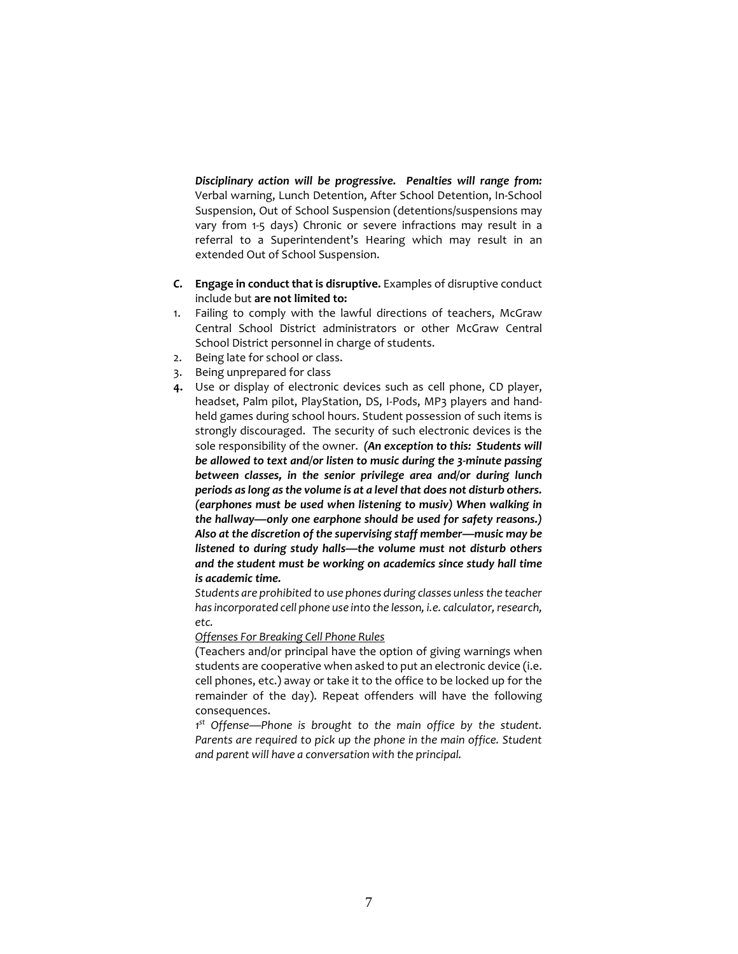*Disciplinary action will be progressive. Penalties will range from:*  Verbal warning, Lunch Detention, After School Detention, In-School Suspension, Out of School Suspension (detentions/suspensions may vary from 1-5 days) Chronic or severe infractions may result in a referral to a Superintendent's Hearing which may result in an extended Out of School Suspension.

- *C.* **Engage in conduct that is disruptive.** Examples of disruptive conduct include but **are not limited to:**
- 1. Failing to comply with the lawful directions of teachers, McGraw Central School District administrators or other McGraw Central School District personnel in charge of students.
- 2. Being late for school or class.
- 3. Being unprepared for class
- **4.** Use or display of electronic devices such as cell phone, CD player, headset, Palm pilot, PlayStation, DS, I-Pods, MP3 players and handheld games during school hours. Student possession of such items is strongly discouraged. The security of such electronic devices is the sole responsibility of the owner. *(An exception to this: Students will be allowed to text and/or listen to music during the 3-minute passing between classes, in the senior privilege area and/or during lunch periods as long as the volume is at a level that does not disturb others. (earphones must be used when listening to musiv) When walking in the hallway—only one earphone should be used for safety reasons.) Also at the discretion of the supervising staff member—music may be listened to during study halls—the volume must not disturb others and the student must be working on academics since study hall time is academic time.*

*Students are prohibited to use phones during classes unless the teacher has incorporated cell phone use into the lesson, i.e. calculator, research, etc.* 

*Offenses For Breaking Cell Phone Rules*

(Teachers and/or principal have the option of giving warnings when students are cooperative when asked to put an electronic device (i.e. cell phones, etc.) away or take it to the office to be locked up for the remainder of the day). Repeat offenders will have the following consequences.

*1 st Offense—Phone is brought to the main office by the student.*  Parents are required to pick up the phone in the main office. Student *and parent will have a conversation with the principal.*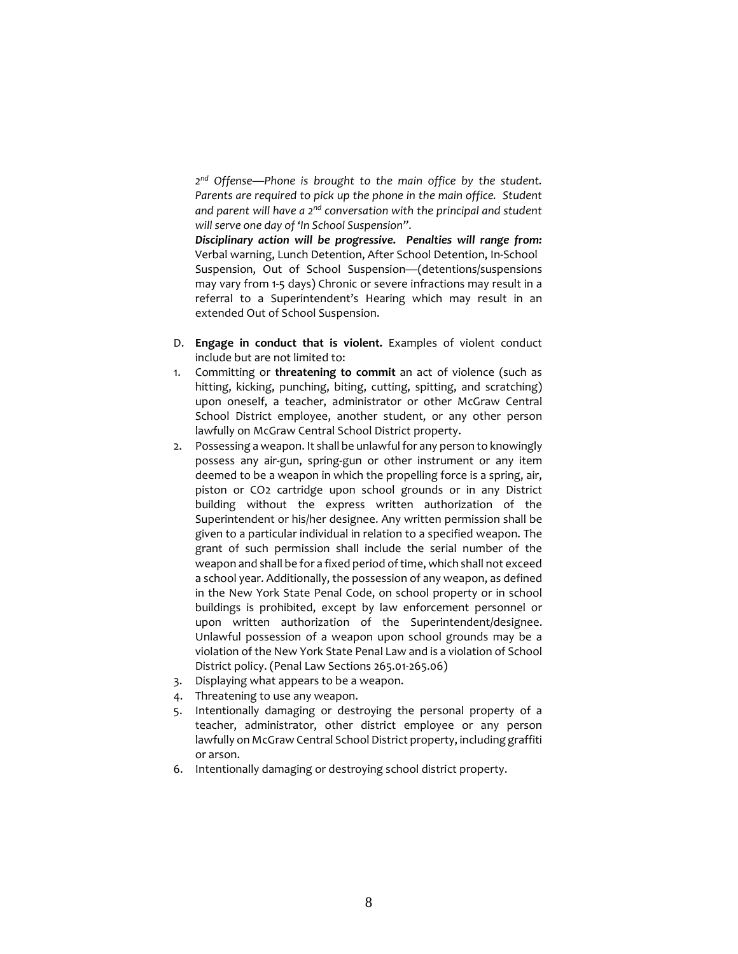*2nd Offense—Phone is brought to the main office by the student. Parents are required to pick up the phone in the main office. Student and parent will have a 2nd conversation with the principal and student will serve one day of 'In School Suspension".*

*Disciplinary action will be progressive. Penalties will range from:*  Verbal warning, Lunch Detention, After School Detention, In-School Suspension, Out of School Suspension—(detentions/suspensions may vary from 1-5 days) Chronic or severe infractions may result in a referral to a Superintendent's Hearing which may result in an extended Out of School Suspension.

- D. **Engage in conduct that is violent.** Examples of violent conduct include but are not limited to:
- 1. Committing or **threatening to commit** an act of violence (such as hitting, kicking, punching, biting, cutting, spitting, and scratching) upon oneself, a teacher, administrator or other McGraw Central School District employee, another student, or any other person lawfully on McGraw Central School District property.
- 2. Possessing a weapon. It shall be unlawful for any person to knowingly possess any air-gun, spring-gun or other instrument or any item deemed to be a weapon in which the propelling force is a spring, air, piston or CO2 cartridge upon school grounds or in any District building without the express written authorization of the Superintendent or his/her designee. Any written permission shall be given to a particular individual in relation to a specified weapon. The grant of such permission shall include the serial number of the weapon and shall be for a fixed period of time, which shall not exceed a school year. Additionally, the possession of any weapon, as defined in the New York State Penal Code, on school property or in school buildings is prohibited, except by law enforcement personnel or upon written authorization of the Superintendent/designee. Unlawful possession of a weapon upon school grounds may be a violation of the New York State Penal Law and is a violation of School District policy. (Penal Law Sections 265.01-265.06)
- 3. Displaying what appears to be a weapon.
- 4. Threatening to use any weapon.
- 5. Intentionally damaging or destroying the personal property of a teacher, administrator, other district employee or any person lawfully on McGraw Central School District property, including graffiti or arson.
- 6. Intentionally damaging or destroying school district property.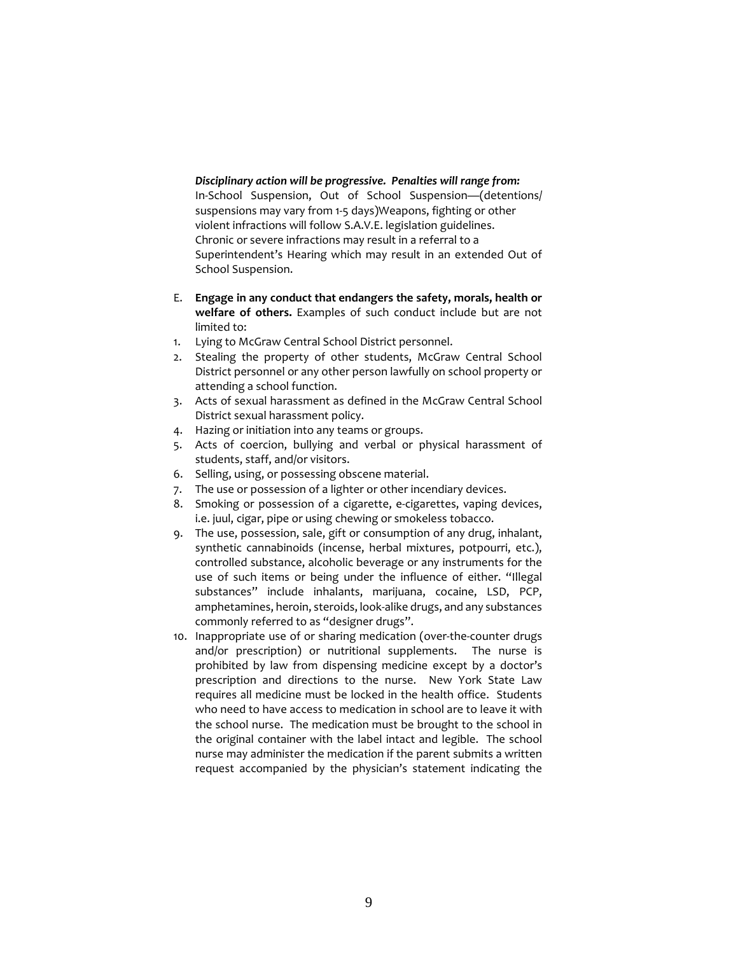*Disciplinary action will be progressive. Penalties will range from:* In-School Suspension, Out of School Suspension—(detentions/ suspensions may vary from 1-5 days)Weapons, fighting or other violent infractions will follow S.A.V.E. legislation guidelines. Chronic or severe infractions may result in a referral to a Superintendent's Hearing which may result in an extended Out of School Suspension.

- E. **Engage in any conduct that endangers the safety, morals, health or welfare of others.** Examples of such conduct include but are not limited to:
- 1. Lying to McGraw Central School District personnel.
- 2. Stealing the property of other students, McGraw Central School District personnel or any other person lawfully on school property or attending a school function.
- 3. Acts of sexual harassment as defined in the McGraw Central School District sexual harassment policy.
- 4. Hazing or initiation into any teams or groups.
- 5. Acts of coercion, bullying and verbal or physical harassment of students, staff, and/or visitors.
- 6. Selling, using, or possessing obscene material.
- 7. The use or possession of a lighter or other incendiary devices.
- 8. Smoking or possession of a cigarette, e-cigarettes, vaping devices, i.e. juul, cigar, pipe or using chewing or smokeless tobacco.
- 9. The use, possession, sale, gift or consumption of any drug, inhalant, synthetic cannabinoids (incense, herbal mixtures, potpourri, etc.), controlled substance, alcoholic beverage or any instruments for the use of such items or being under the influence of either. "Illegal substances" include inhalants, marijuana, cocaine, LSD, PCP, amphetamines, heroin, steroids, look-alike drugs, and any substances commonly referred to as "designer drugs".
- 10. Inappropriate use of or sharing medication (over-the-counter drugs and/or prescription) or nutritional supplements. The nurse is prohibited by law from dispensing medicine except by a doctor's prescription and directions to the nurse. New York State Law requires all medicine must be locked in the health office. Students who need to have access to medication in school are to leave it with the school nurse. The medication must be brought to the school in the original container with the label intact and legible. The school nurse may administer the medication if the parent submits a written request accompanied by the physician's statement indicating the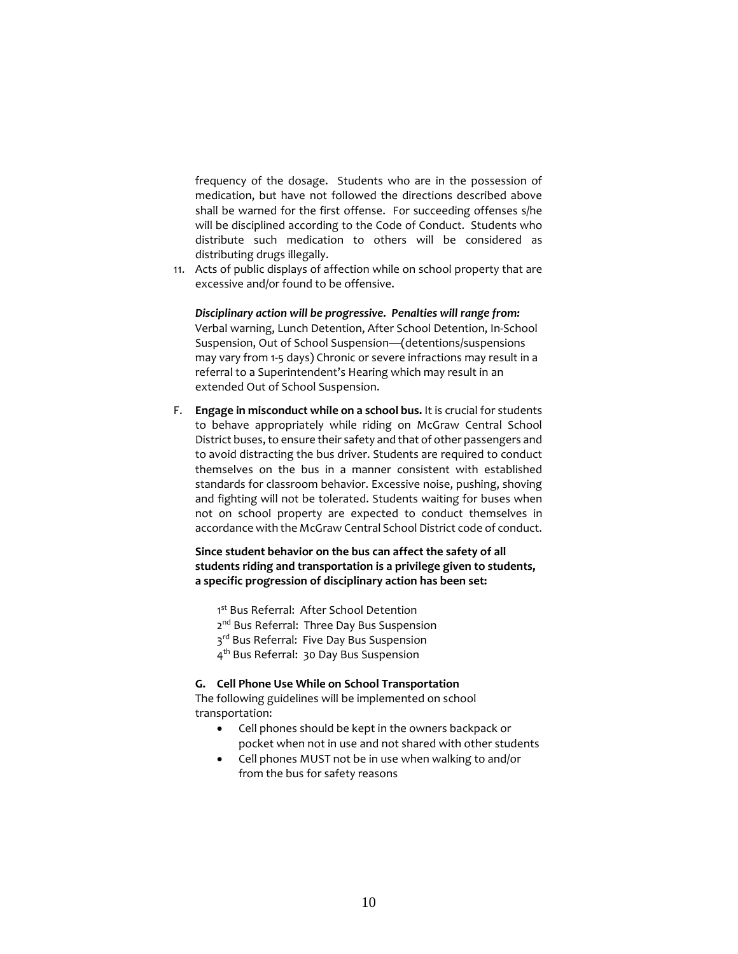frequency of the dosage. Students who are in the possession of medication, but have not followed the directions described above shall be warned for the first offense. For succeeding offenses s/he will be disciplined according to the Code of Conduct. Students who distribute such medication to others will be considered as distributing drugs illegally.

11. Acts of public displays of affection while on school property that are excessive and/or found to be offensive.

# *Disciplinary action will be progressive. Penalties will range from:*

Verbal warning, Lunch Detention, After School Detention, In-School Suspension, Out of School Suspension—(detentions/suspensions may vary from 1-5 days) Chronic or severe infractions may result in a referral to a Superintendent's Hearing which may result in an extended Out of School Suspension.

F. **Engage in misconduct while on a school bus.** It is crucial for students to behave appropriately while riding on McGraw Central School District buses, to ensure their safety and that of other passengers and to avoid distracting the bus driver. Students are required to conduct themselves on the bus in a manner consistent with established standards for classroom behavior. Excessive noise, pushing, shoving and fighting will not be tolerated. Students waiting for buses when not on school property are expected to conduct themselves in accordance with the McGraw Central School District code of conduct.

# **Since student behavior on the bus can affect the safety of all students riding and transportation is a privilege given to students, a specific progression of disciplinary action has been set:**

1<sup>st</sup> Bus Referral: After School Detention 2<sup>nd</sup> Bus Referral: Three Day Bus Suspension 3rd Bus Referral: Five Day Bus Suspension 4th Bus Referral: 30 Day Bus Suspension

#### **G. Cell Phone Use While on School Transportation**

The following guidelines will be implemented on school transportation:

- Cell phones should be kept in the owners backpack or pocket when not in use and not shared with other students
- Cell phones MUST not be in use when walking to and/or from the bus for safety reasons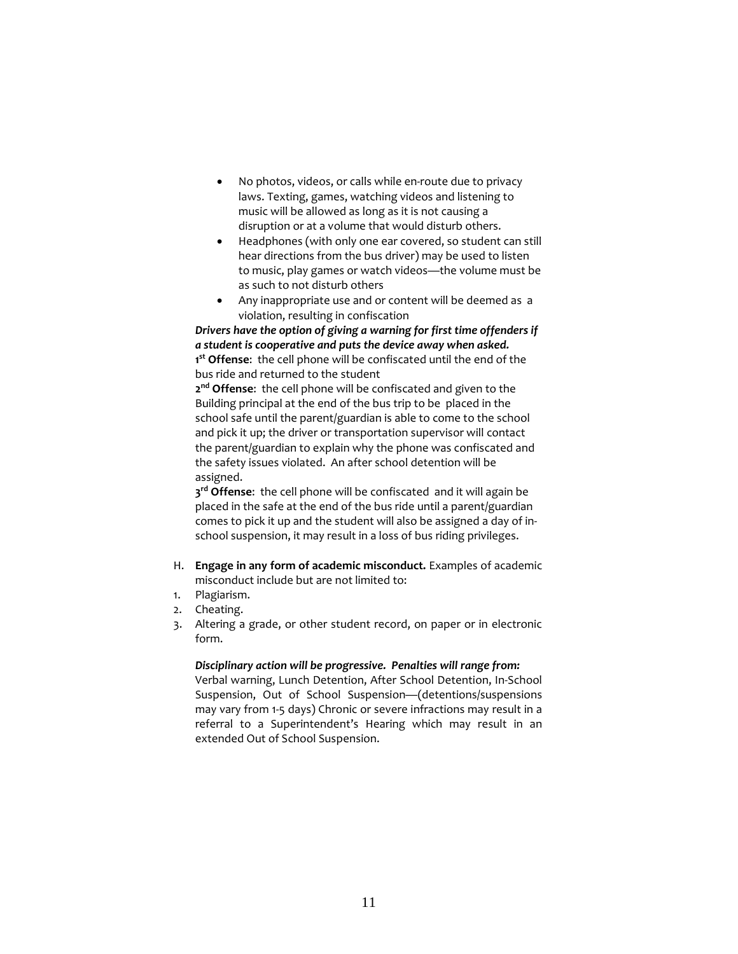- No photos, videos, or calls while en-route due to privacy laws. Texting, games, watching videos and listening to music will be allowed as long as it is not causing a disruption or at a volume that would disturb others.
- Headphones (with only one ear covered, so student can still hear directions from the bus driver) may be used to listen to music, play games or watch videos—the volume must be as such to not disturb others
- Any inappropriate use and or content will be deemed as a violation, resulting in confiscation

*Drivers have the option of giving a warning for first time offenders if a student is cooperative and puts the device away when asked.* **1 st Offense**: the cell phone will be confiscated until the end of the bus ride and returned to the student

**2nd Offense**: the cell phone will be confiscated and given to the Building principal at the end of the bus trip to be placed in the school safe until the parent/guardian is able to come to the school and pick it up; the driver or transportation supervisor will contact the parent/guardian to explain why the phone was confiscated and the safety issues violated. An after school detention will be assigned.

**3rd Offense**: the cell phone will be confiscated and it will again be placed in the safe at the end of the bus ride until a parent/guardian comes to pick it up and the student will also be assigned a day of inschool suspension, it may result in a loss of bus riding privileges.

- H. **Engage in any form of academic misconduct.** Examples of academic misconduct include but are not limited to:
- 1. Plagiarism.
- 2. Cheating.
- 3. Altering a grade, or other student record, on paper or in electronic form.

# *Disciplinary action will be progressive. Penalties will range from:*

Verbal warning, Lunch Detention, After School Detention, In-School Suspension, Out of School Suspension—(detentions/suspensions may vary from 1-5 days) Chronic or severe infractions may result in a referral to a Superintendent's Hearing which may result in an extended Out of School Suspension.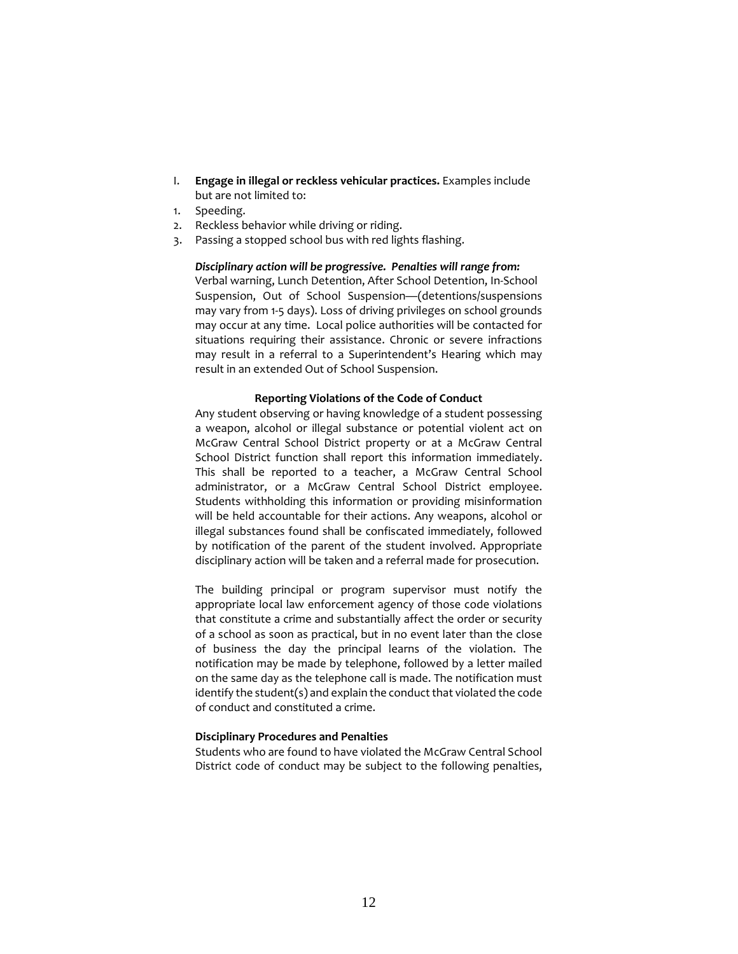- I. **Engage in illegal or reckless vehicular practices.** Examples include but are not limited to:
- 1. Speeding.
- 2. Reckless behavior while driving or riding.
- 3. Passing a stopped school bus with red lights flashing.

# *Disciplinary action will be progressive. Penalties will range from:*

Verbal warning, Lunch Detention, After School Detention, In-School Suspension, Out of School Suspension—(detentions/suspensions may vary from 1-5 days). Loss of driving privileges on school grounds may occur at any time. Local police authorities will be contacted for situations requiring their assistance. Chronic or severe infractions may result in a referral to a Superintendent's Hearing which may result in an extended Out of School Suspension.

# **Reporting Violations of the Code of Conduct**

Any student observing or having knowledge of a student possessing a weapon, alcohol or illegal substance or potential violent act on McGraw Central School District property or at a McGraw Central School District function shall report this information immediately. This shall be reported to a teacher, a McGraw Central School administrator, or a McGraw Central School District employee. Students withholding this information or providing misinformation will be held accountable for their actions. Any weapons, alcohol or illegal substances found shall be confiscated immediately, followed by notification of the parent of the student involved. Appropriate disciplinary action will be taken and a referral made for prosecution.

The building principal or program supervisor must notify the appropriate local law enforcement agency of those code violations that constitute a crime and substantially affect the order or security of a school as soon as practical, but in no event later than the close of business the day the principal learns of the violation. The notification may be made by telephone, followed by a letter mailed on the same day as the telephone call is made. The notification must identify the student(s) and explain the conduct that violated the code of conduct and constituted a crime.

# **Disciplinary Procedures and Penalties**

Students who are found to have violated the McGraw Central School District code of conduct may be subject to the following penalties,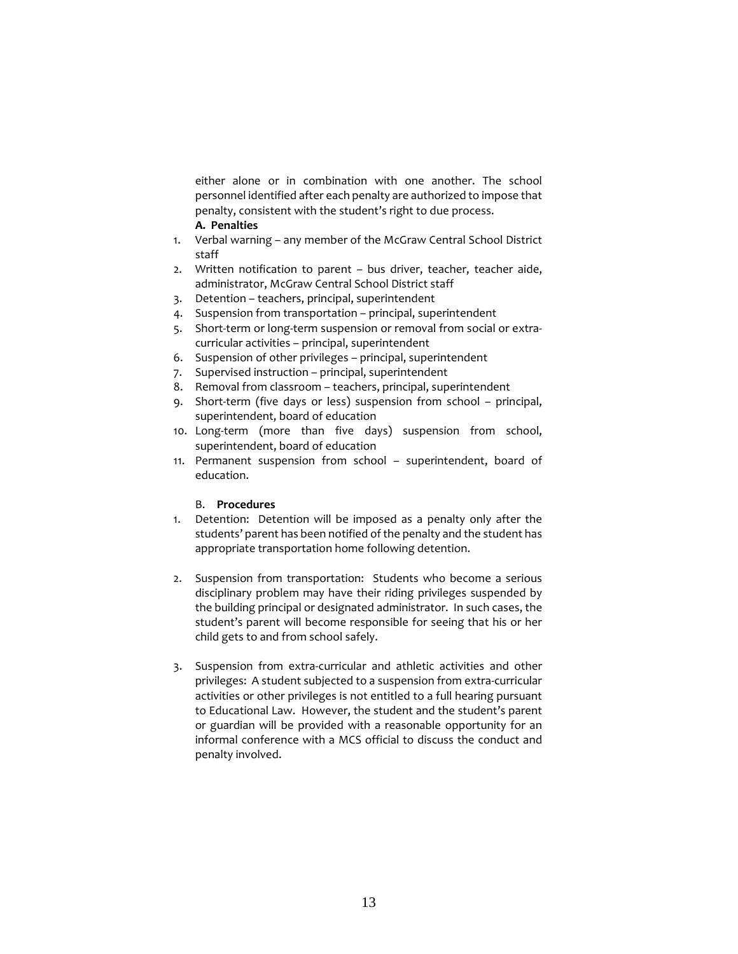either alone or in combination with one another. The school personnel identified after each penalty are authorized to impose that penalty, consistent with the student's right to due process.

# **A. Penalties**

- 1. Verbal warning any member of the McGraw Central School District staff
- 2. Written notification to parent bus driver, teacher, teacher aide, administrator, McGraw Central School District staff
- 3. Detention teachers, principal, superintendent
- 4. Suspension from transportation principal, superintendent
- 5. Short-term or long-term suspension or removal from social or extracurricular activities – principal, superintendent
- 6. Suspension of other privileges principal, superintendent
- 7. Supervised instruction principal, superintendent
- 8. Removal from classroom teachers, principal, superintendent
- 9. Short-term (five days or less) suspension from school principal, superintendent, board of education
- 10. Long-term (more than five days) suspension from school, superintendent, board of education
- 11. Permanent suspension from school superintendent, board of education.

# B. **Procedures**

- 1. Detention: Detention will be imposed as a penalty only after the students' parent has been notified of the penalty and the student has appropriate transportation home following detention.
- 2. Suspension from transportation: Students who become a serious disciplinary problem may have their riding privileges suspended by the building principal or designated administrator. In such cases, the student's parent will become responsible for seeing that his or her child gets to and from school safely.
- 3. Suspension from extra-curricular and athletic activities and other privileges: A student subjected to a suspension from extra-curricular activities or other privileges is not entitled to a full hearing pursuant to Educational Law. However, the student and the student's parent or guardian will be provided with a reasonable opportunity for an informal conference with a MCS official to discuss the conduct and penalty involved.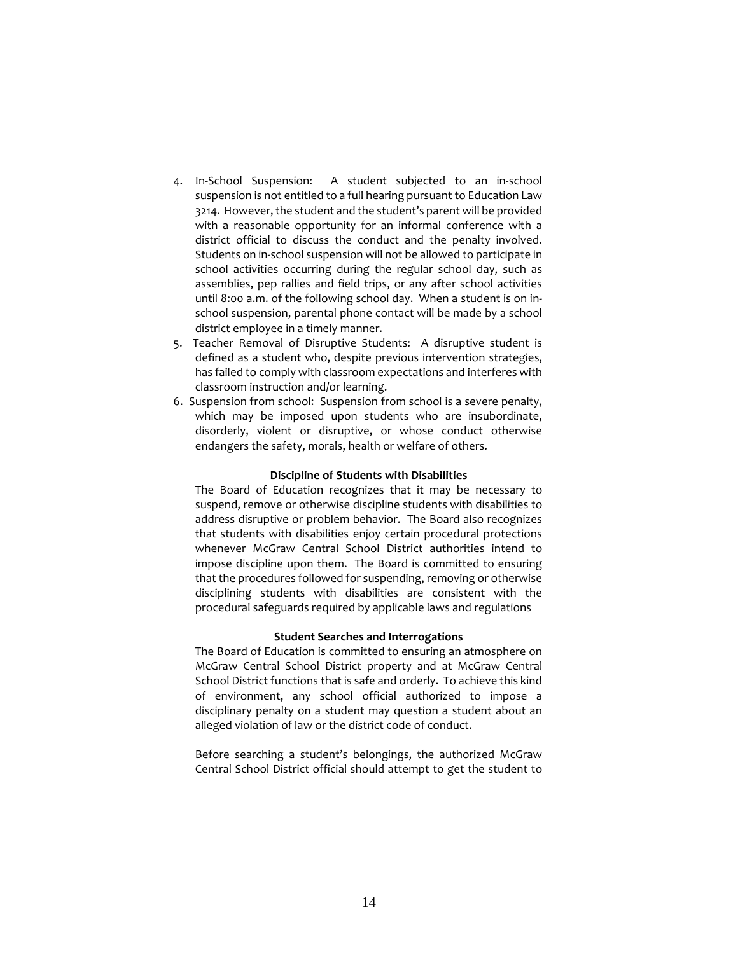- 4. In-School Suspension: A student subjected to an in-school suspension is not entitled to a full hearing pursuant to Education Law 3214. However, the student and the student's parent will be provided with a reasonable opportunity for an informal conference with a district official to discuss the conduct and the penalty involved. Students on in-school suspension will not be allowed to participate in school activities occurring during the regular school day, such as assemblies, pep rallies and field trips, or any after school activities until 8:00 a.m. of the following school day. When a student is on inschool suspension, parental phone contact will be made by a school district employee in a timely manner.
- 5. Teacher Removal of Disruptive Students: A disruptive student is defined as a student who, despite previous intervention strategies, has failed to comply with classroom expectations and interferes with classroom instruction and/or learning.
- 6. Suspension from school: Suspension from school is a severe penalty, which may be imposed upon students who are insubordinate, disorderly, violent or disruptive, or whose conduct otherwise endangers the safety, morals, health or welfare of others.

#### **Discipline of Students with Disabilities**

The Board of Education recognizes that it may be necessary to suspend, remove or otherwise discipline students with disabilities to address disruptive or problem behavior. The Board also recognizes that students with disabilities enjoy certain procedural protections whenever McGraw Central School District authorities intend to impose discipline upon them. The Board is committed to ensuring that the procedures followed for suspending, removing or otherwise disciplining students with disabilities are consistent with the procedural safeguards required by applicable laws and regulations

# **Student Searches and Interrogations**

The Board of Education is committed to ensuring an atmosphere on McGraw Central School District property and at McGraw Central School District functions that is safe and orderly. To achieve this kind of environment, any school official authorized to impose a disciplinary penalty on a student may question a student about an alleged violation of law or the district code of conduct.

Before searching a student's belongings, the authorized McGraw Central School District official should attempt to get the student to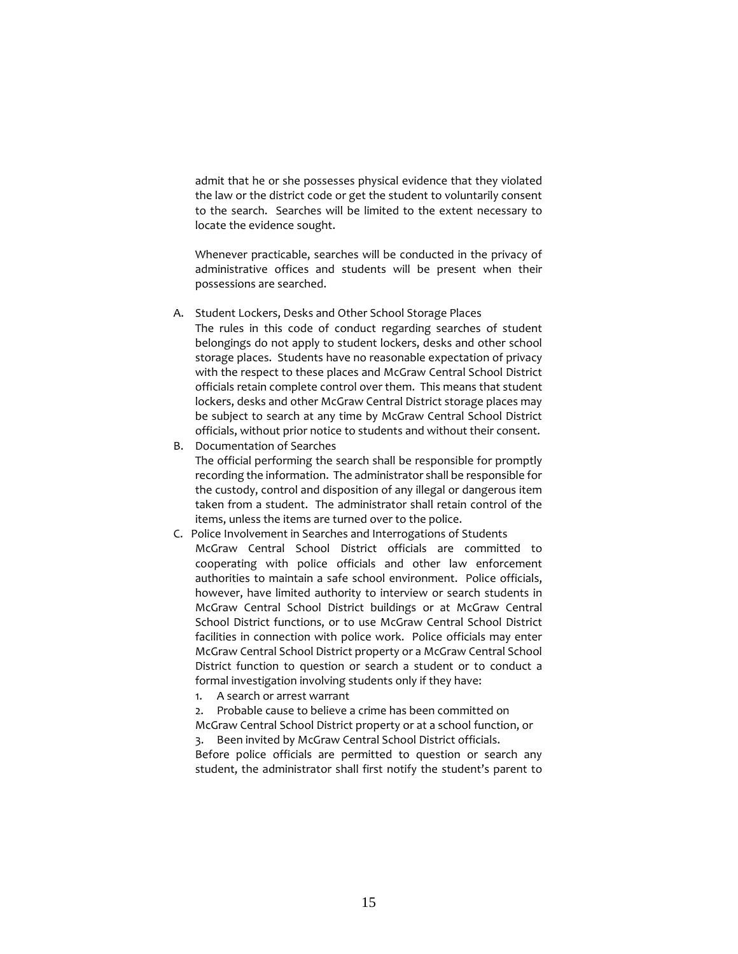admit that he or she possesses physical evidence that they violated the law or the district code or get the student to voluntarily consent to the search. Searches will be limited to the extent necessary to locate the evidence sought.

Whenever practicable, searches will be conducted in the privacy of administrative offices and students will be present when their possessions are searched.

A. Student Lockers, Desks and Other School Storage Places

The rules in this code of conduct regarding searches of student belongings do not apply to student lockers, desks and other school storage places. Students have no reasonable expectation of privacy with the respect to these places and McGraw Central School District officials retain complete control over them. This means that student lockers, desks and other McGraw Central District storage places may be subject to search at any time by McGraw Central School District officials, without prior notice to students and without their consent.

- B. Documentation of Searches The official performing the search shall be responsible for promptly recording the information. The administrator shall be responsible for the custody, control and disposition of any illegal or dangerous item taken from a student. The administrator shall retain control of the items, unless the items are turned over to the police.
- C. Police Involvement in Searches and Interrogations of Students McGraw Central School District officials are committed to cooperating with police officials and other law enforcement authorities to maintain a safe school environment. Police officials, however, have limited authority to interview or search students in McGraw Central School District buildings or at McGraw Central School District functions, or to use McGraw Central School District facilities in connection with police work. Police officials may enter McGraw Central School District property or a McGraw Central School District function to question or search a student or to conduct a formal investigation involving students only if they have:
	- 1. A search or arrest warrant

2. Probable cause to believe a crime has been committed on McGraw Central School District property or at a school function, or

3. Been invited by McGraw Central School District officials.

Before police officials are permitted to question or search any student, the administrator shall first notify the student's parent to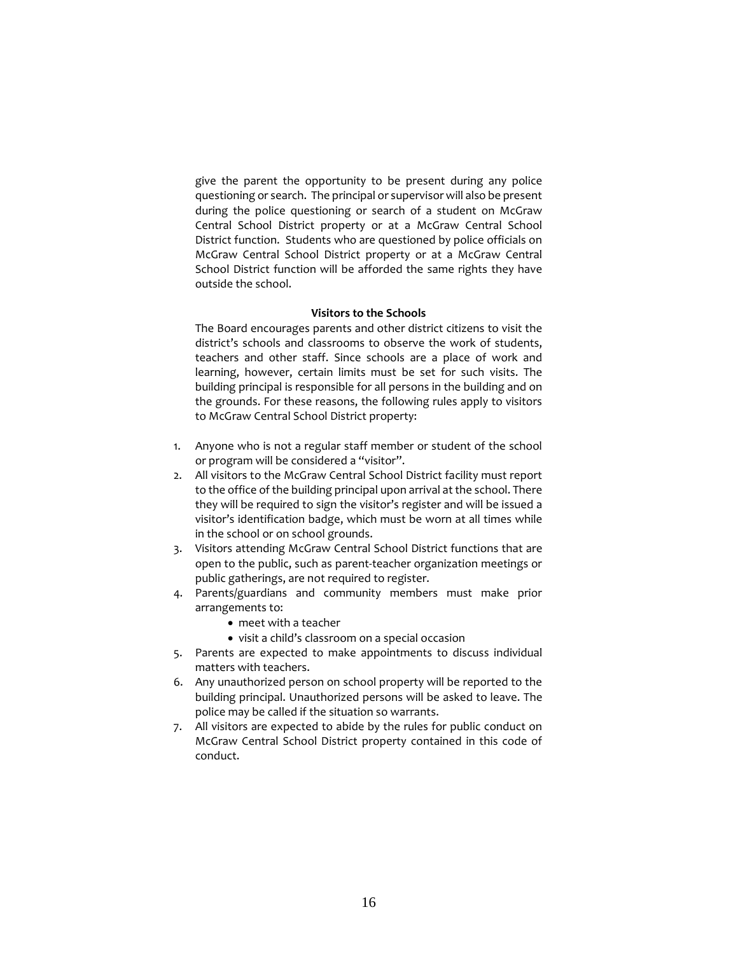give the parent the opportunity to be present during any police questioning or search. The principal or supervisor will also be present during the police questioning or search of a student on McGraw Central School District property or at a McGraw Central School District function. Students who are questioned by police officials on McGraw Central School District property or at a McGraw Central School District function will be afforded the same rights they have outside the school.

# **Visitors to the Schools**

The Board encourages parents and other district citizens to visit the district's schools and classrooms to observe the work of students, teachers and other staff. Since schools are a place of work and learning, however, certain limits must be set for such visits. The building principal is responsible for all persons in the building and on the grounds. For these reasons, the following rules apply to visitors to McGraw Central School District property:

- 1. Anyone who is not a regular staff member or student of the school or program will be considered a "visitor".
- 2. All visitors to the McGraw Central School District facility must report to the office of the building principal upon arrival at the school. There they will be required to sign the visitor's register and will be issued a visitor's identification badge, which must be worn at all times while in the school or on school grounds.
- 3. Visitors attending McGraw Central School District functions that are open to the public, such as parent-teacher organization meetings or public gatherings, are not required to register.
- 4. Parents/guardians and community members must make prior arrangements to:
	- meet with a teacher
	- visit a child's classroom on a special occasion
- 5. Parents are expected to make appointments to discuss individual matters with teachers.
- 6. Any unauthorized person on school property will be reported to the building principal. Unauthorized persons will be asked to leave. The police may be called if the situation so warrants.
- 7. All visitors are expected to abide by the rules for public conduct on McGraw Central School District property contained in this code of conduct.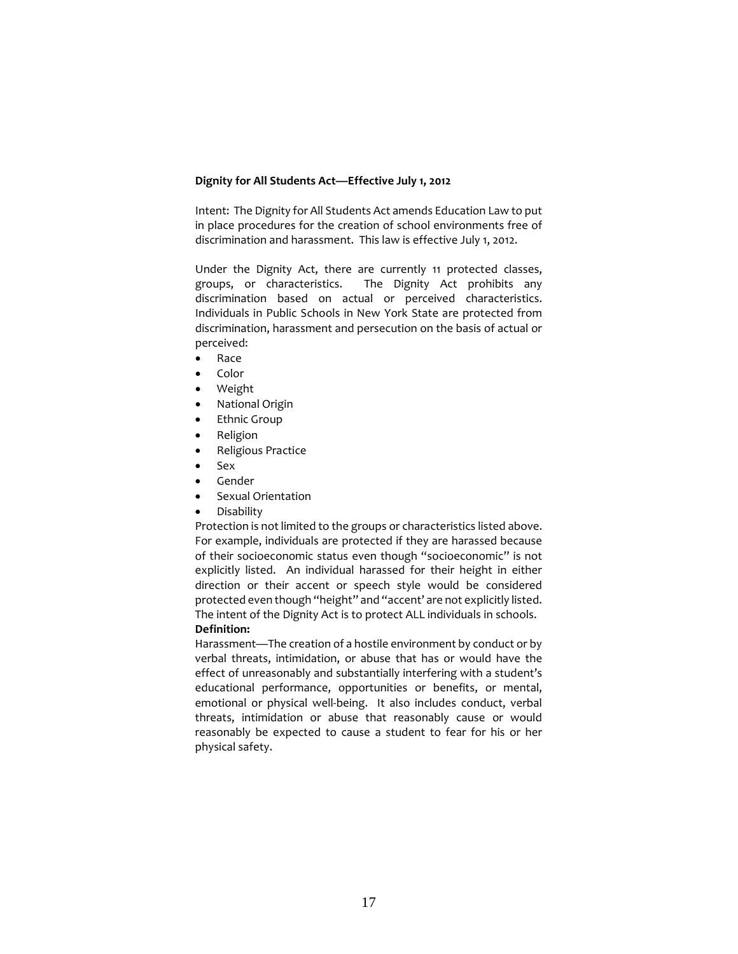# **Dignity for All Students Act—Effective July 1, 2012**

Intent: The Dignity for All Students Act amends Education Law to put in place procedures for the creation of school environments free of discrimination and harassment. This law is effective July 1, 2012.

Under the Dignity Act, there are currently 11 protected classes, groups, or characteristics. The Dignity Act prohibits any discrimination based on actual or perceived characteristics. Individuals in Public Schools in New York State are protected from discrimination, harassment and persecution on the basis of actual or perceived:

- Race
- Color
- Weight
- National Origin
- **Ethnic Group**
- Religion
- Religious Practice
- Sex
- Gender
- Sexual Orientation
- Disability

Protection is not limited to the groups or characteristics listed above. For example, individuals are protected if they are harassed because of their socioeconomic status even though "socioeconomic" is not explicitly listed. An individual harassed for their height in either direction or their accent or speech style would be considered protected even though "height" and "accent' are not explicitly listed. The intent of the Dignity Act is to protect ALL individuals in schools. **Definition:**

Harassment—The creation of a hostile environment by conduct or by verbal threats, intimidation, or abuse that has or would have the effect of unreasonably and substantially interfering with a student's educational performance, opportunities or benefits, or mental, emotional or physical well-being. It also includes conduct, verbal threats, intimidation or abuse that reasonably cause or would reasonably be expected to cause a student to fear for his or her physical safety.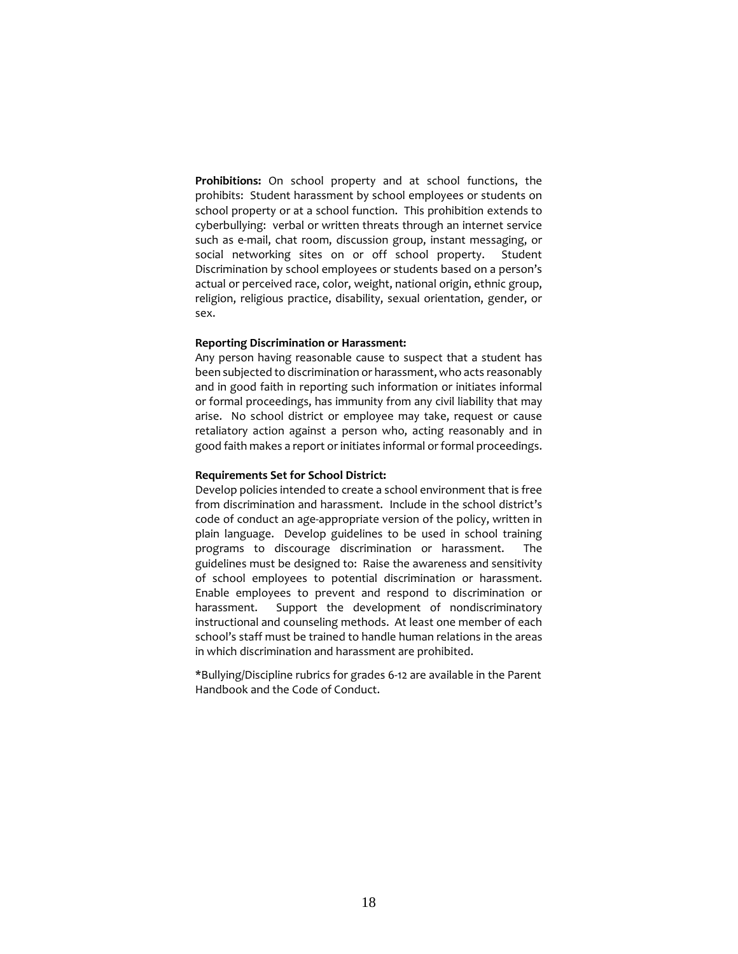**Prohibitions:** On school property and at school functions, the prohibits: Student harassment by school employees or students on school property or at a school function. This prohibition extends to cyberbullying: verbal or written threats through an internet service such as e-mail, chat room, discussion group, instant messaging, or social networking sites on or off school property. Student Discrimination by school employees or students based on a person's actual or perceived race, color, weight, national origin, ethnic group, religion, religious practice, disability, sexual orientation, gender, or sex.

#### **Reporting Discrimination or Harassment:**

Any person having reasonable cause to suspect that a student has been subjected to discrimination or harassment, who acts reasonably and in good faith in reporting such information or initiates informal or formal proceedings, has immunity from any civil liability that may arise. No school district or employee may take, request or cause retaliatory action against a person who, acting reasonably and in good faith makes a report or initiates informal or formal proceedings.

#### **Requirements Set for School District:**

Develop policies intended to create a school environment that is free from discrimination and harassment. Include in the school district's code of conduct an age-appropriate version of the policy, written in plain language. Develop guidelines to be used in school training programs to discourage discrimination or harassment. The guidelines must be designed to: Raise the awareness and sensitivity of school employees to potential discrimination or harassment. Enable employees to prevent and respond to discrimination or harassment. Support the development of nondiscriminatory instructional and counseling methods. At least one member of each school's staff must be trained to handle human relations in the areas in which discrimination and harassment are prohibited.

\*Bullying/Discipline rubrics for grades 6-12 are available in the Parent Handbook and the Code of Conduct.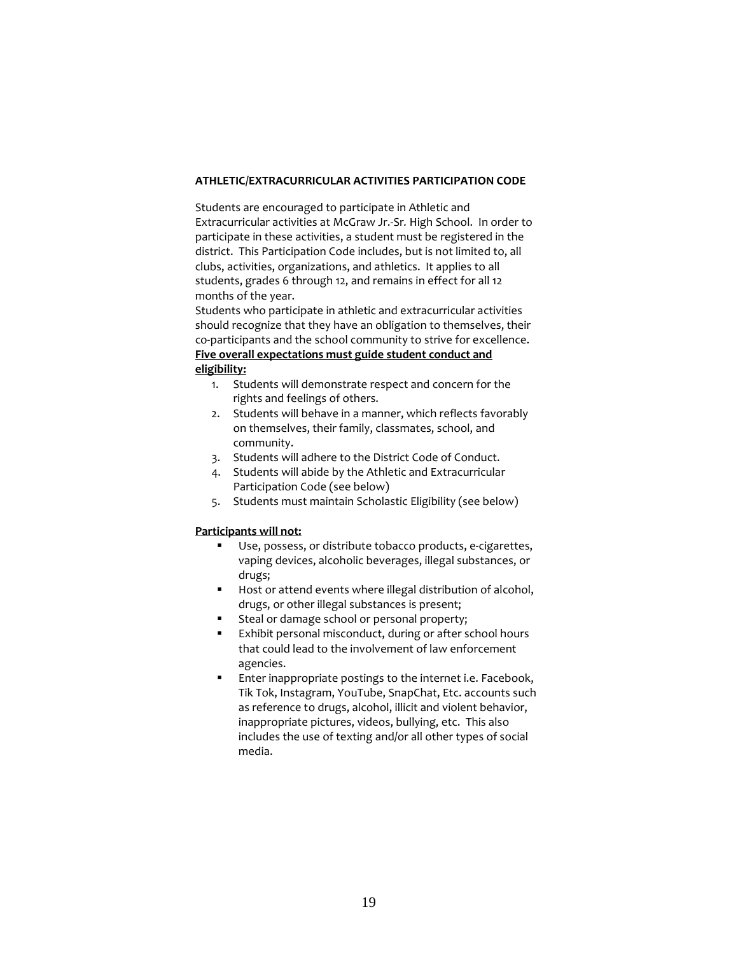# **ATHLETIC/EXTRACURRICULAR ACTIVITIES PARTICIPATION CODE**

Students are encouraged to participate in Athletic and Extracurricular activities at McGraw Jr.-Sr*.* High School. In order to participate in these activities, a student must be registered in the district. This Participation Code includes, but is not limited to, all clubs, activities, organizations, and athletics. It applies to all students, grades 6 through 12, and remains in effect for all 12 months of the year.

Students who participate in athletic and extracurricular activities should recognize that they have an obligation to themselves, their co-participants and the school community to strive for excellence. **Five overall expectations must guide student conduct and eligibility:**

- 1. Students will demonstrate respect and concern for the rights and feelings of others.
- 2. Students will behave in a manner, which reflects favorably on themselves, their family, classmates, school, and community.
- 3. Students will adhere to the District Code of Conduct.
- 4. Students will abide by the Athletic and Extracurricular Participation Code (see below)
- 5. Students must maintain Scholastic Eligibility (see below)

# **Participants will not:**

- Use, possess, or distribute tobacco products, e-cigarettes, vaping devices, alcoholic beverages, illegal substances, or drugs;
- Host or attend events where illegal distribution of alcohol, drugs, or other illegal substances is present;
- **Steal or damage school or personal property;**
- Exhibit personal misconduct, during or after school hours that could lead to the involvement of law enforcement agencies.
- **Enter inappropriate postings to the internet i.e. Facebook,** Tik Tok, Instagram, YouTube, SnapChat, Etc. accounts such as reference to drugs, alcohol, illicit and violent behavior, inappropriate pictures, videos, bullying, etc. This also includes the use of texting and/or all other types of social media.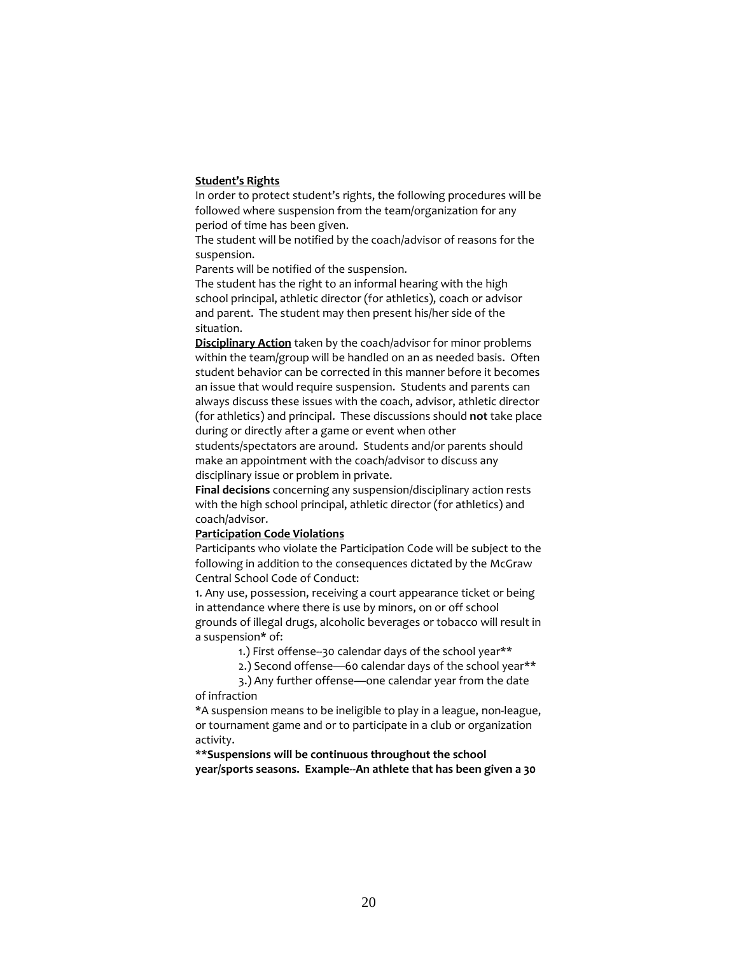### **Student's Rights**

In order to protect student's rights, the following procedures will be followed where suspension from the team/organization for any period of time has been given.

The student will be notified by the coach/advisor of reasons for the suspension.

Parents will be notified of the suspension.

The student has the right to an informal hearing with the high school principal, athletic director (for athletics), coach or advisor and parent. The student may then present his/her side of the situation.

**Disciplinary Action** taken by the coach/advisor for minor problems within the team/group will be handled on an as needed basis. Often student behavior can be corrected in this manner before it becomes an issue that would require suspension. Students and parents can always discuss these issues with the coach, advisor, athletic director (for athletics) and principal. These discussions should **not** take place during or directly after a game or event when other

students/spectators are around. Students and/or parents should make an appointment with the coach/advisor to discuss any disciplinary issue or problem in private.

**Final decisions** concerning any suspension/disciplinary action rests with the high school principal, athletic director (for athletics) and coach/advisor.

# **Participation Code Violations**

Participants who violate the Participation Code will be subject to the following in addition to the consequences dictated by the McGraw Central School Code of Conduct:

1. Any use, possession, receiving a court appearance ticket or being in attendance where there is use by minors, on or off school grounds of illegal drugs, alcoholic beverages or tobacco will result in a suspension\* of:

1.) First offense--30 calendar days of the school year\*\*

2.) Second offense—60 calendar days of the school year\*\*

3.) Any further offense—one calendar year from the date of infraction

\*A suspension means to be ineligible to play in a league, non-league, or tournament game and or to participate in a club or organization activity.

**\*\*Suspensions will be continuous throughout the school year/sports seasons. Example--An athlete that has been given a 30**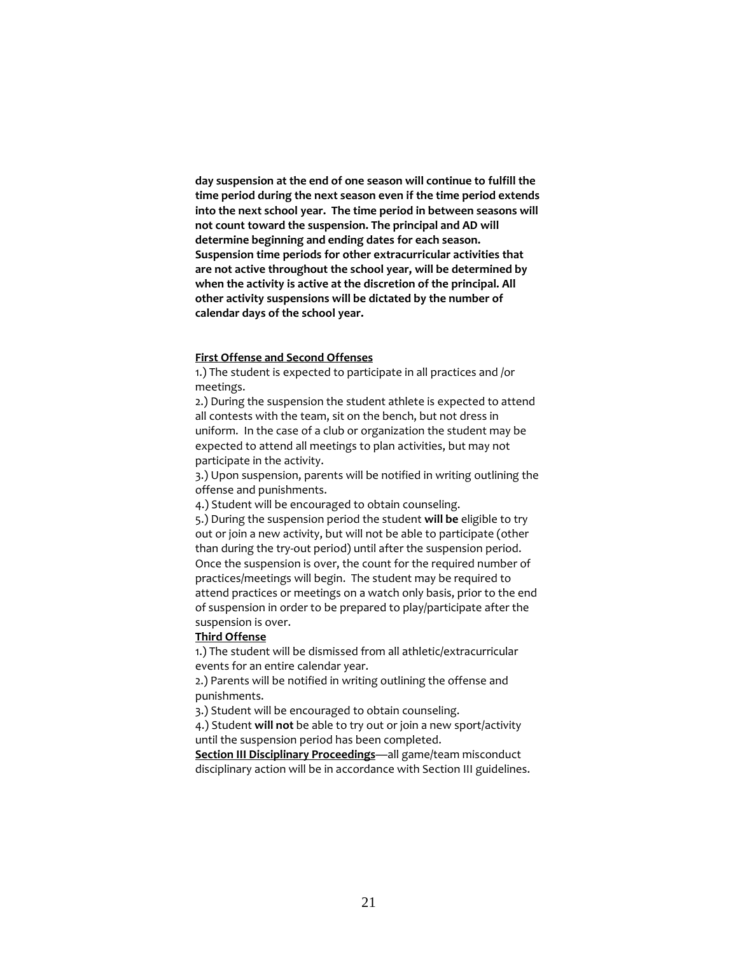**day suspension at the end of one season will continue to fulfill the time period during the next season even if the time period extends into the next school year. The time period in between seasons will not count toward the suspension. The principal and AD will determine beginning and ending dates for each season. Suspension time periods for other extracurricular activities that are not active throughout the school year, will be determined by when the activity is active at the discretion of the principal. All other activity suspensions will be dictated by the number of calendar days of the school year.**

# **First Offense and Second Offenses**

1.) The student is expected to participate in all practices and /or meetings.

2.) During the suspension the student athlete is expected to attend all contests with the team, sit on the bench, but not dress in uniform. In the case of a club or organization the student may be expected to attend all meetings to plan activities, but may not participate in the activity.

3.) Upon suspension, parents will be notified in writing outlining the offense and punishments.

4.) Student will be encouraged to obtain counseling.

5.) During the suspension period the student **will be** eligible to try out or join a new activity, but will not be able to participate (other than during the try-out period) until after the suspension period. Once the suspension is over, the count for the required number of practices/meetings will begin. The student may be required to attend practices or meetings on a watch only basis, prior to the end of suspension in order to be prepared to play/participate after the suspension is over.

# **Third Offense**

1.) The student will be dismissed from all athletic/extracurricular events for an entire calendar year.

2.) Parents will be notified in writing outlining the offense and punishments.

3.) Student will be encouraged to obtain counseling.

4.) Student **will not** be able to try out or join a new sport/activity until the suspension period has been completed.

**Section III Disciplinary Proceedings**—all game/team misconduct disciplinary action will be in accordance with Section III guidelines.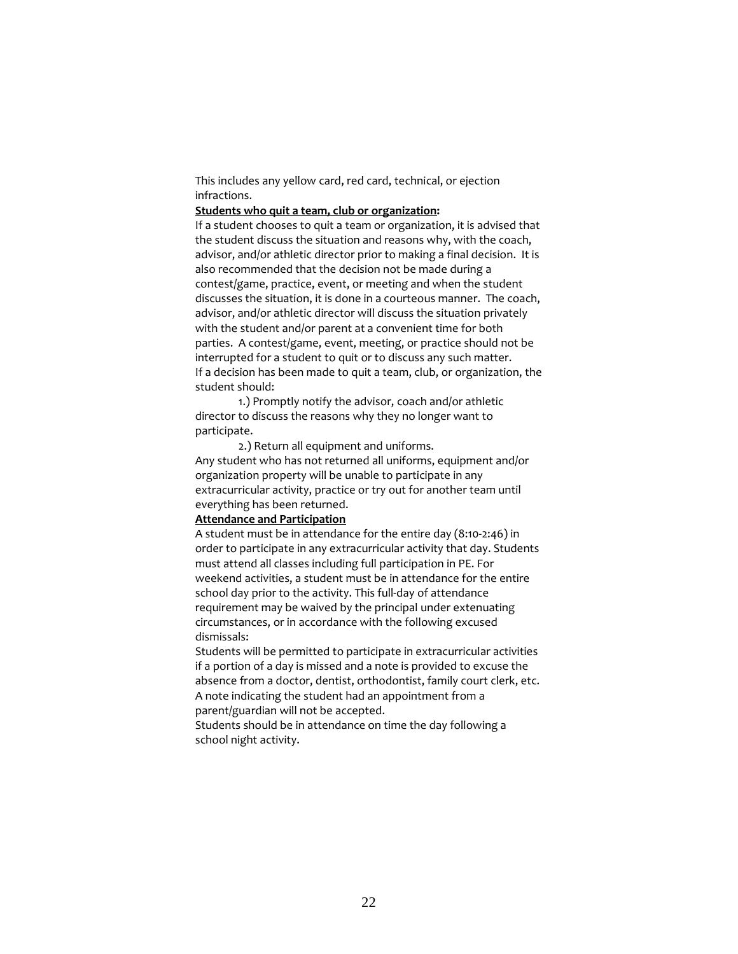This includes any yellow card, red card, technical, or ejection infractions.

#### **Students who quit a team, club or organization:**

If a student chooses to quit a team or organization, it is advised that the student discuss the situation and reasons why, with the coach, advisor, and/or athletic director prior to making a final decision. It is also recommended that the decision not be made during a contest/game, practice, event, or meeting and when the student discusses the situation, it is done in a courteous manner. The coach, advisor, and/or athletic director will discuss the situation privately with the student and/or parent at a convenient time for both parties. A contest/game, event, meeting, or practice should not be interrupted for a student to quit or to discuss any such matter. If a decision has been made to quit a team, club, or organization, the student should:

1.) Promptly notify the advisor, coach and/or athletic director to discuss the reasons why they no longer want to participate.

2.) Return all equipment and uniforms. Any student who has not returned all uniforms, equipment and/or organization property will be unable to participate in any extracurricular activity, practice or try out for another team until everything has been returned.

### **Attendance and Participation**

A student must be in attendance for the entire day (8:10-2:46) in order to participate in any extracurricular activity that day. Students must attend all classes including full participation in PE. For weekend activities, a student must be in attendance for the entire school day prior to the activity. This full-day of attendance requirement may be waived by the principal under extenuating circumstances, or in accordance with the following excused dismissals:

Students will be permitted to participate in extracurricular activities if a portion of a day is missed and a note is provided to excuse the absence from a doctor, dentist, orthodontist, family court clerk, etc. A note indicating the student had an appointment from a parent/guardian will not be accepted.

Students should be in attendance on time the day following a school night activity.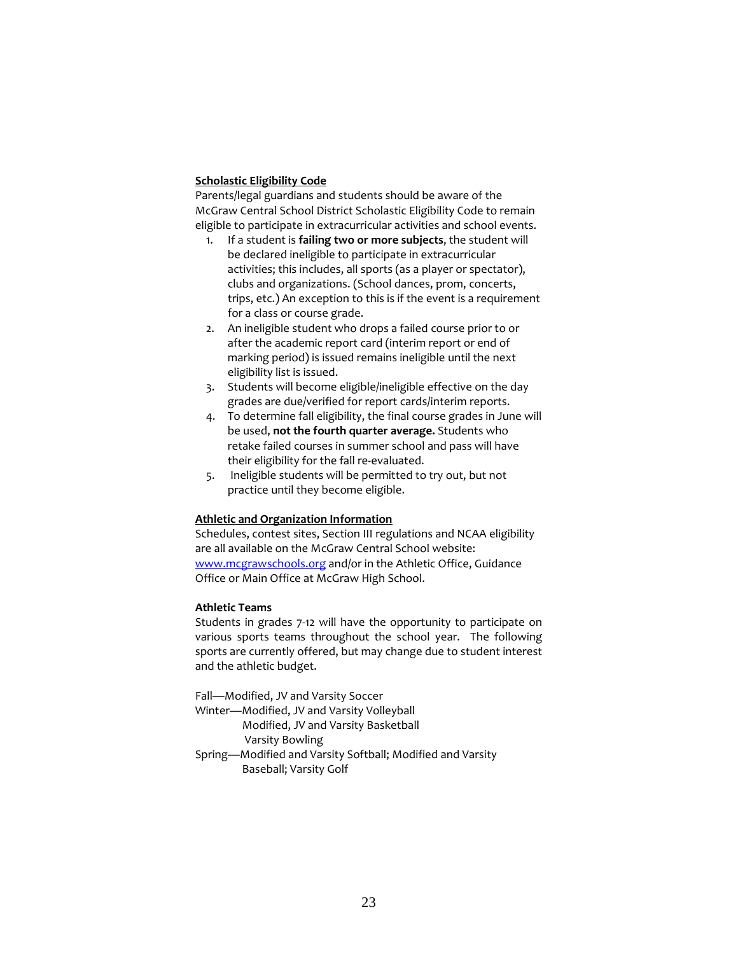# **Scholastic Eligibility Code**

Parents/legal guardians and students should be aware of the McGraw Central School District Scholastic Eligibility Code to remain eligible to participate in extracurricular activities and school events.

- 1. If a student is **failing two or more subjects**, the student will be declared ineligible to participate in extracurricular activities; this includes, all sports (as a player or spectator), clubs and organizations. (School dances, prom, concerts, trips, etc.) An exception to this is if the event is a requirement for a class or course grade.
- 2. An ineligible student who drops a failed course prior to or after the academic report card (interim report or end of marking period) is issued remains ineligible until the next eligibility list is issued.
- 3. Students will become eligible/ineligible effective on the day grades are due/verified for report cards/interim reports.
- 4. To determine fall eligibility, the final course grades in June will be used, **not the fourth quarter average.** Students who retake failed courses in summer school and pass will have their eligibility for the fall re-evaluated.
- 5. Ineligible students will be permitted to try out, but not practice until they become eligible.

# **Athletic and Organization Information**

Schedules, contest sites, Section III regulations and NCAA eligibility are all available on the McGraw Central School website: [www.mcgrawschools.org](http://www.mcgrawschools.org/) and/or in the Athletic Office, Guidance Office or Main Office at McGraw High School.

# **Athletic Teams**

Students in grades 7-12 will have the opportunity to participate on various sports teams throughout the school year. The following sports are currently offered, but may change due to student interest and the athletic budget.

Fall—Modified, JV and Varsity Soccer

- Winter—Modified, JV and Varsity Volleyball
	- Modified, JV and Varsity Basketball
		- Varsity Bowling
- Spring—Modified and Varsity Softball; Modified and Varsity Baseball; Varsity Golf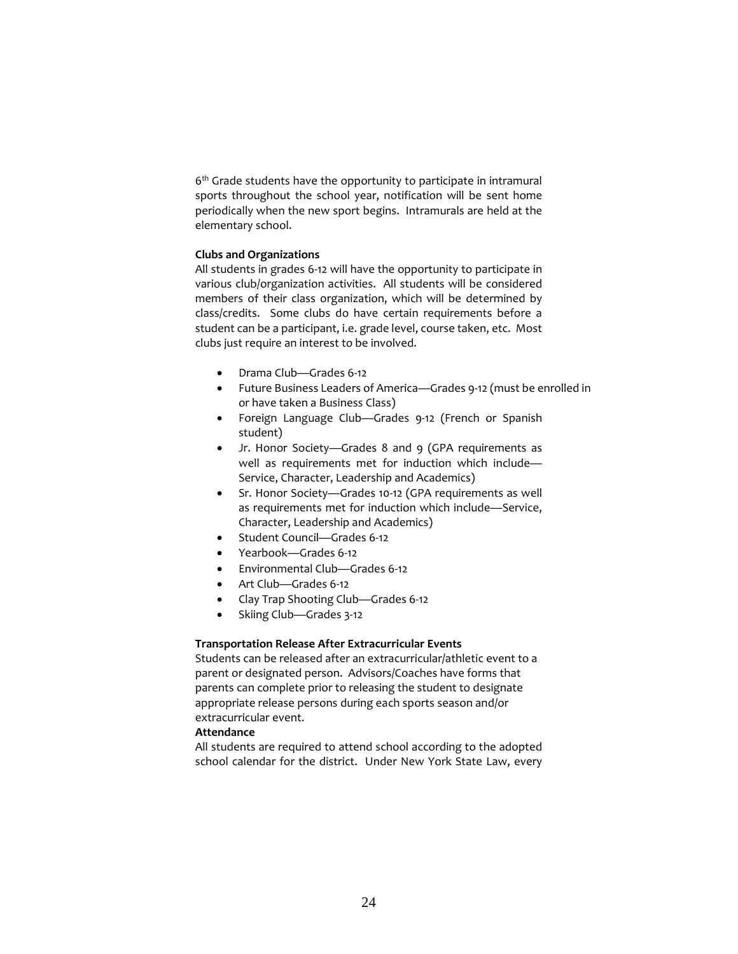6<sup>th</sup> Grade students have the opportunity to participate in intramural sports throughout the school year, notification will be sent home periodically when the new sport begins. Intramurals are held at the elementary school.

# **Clubs and Organizations**

All students in grades 6-12 will have the opportunity to participate in various club/organization activities. All students will be considered members of their class organization, which will be determined by class/credits. Some clubs do have certain requirements before a student can be a participant, i.e. grade level, course taken, etc. Most clubs just require an interest to be involved.

- Drama Club—Grades 6-12
- Future Business Leaders of America—Grades 9-12 (must be enrolled in or have taken a Business Class)
- Foreign Language Club—Grades 9-12 (French or Spanish student)
- Jr. Honor Society-Grades 8 and 9 (GPA requirements as well as requirements met for induction which include— Service, Character, Leadership and Academics)
- Sr. Honor Society—Grades 10-12 (GPA requirements as well as requirements met for induction which include—Service, Character, Leadership and Academics)
- Student Council-Grades 6-12
- Yearbook—Grades 6-12
- Environmental Club—Grades 6-12
- Art Club—Grades 6-12
- Clay Trap Shooting Club—Grades 6-12
- Skiing Club—Grades 3-12

# **Transportation Release After Extracurricular Events**

Students can be released after an extracurricular/athletic event to a parent or designated person. Advisors/Coaches have forms that parents can complete prior to releasing the student to designate appropriate release persons during each sports season and/or extracurricular event.

# **Attendance**

All students are required to attend school according to the adopted school calendar for the district. Under New York State Law, every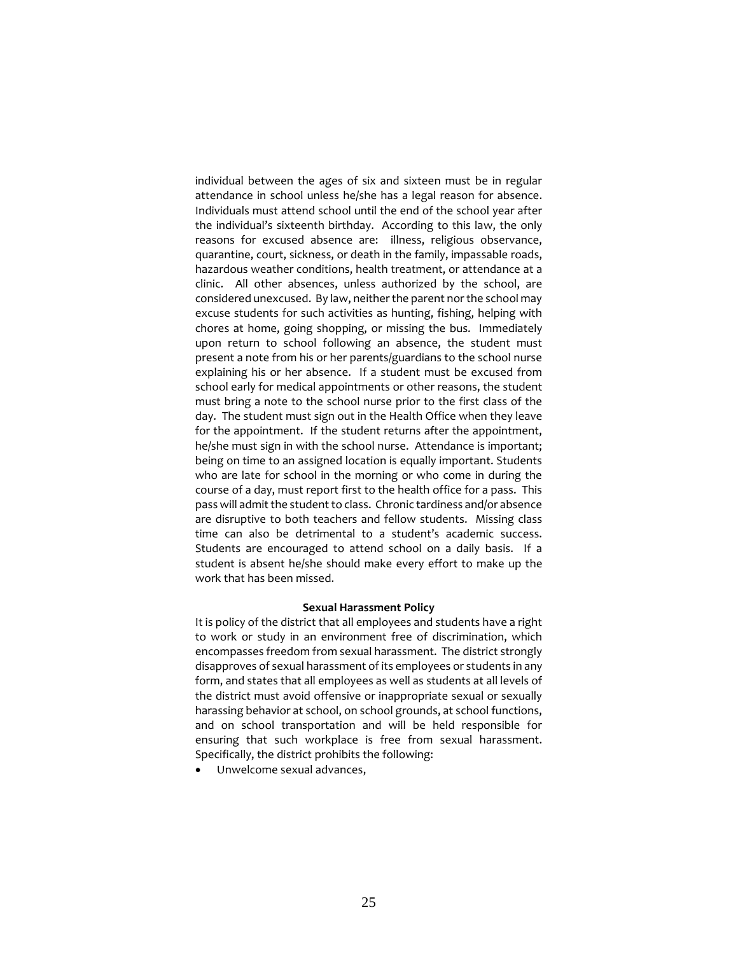individual between the ages of six and sixteen must be in regular attendance in school unless he/she has a legal reason for absence. Individuals must attend school until the end of the school year after the individual's sixteenth birthday. According to this law, the only reasons for excused absence are: illness, religious observance, quarantine, court, sickness, or death in the family, impassable roads, hazardous weather conditions, health treatment, or attendance at a clinic. All other absences, unless authorized by the school, are considered unexcused. By law, neither the parent nor the school may excuse students for such activities as hunting, fishing, helping with chores at home, going shopping, or missing the bus. Immediately upon return to school following an absence, the student must present a note from his or her parents/guardians to the school nurse explaining his or her absence. If a student must be excused from school early for medical appointments or other reasons, the student must bring a note to the school nurse prior to the first class of the day. The student must sign out in the Health Office when they leave for the appointment. If the student returns after the appointment, he/she must sign in with the school nurse. Attendance is important; being on time to an assigned location is equally important. Students who are late for school in the morning or who come in during the course of a day, must report first to the health office for a pass. This pass will admit the student to class. Chronic tardiness and/or absence are disruptive to both teachers and fellow students. Missing class time can also be detrimental to a student's academic success. Students are encouraged to attend school on a daily basis. If a student is absent he/she should make every effort to make up the work that has been missed.

#### **Sexual Harassment Policy**

It is policy of the district that all employees and students have a right to work or study in an environment free of discrimination, which encompasses freedom from sexual harassment. The district strongly disapproves of sexual harassment of its employees or students in any form, and states that all employees as well as students at all levels of the district must avoid offensive or inappropriate sexual or sexually harassing behavior at school, on school grounds, at school functions, and on school transportation and will be held responsible for ensuring that such workplace is free from sexual harassment. Specifically, the district prohibits the following:

• Unwelcome sexual advances,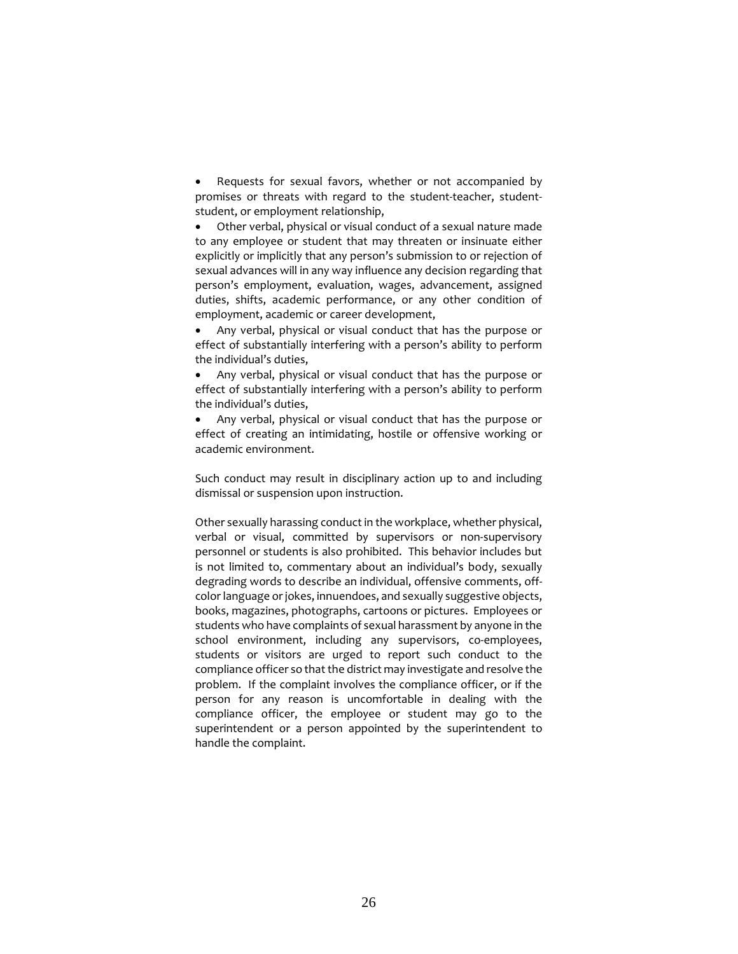Requests for sexual favors, whether or not accompanied by promises or threats with regard to the student-teacher, studentstudent, or employment relationship,

• Other verbal, physical or visual conduct of a sexual nature made to any employee or student that may threaten or insinuate either explicitly or implicitly that any person's submission to or rejection of sexual advances will in any way influence any decision regarding that person's employment, evaluation, wages, advancement, assigned duties, shifts, academic performance, or any other condition of employment, academic or career development,

• Any verbal, physical or visual conduct that has the purpose or effect of substantially interfering with a person's ability to perform the individual's duties,

• Any verbal, physical or visual conduct that has the purpose or effect of substantially interfering with a person's ability to perform the individual's duties,

• Any verbal, physical or visual conduct that has the purpose or effect of creating an intimidating, hostile or offensive working or academic environment.

Such conduct may result in disciplinary action up to and including dismissal or suspension upon instruction.

Other sexually harassing conduct in the workplace, whether physical, verbal or visual, committed by supervisors or non-supervisory personnel or students is also prohibited. This behavior includes but is not limited to, commentary about an individual's body, sexually degrading words to describe an individual, offensive comments, offcolor language or jokes, innuendoes, and sexually suggestive objects, books, magazines, photographs, cartoons or pictures. Employees or students who have complaints of sexual harassment by anyone in the school environment, including any supervisors, co-employees, students or visitors are urged to report such conduct to the compliance officer so that the district may investigate and resolve the problem. If the complaint involves the compliance officer, or if the person for any reason is uncomfortable in dealing with the compliance officer, the employee or student may go to the superintendent or a person appointed by the superintendent to handle the complaint.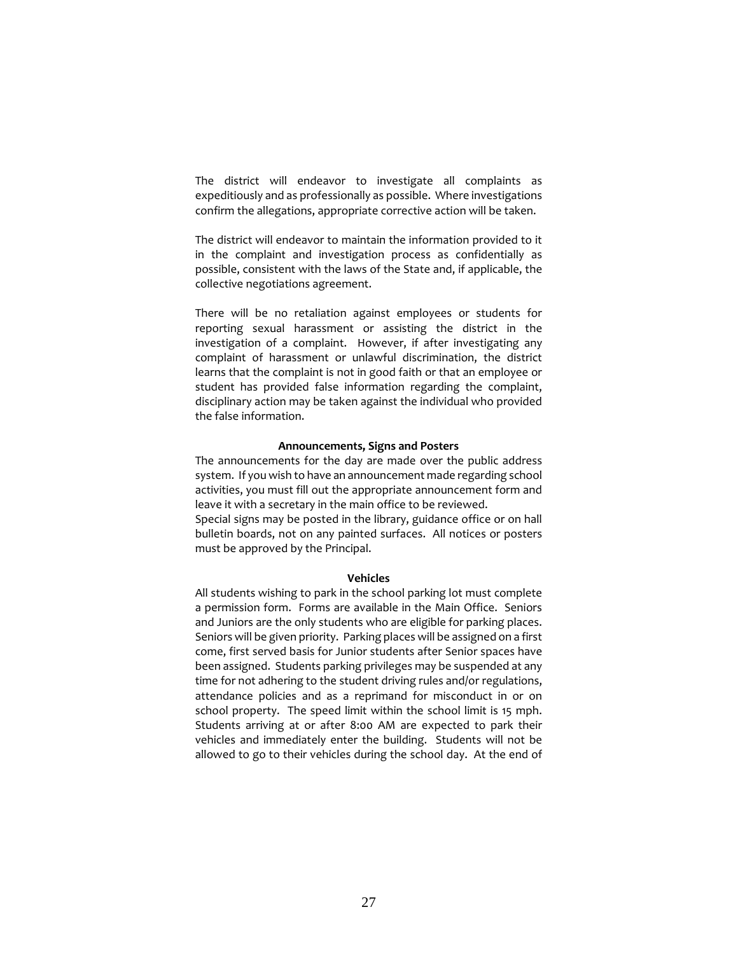The district will endeavor to investigate all complaints as expeditiously and as professionally as possible. Where investigations confirm the allegations, appropriate corrective action will be taken.

The district will endeavor to maintain the information provided to it in the complaint and investigation process as confidentially as possible, consistent with the laws of the State and, if applicable, the collective negotiations agreement.

There will be no retaliation against employees or students for reporting sexual harassment or assisting the district in the investigation of a complaint. However, if after investigating any complaint of harassment or unlawful discrimination, the district learns that the complaint is not in good faith or that an employee or student has provided false information regarding the complaint, disciplinary action may be taken against the individual who provided the false information.

#### **Announcements, Signs and Posters**

The announcements for the day are made over the public address system. If you wish to have an announcement made regarding school activities, you must fill out the appropriate announcement form and leave it with a secretary in the main office to be reviewed.

Special signs may be posted in the library, guidance office or on hall bulletin boards, not on any painted surfaces. All notices or posters must be approved by the Principal.

#### **Vehicles**

All students wishing to park in the school parking lot must complete a permission form. Forms are available in the Main Office. Seniors and Juniors are the only students who are eligible for parking places. Seniors will be given priority. Parking places will be assigned on a first come, first served basis for Junior students after Senior spaces have been assigned. Students parking privileges may be suspended at any time for not adhering to the student driving rules and/or regulations, attendance policies and as a reprimand for misconduct in or on school property. The speed limit within the school limit is 15 mph. Students arriving at or after 8:00 AM are expected to park their vehicles and immediately enter the building. Students will not be allowed to go to their vehicles during the school day. At the end of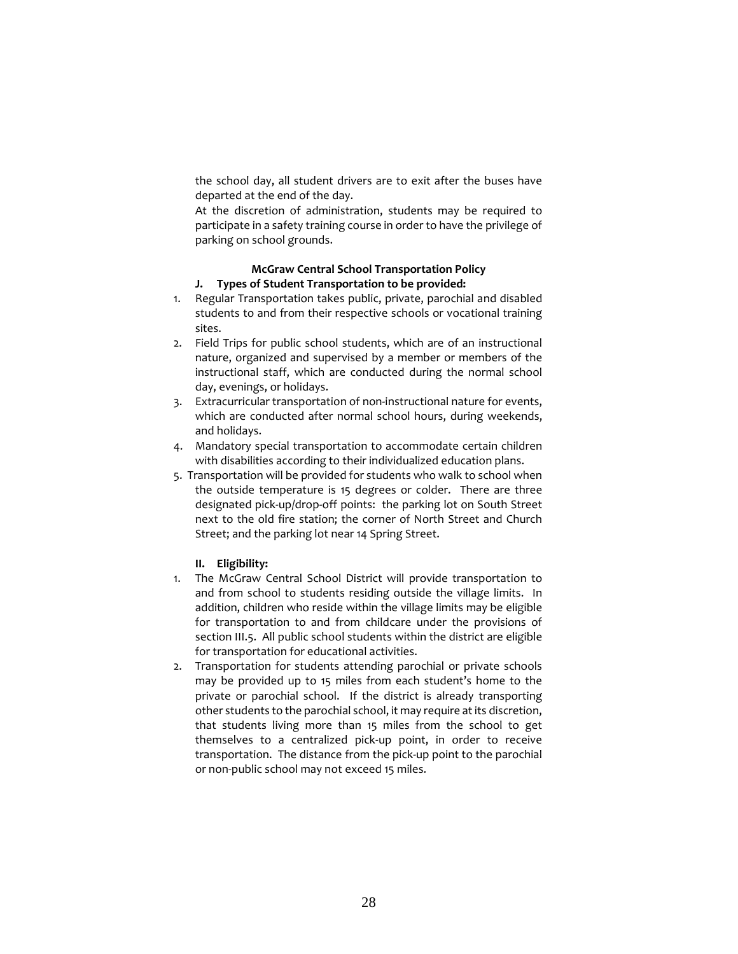the school day, all student drivers are to exit after the buses have departed at the end of the day.

At the discretion of administration, students may be required to participate in a safety training course in order to have the privilege of parking on school grounds.

# **McGraw Central School Transportation Policy**

# **J. Types of Student Transportation to be provided:**

- 1. Regular Transportation takes public, private, parochial and disabled students to and from their respective schools or vocational training sites.
- 2. Field Trips for public school students, which are of an instructional nature, organized and supervised by a member or members of the instructional staff, which are conducted during the normal school day, evenings, or holidays.
- 3. Extracurricular transportation of non-instructional nature for events, which are conducted after normal school hours, during weekends, and holidays.
- 4. Mandatory special transportation to accommodate certain children with disabilities according to their individualized education plans.
- 5. Transportation will be provided for students who walk to school when the outside temperature is 15 degrees or colder. There are three designated pick-up/drop-off points: the parking lot on South Street next to the old fire station; the corner of North Street and Church Street; and the parking lot near 14 Spring Street.

# **II. Eligibility:**

- 1. The McGraw Central School District will provide transportation to and from school to students residing outside the village limits. In addition, children who reside within the village limits may be eligible for transportation to and from childcare under the provisions of section III.5. All public school students within the district are eligible for transportation for educational activities.
- 2. Transportation for students attending parochial or private schools may be provided up to 15 miles from each student's home to the private or parochial school. If the district is already transporting other students to the parochial school, it may require at its discretion, that students living more than 15 miles from the school to get themselves to a centralized pick-up point, in order to receive transportation. The distance from the pick-up point to the parochial or non-public school may not exceed 15 miles.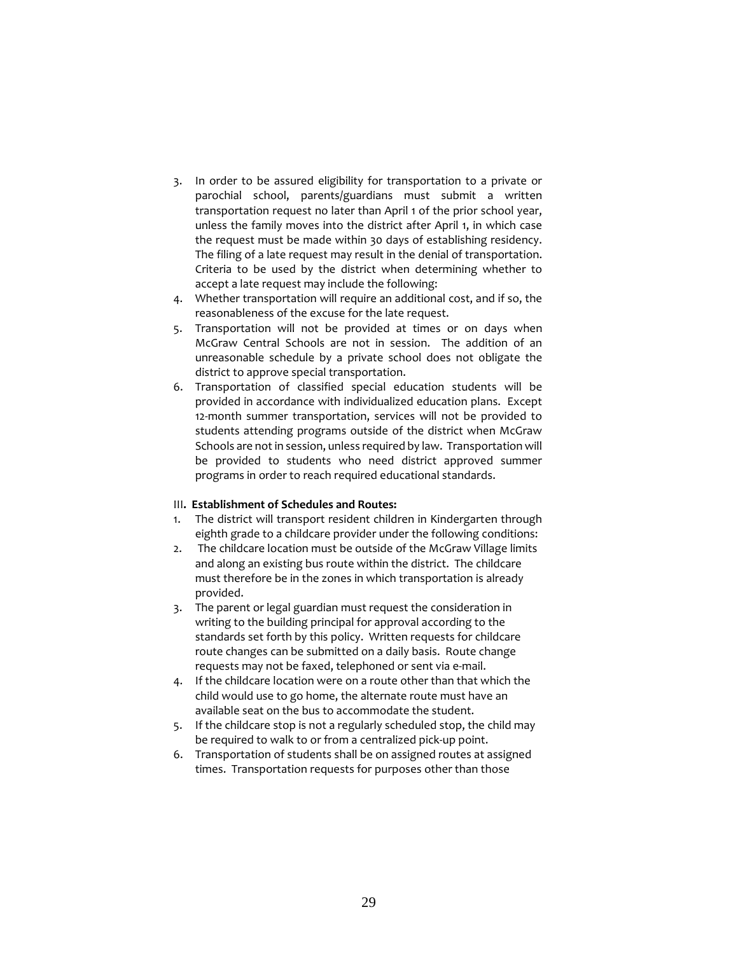- 3. In order to be assured eligibility for transportation to a private or parochial school, parents/guardians must submit a written transportation request no later than April 1 of the prior school year, unless the family moves into the district after April 1, in which case the request must be made within 30 days of establishing residency. The filing of a late request may result in the denial of transportation. Criteria to be used by the district when determining whether to accept a late request may include the following:
- 4. Whether transportation will require an additional cost, and if so, the reasonableness of the excuse for the late request.
- 5. Transportation will not be provided at times or on days when McGraw Central Schools are not in session. The addition of an unreasonable schedule by a private school does not obligate the district to approve special transportation.
- 6. Transportation of classified special education students will be provided in accordance with individualized education plans. Except 12-month summer transportation, services will not be provided to students attending programs outside of the district when McGraw Schools are not in session, unless required by law. Transportation will be provided to students who need district approved summer programs in order to reach required educational standards.

# III**. Establishment of Schedules and Routes:**

- 1. The district will transport resident children in Kindergarten through eighth grade to a childcare provider under the following conditions:
- 2. The childcare location must be outside of the McGraw Village limits and along an existing bus route within the district. The childcare must therefore be in the zones in which transportation is already provided.
- 3. The parent or legal guardian must request the consideration in writing to the building principal for approval according to the standards set forth by this policy. Written requests for childcare route changes can be submitted on a daily basis. Route change requests may not be faxed, telephoned or sent via e-mail.
- 4. If the childcare location were on a route other than that which the child would use to go home, the alternate route must have an available seat on the bus to accommodate the student.
- 5. If the childcare stop is not a regularly scheduled stop, the child may be required to walk to or from a centralized pick-up point.
- 6. Transportation of students shall be on assigned routes at assigned times. Transportation requests for purposes other than those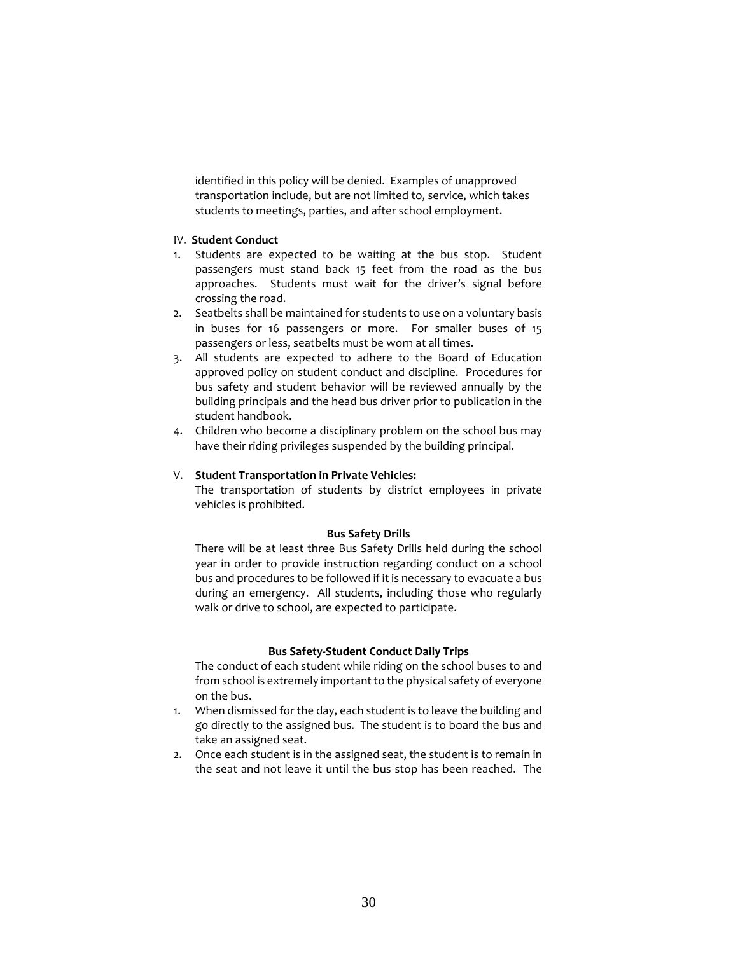identified in this policy will be denied. Examples of unapproved transportation include, but are not limited to, service, which takes students to meetings, parties, and after school employment.

# IV. **Student Conduct**

- 1. Students are expected to be waiting at the bus stop. Student passengers must stand back 15 feet from the road as the bus approaches. Students must wait for the driver's signal before crossing the road.
- 2. Seatbelts shall be maintained for students to use on a voluntary basis in buses for 16 passengers or more. For smaller buses of 15 passengers or less, seatbelts must be worn at all times.
- 3. All students are expected to adhere to the Board of Education approved policy on student conduct and discipline. Procedures for bus safety and student behavior will be reviewed annually by the building principals and the head bus driver prior to publication in the student handbook.
- 4. Children who become a disciplinary problem on the school bus may have their riding privileges suspended by the building principal.

### V. **Student Transportation in Private Vehicles:**

 The transportation of students by district employees in private vehicles is prohibited.

### **Bus Safety Drills**

There will be at least three Bus Safety Drills held during the school year in order to provide instruction regarding conduct on a school bus and procedures to be followed if it is necessary to evacuate a bus during an emergency. All students, including those who regularly walk or drive to school, are expected to participate.

### **Bus Safety-Student Conduct Daily Trips**

The conduct of each student while riding on the school buses to and from school is extremely important to the physical safety of everyone on the bus.

- 1. When dismissed for the day, each student is to leave the building and go directly to the assigned bus. The student is to board the bus and take an assigned seat.
- 2. Once each student is in the assigned seat, the student is to remain in the seat and not leave it until the bus stop has been reached. The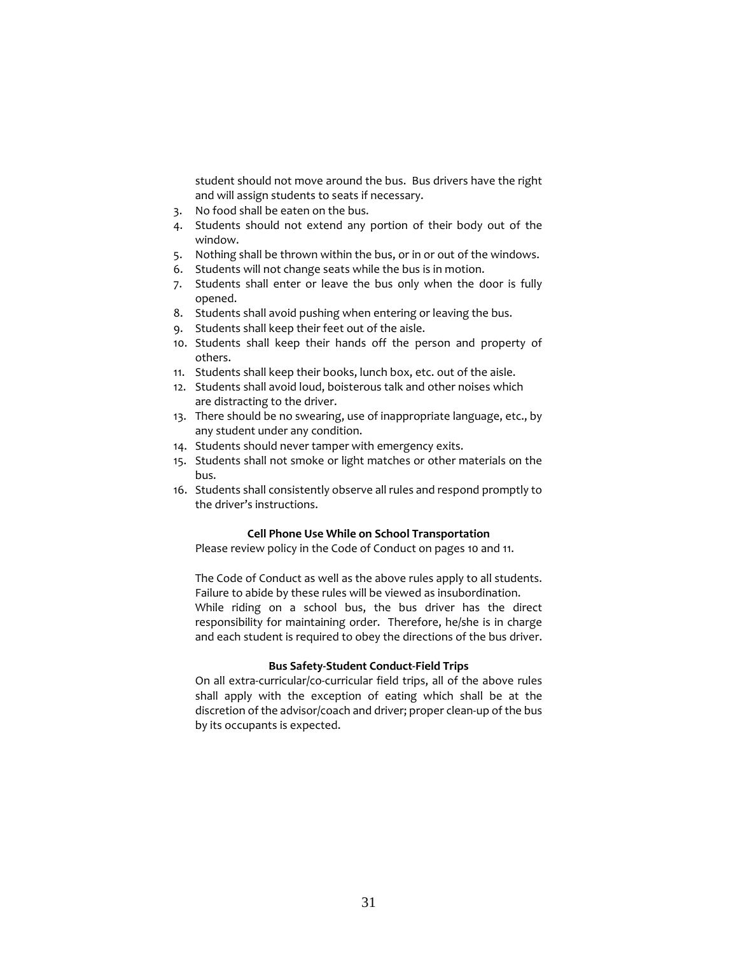student should not move around the bus. Bus drivers have the right and will assign students to seats if necessary.

- 3. No food shall be eaten on the bus.
- 4. Students should not extend any portion of their body out of the window.
- 5. Nothing shall be thrown within the bus, or in or out of the windows.
- 6. Students will not change seats while the bus is in motion.
- 7. Students shall enter or leave the bus only when the door is fully opened.
- 8. Students shall avoid pushing when entering or leaving the bus.
- 9. Students shall keep their feet out of the aisle.
- 10. Students shall keep their hands off the person and property of others.
- 11. Students shall keep their books, lunch box, etc. out of the aisle.
- 12. Students shall avoid loud, boisterous talk and other noises which are distracting to the driver.
- 13. There should be no swearing, use of inappropriate language, etc., by any student under any condition.
- 14. Students should never tamper with emergency exits.
- 15. Students shall not smoke or light matches or other materials on the bus.
- 16. Students shall consistently observe all rules and respond promptly to the driver's instructions.

### **Cell Phone Use While on School Transportation**

Please review policy in the Code of Conduct on pages 10 and 11.

The Code of Conduct as well as the above rules apply to all students. Failure to abide by these rules will be viewed as insubordination. While riding on a school bus, the bus driver has the direct responsibility for maintaining order. Therefore, he/she is in charge and each student is required to obey the directions of the bus driver.

### **Bus Safety-Student Conduct-Field Trips**

On all extra-curricular/co-curricular field trips, all of the above rules shall apply with the exception of eating which shall be at the discretion of the advisor/coach and driver; proper clean-up of the bus by its occupants is expected.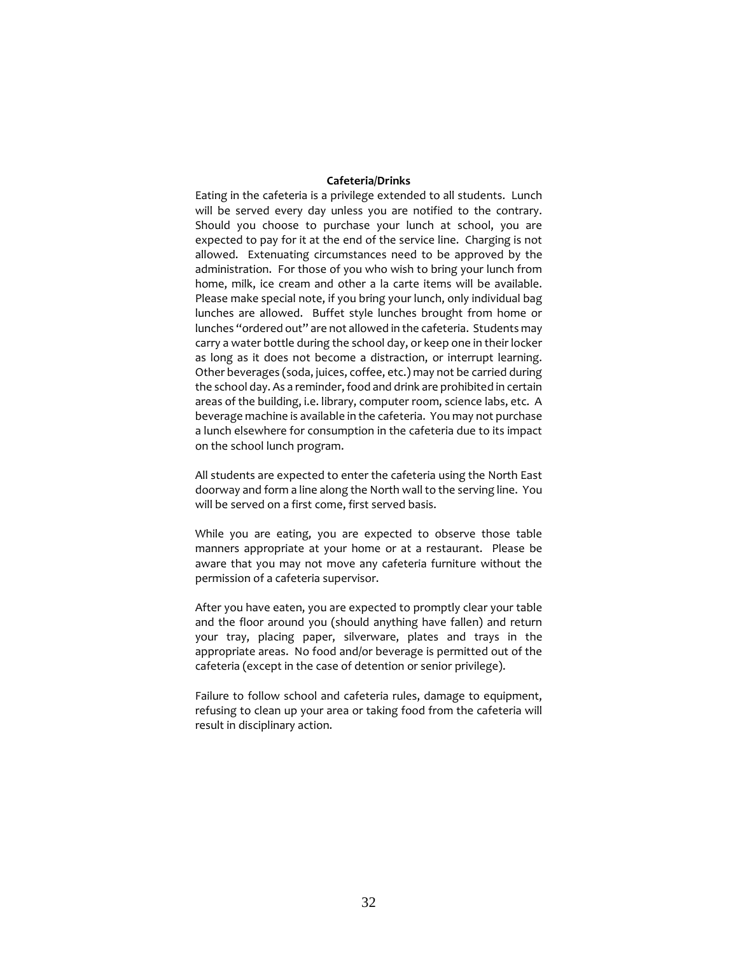### **Cafeteria/Drinks**

Eating in the cafeteria is a privilege extended to all students. Lunch will be served every day unless you are notified to the contrary. Should you choose to purchase your lunch at school, you are expected to pay for it at the end of the service line. Charging is not allowed. Extenuating circumstances need to be approved by the administration. For those of you who wish to bring your lunch from home, milk, ice cream and other a la carte items will be available. Please make special note, if you bring your lunch, only individual bag lunches are allowed. Buffet style lunches brought from home or lunches "ordered out" are not allowed in the cafeteria. Students may carry a water bottle during the school day, or keep one in their locker as long as it does not become a distraction, or interrupt learning. Other beverages (soda, juices, coffee, etc.) may not be carried during the school day. As a reminder, food and drink are prohibited in certain areas of the building, i.e. library, computer room, science labs, etc. A beverage machine is available in the cafeteria. You may not purchase a lunch elsewhere for consumption in the cafeteria due to its impact on the school lunch program.

All students are expected to enter the cafeteria using the North East doorway and form a line along the North wall to the serving line. You will be served on a first come, first served basis.

While you are eating, you are expected to observe those table manners appropriate at your home or at a restaurant. Please be aware that you may not move any cafeteria furniture without the permission of a cafeteria supervisor.

After you have eaten, you are expected to promptly clear your table and the floor around you (should anything have fallen) and return your tray, placing paper, silverware, plates and trays in the appropriate areas. No food and/or beverage is permitted out of the cafeteria (except in the case of detention or senior privilege).

Failure to follow school and cafeteria rules, damage to equipment, refusing to clean up your area or taking food from the cafeteria will result in disciplinary action.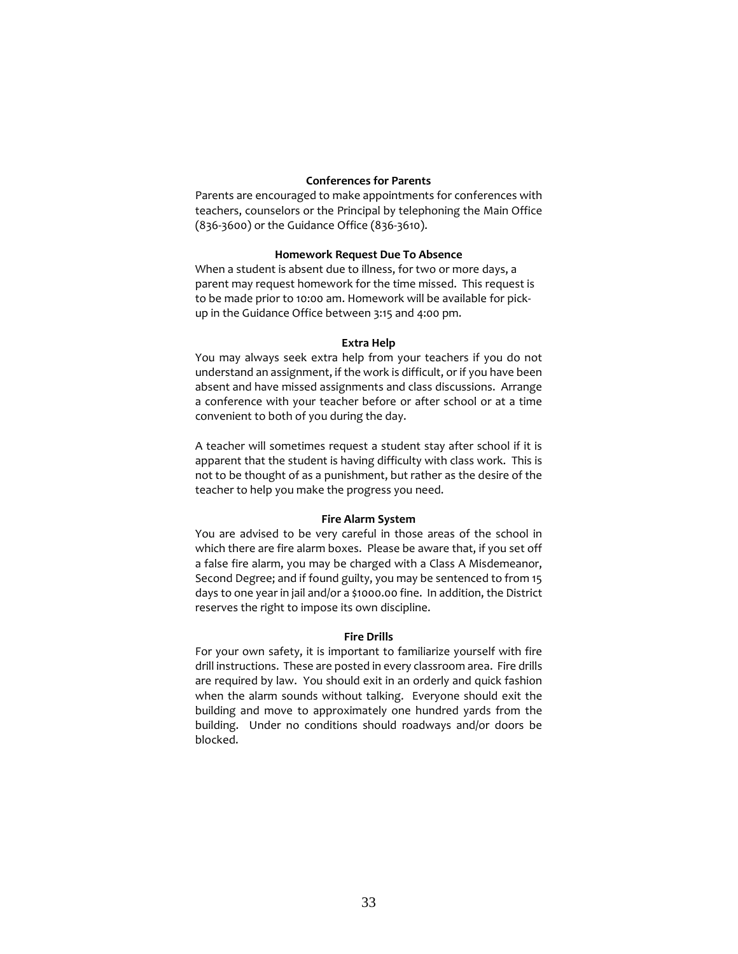### **Conferences for Parents**

Parents are encouraged to make appointments for conferences with teachers, counselors or the Principal by telephoning the Main Office (836-3600) or the Guidance Office (836-3610).

### **Homework Request Due To Absence**

When a student is absent due to illness, for two or more days, a parent may request homework for the time missed. This request is to be made prior to 10:00 am. Homework will be available for pickup in the Guidance Office between 3:15 and 4:00 pm.

#### **Extra Help**

You may always seek extra help from your teachers if you do not understand an assignment, if the work is difficult, or if you have been absent and have missed assignments and class discussions. Arrange a conference with your teacher before or after school or at a time convenient to both of you during the day.

A teacher will sometimes request a student stay after school if it is apparent that the student is having difficulty with class work. This is not to be thought of as a punishment, but rather as the desire of the teacher to help you make the progress you need.

#### **Fire Alarm System**

You are advised to be very careful in those areas of the school in which there are fire alarm boxes. Please be aware that, if you set off a false fire alarm, you may be charged with a Class A Misdemeanor, Second Degree; and if found guilty, you may be sentenced to from 15 days to one year in jail and/or a \$1000.00 fine. In addition, the District reserves the right to impose its own discipline.

### **Fire Drills**

For your own safety, it is important to familiarize yourself with fire drill instructions. These are posted in every classroom area. Fire drills are required by law. You should exit in an orderly and quick fashion when the alarm sounds without talking. Everyone should exit the building and move to approximately one hundred yards from the building. Under no conditions should roadways and/or doors be blocked.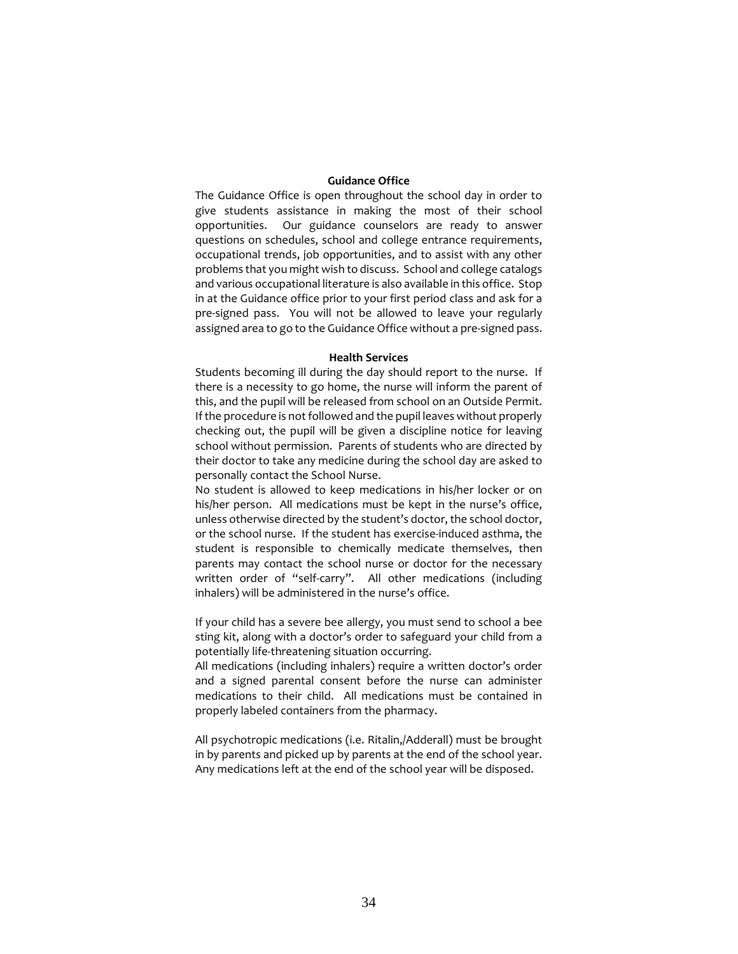#### **Guidance Office**

The Guidance Office is open throughout the school day in order to give students assistance in making the most of their school opportunities. Our guidance counselors are ready to answer questions on schedules, school and college entrance requirements, occupational trends, job opportunities, and to assist with any other problems that you might wish to discuss. School and college catalogs and various occupational literature is also available in this office. Stop in at the Guidance office prior to your first period class and ask for a pre-signed pass. You will not be allowed to leave your regularly assigned area to go to the Guidance Office without a pre-signed pass.

#### **Health Services**

Students becoming ill during the day should report to the nurse. If there is a necessity to go home, the nurse will inform the parent of this, and the pupil will be released from school on an Outside Permit. If the procedure is not followed and the pupil leaves without properly checking out, the pupil will be given a discipline notice for leaving school without permission. Parents of students who are directed by their doctor to take any medicine during the school day are asked to personally contact the School Nurse.

No student is allowed to keep medications in his/her locker or on his/her person. All medications must be kept in the nurse's office, unless otherwise directed by the student's doctor, the school doctor, or the school nurse. If the student has exercise-induced asthma, the student is responsible to chemically medicate themselves, then parents may contact the school nurse or doctor for the necessary written order of "self-carry". All other medications (including inhalers) will be administered in the nurse's office.

If your child has a severe bee allergy, you must send to school a bee sting kit, along with a doctor's order to safeguard your child from a potentially life-threatening situation occurring.

All medications (including inhalers) require a written doctor's order and a signed parental consent before the nurse can administer medications to their child. All medications must be contained in properly labeled containers from the pharmacy.

All psychotropic medications (i.e. Ritalin,/Adderall) must be brought in by parents and picked up by parents at the end of the school year. Any medications left at the end of the school year will be disposed.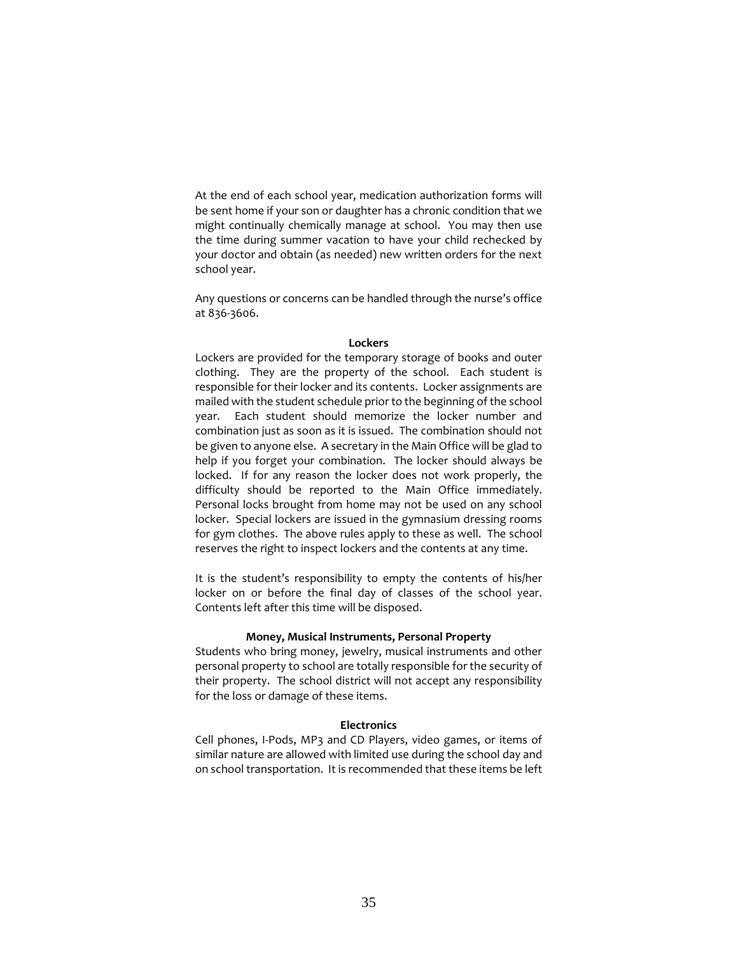At the end of each school year, medication authorization forms will be sent home if your son or daughter has a chronic condition that we might continually chemically manage at school. You may then use the time during summer vacation to have your child rechecked by your doctor and obtain (as needed) new written orders for the next school year.

Any questions or concerns can be handled through the nurse's office at 836-3606.

#### **Lockers**

Lockers are provided for the temporary storage of books and outer clothing. They are the property of the school. Each student is responsible for their locker and its contents. Locker assignments are mailed with the student schedule prior to the beginning of the school year. Each student should memorize the locker number and combination just as soon as it is issued. The combination should not be given to anyone else. A secretary in the Main Office will be glad to help if you forget your combination. The locker should always be locked. If for any reason the locker does not work properly, the difficulty should be reported to the Main Office immediately. Personal locks brought from home may not be used on any school locker. Special lockers are issued in the gymnasium dressing rooms for gym clothes. The above rules apply to these as well. The school reserves the right to inspect lockers and the contents at any time.

It is the student's responsibility to empty the contents of his/her locker on or before the final day of classes of the school year. Contents left after this time will be disposed.

# **Money, Musical Instruments, Personal Property**

Students who bring money, jewelry, musical instruments and other personal property to school are totally responsible for the security of their property. The school district will not accept any responsibility for the loss or damage of these items.

#### **Electronics**

Cell phones, I-Pods, MP3 and CD Players, video games, or items of similar nature are allowed with limited use during the school day and on school transportation. It is recommended that these items be left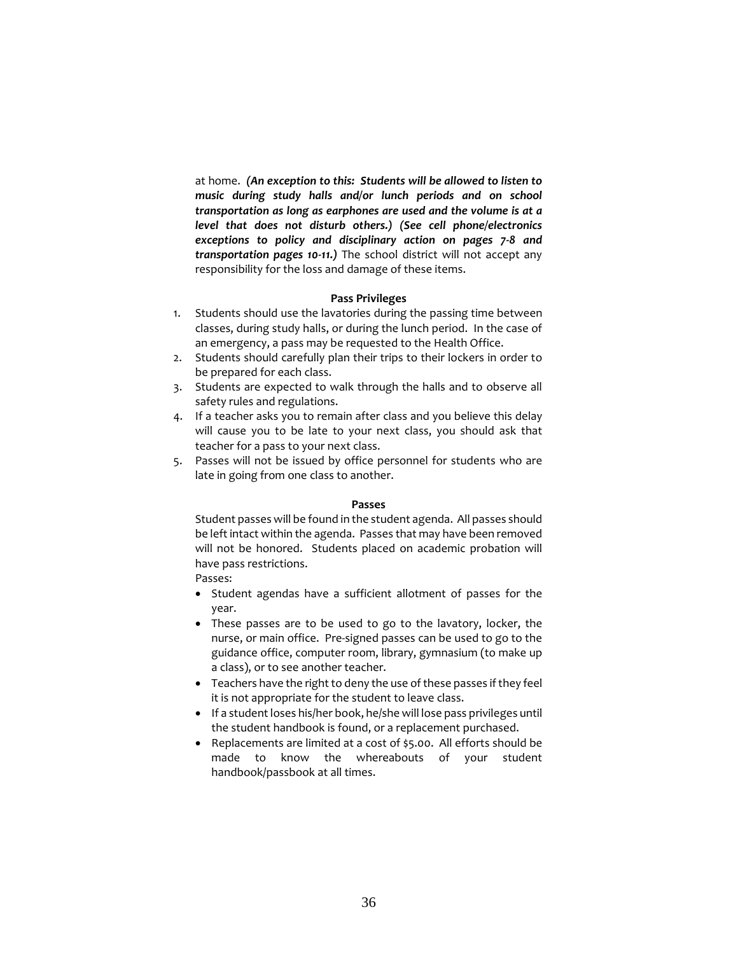at home. *(An exception to this: Students will be allowed to listen to music during study halls and/or lunch periods and on school transportation as long as earphones are used and the volume is at a level that does not disturb others.) (See cell phone/electronics exceptions to policy and disciplinary action on pages 7-8 and transportation pages 10-11.)* The school district will not accept any responsibility for the loss and damage of these items.

### **Pass Privileges**

- 1. Students should use the lavatories during the passing time between classes, during study halls, or during the lunch period. In the case of an emergency, a pass may be requested to the Health Office.
- 2. Students should carefully plan their trips to their lockers in order to be prepared for each class.
- 3. Students are expected to walk through the halls and to observe all safety rules and regulations.
- 4. If a teacher asks you to remain after class and you believe this delay will cause you to be late to your next class, you should ask that teacher for a pass to your next class.
- 5. Passes will not be issued by office personnel for students who are late in going from one class to another.

#### **Passes**

Student passes will be found in the student agenda. All passes should be left intact within the agenda. Passes that may have been removed will not be honored. Students placed on academic probation will have pass restrictions.

# Passes:

- Student agendas have a sufficient allotment of passes for the year.
- These passes are to be used to go to the lavatory, locker, the nurse, or main office. Pre-signed passes can be used to go to the guidance office, computer room, library, gymnasium (to make up a class), or to see another teacher.
- Teachers have the right to deny the use of these passes if they feel it is not appropriate for the student to leave class.
- If a student loses his/her book, he/she will lose pass privileges until the student handbook is found, or a replacement purchased.
- Replacements are limited at a cost of \$5.00. All efforts should be made to know the whereabouts of your student handbook/passbook at all times.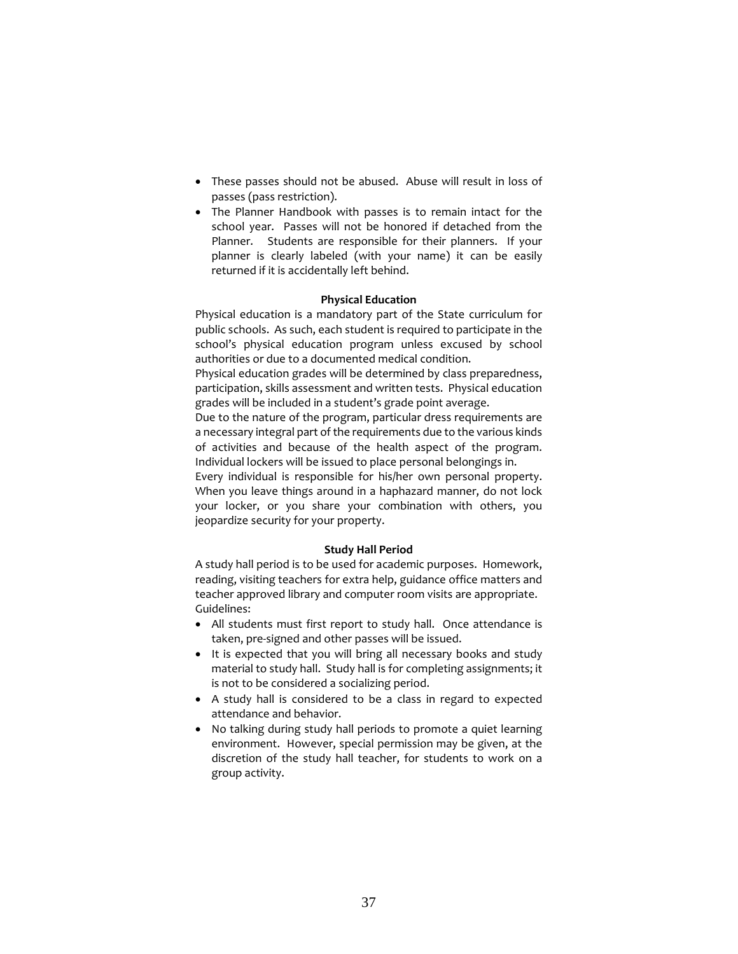- These passes should not be abused. Abuse will result in loss of passes (pass restriction).
- The Planner Handbook with passes is to remain intact for the school year. Passes will not be honored if detached from the Planner. Students are responsible for their planners. If your planner is clearly labeled (with your name) it can be easily returned if it is accidentally left behind.

# **Physical Education**

Physical education is a mandatory part of the State curriculum for public schools. As such, each student is required to participate in the school's physical education program unless excused by school authorities or due to a documented medical condition.

Physical education grades will be determined by class preparedness, participation, skills assessment and written tests. Physical education grades will be included in a student's grade point average.

Due to the nature of the program, particular dress requirements are a necessary integral part of the requirements due to the various kinds of activities and because of the health aspect of the program. Individual lockers will be issued to place personal belongings in.

Every individual is responsible for his/her own personal property. When you leave things around in a haphazard manner, do not lock your locker, or you share your combination with others, you jeopardize security for your property.

# **Study Hall Period**

A study hall period is to be used for academic purposes. Homework, reading, visiting teachers for extra help, guidance office matters and teacher approved library and computer room visits are appropriate. Guidelines:

- All students must first report to study hall. Once attendance is taken, pre-signed and other passes will be issued.
- It is expected that you will bring all necessary books and study material to study hall. Study hall is for completing assignments; it is not to be considered a socializing period.
- A study hall is considered to be a class in regard to expected attendance and behavior.
- No talking during study hall periods to promote a quiet learning environment. However, special permission may be given, at the discretion of the study hall teacher, for students to work on a group activity.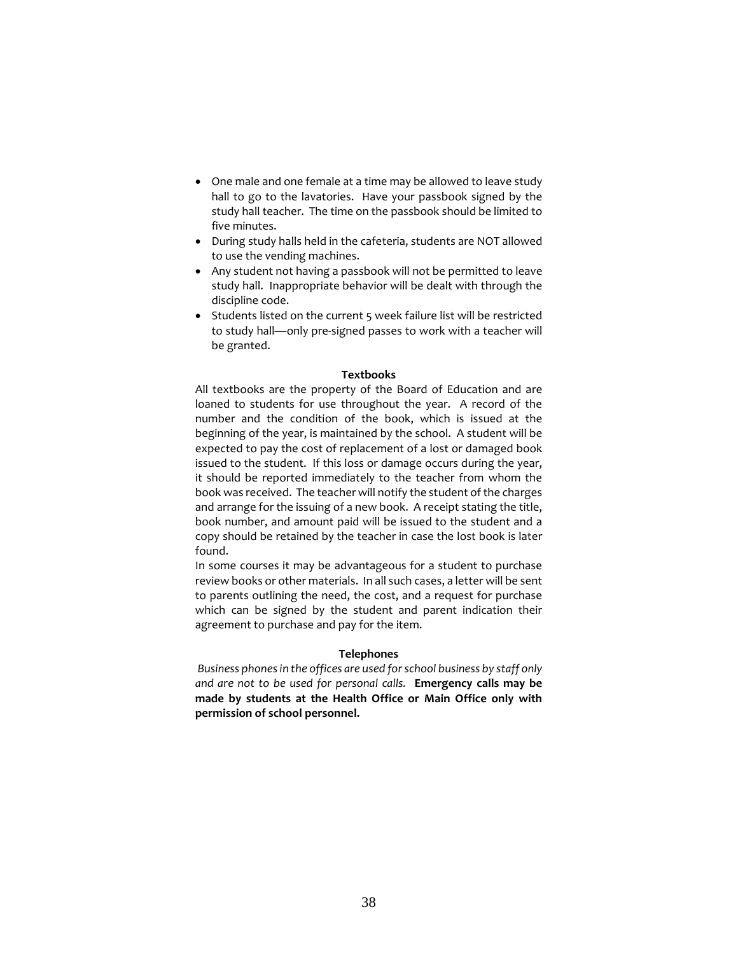- One male and one female at a time may be allowed to leave study hall to go to the lavatories. Have your passbook signed by the study hall teacher. The time on the passbook should be limited to five minutes.
- During study halls held in the cafeteria, students are NOT allowed to use the vending machines.
- Any student not having a passbook will not be permitted to leave study hall. Inappropriate behavior will be dealt with through the discipline code.
- Students listed on the current 5 week failure list will be restricted to study hall—only pre-signed passes to work with a teacher will be granted.

### **Textbooks**

All textbooks are the property of the Board of Education and are loaned to students for use throughout the year. A record of the number and the condition of the book, which is issued at the beginning of the year, is maintained by the school. A student will be expected to pay the cost of replacement of a lost or damaged book issued to the student. If this loss or damage occurs during the year, it should be reported immediately to the teacher from whom the book was received. The teacher will notify the student of the charges and arrange for the issuing of a new book. A receipt stating the title, book number, and amount paid will be issued to the student and a copy should be retained by the teacher in case the lost book is later found.

In some courses it may be advantageous for a student to purchase review books or other materials. In all such cases, a letter will be sent to parents outlining the need, the cost, and a request for purchase which can be signed by the student and parent indication their agreement to purchase and pay for the item.

#### **Telephones**

*Business phones in the offices are used for school business by staff only and are not to be used for personal calls.* **Emergency calls may be made by students at the Health Office or Main Office only with permission of school personnel.**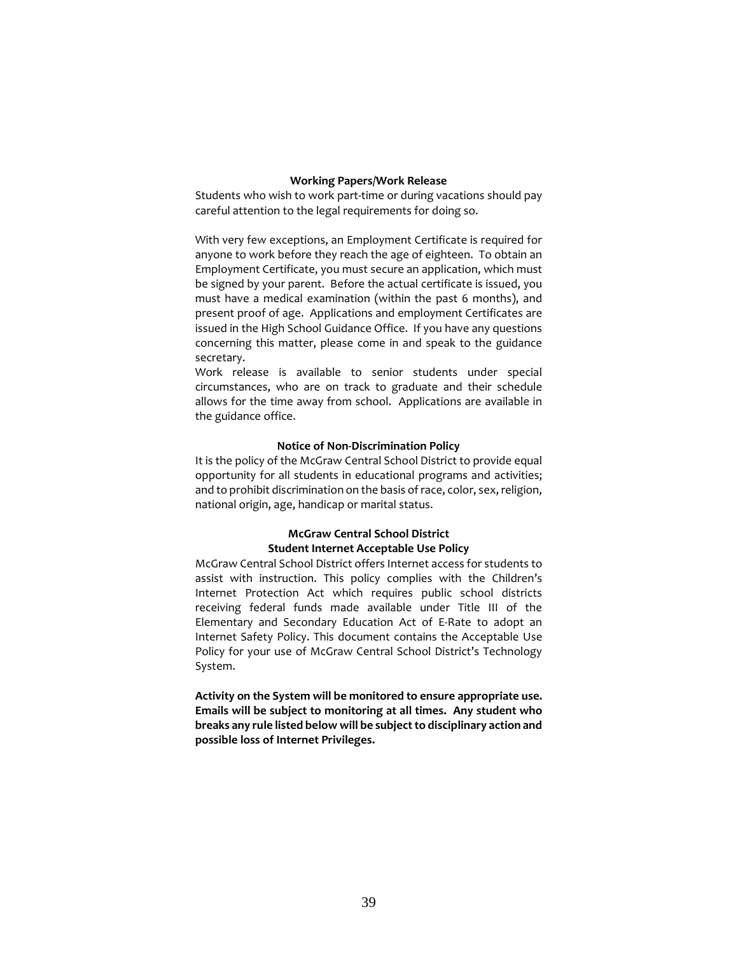#### **Working Papers/Work Release**

Students who wish to work part-time or during vacations should pay careful attention to the legal requirements for doing so.

With very few exceptions, an Employment Certificate is required for anyone to work before they reach the age of eighteen. To obtain an Employment Certificate, you must secure an application, which must be signed by your parent. Before the actual certificate is issued, you must have a medical examination (within the past 6 months), and present proof of age. Applications and employment Certificates are issued in the High School Guidance Office. If you have any questions concerning this matter, please come in and speak to the guidance secretary.

Work release is available to senior students under special circumstances, who are on track to graduate and their schedule allows for the time away from school. Applications are available in the guidance office.

## **Notice of Non-Discrimination Policy**

It is the policy of the McGraw Central School District to provide equal opportunity for all students in educational programs and activities; and to prohibit discrimination on the basis of race, color, sex, religion, national origin, age, handicap or marital status.

# **McGraw Central School District Student Internet Acceptable Use Policy**

McGraw Central School District offers Internet access for students to assist with instruction. This policy complies with the Children's Internet Protection Act which requires public school districts receiving federal funds made available under Title III of the Elementary and Secondary Education Act of E-Rate to adopt an Internet Safety Policy. This document contains the Acceptable Use Policy for your use of McGraw Central School District's Technology System.

**Activity on the System will be monitored to ensure appropriate use. Emails will be subject to monitoring at all times. Any student who breaks any rule listed below will be subject to disciplinary action and possible loss of Internet Privileges.**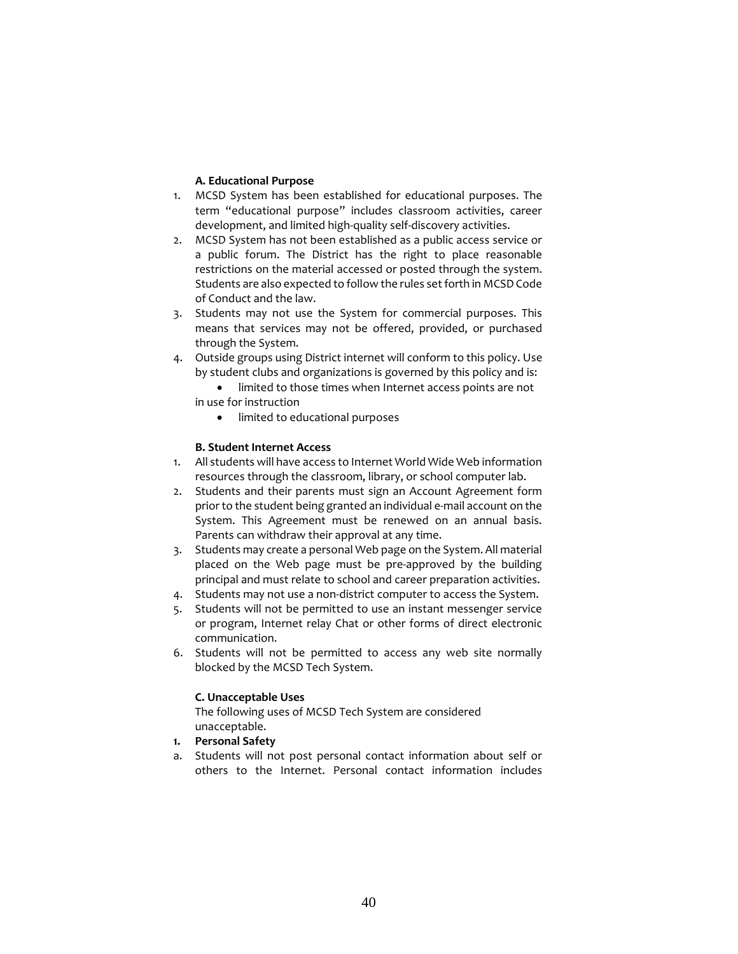# **A. Educational Purpose**

- 1. MCSD System has been established for educational purposes. The term "educational purpose" includes classroom activities, career development, and limited high-quality self-discovery activities.
- 2. MCSD System has not been established as a public access service or a public forum. The District has the right to place reasonable restrictions on the material accessed or posted through the system. Students are also expected to follow the rules set forth in MCSD Code of Conduct and the law.
- 3. Students may not use the System for commercial purposes. This means that services may not be offered, provided, or purchased through the System.
- 4. Outside groups using District internet will conform to this policy. Use by student clubs and organizations is governed by this policy and is:
	- limited to those times when Internet access points are not in use for instruction
		- limited to educational purposes

# **B. Student Internet Access**

- 1. All students will have access to Internet World Wide Web information resources through the classroom, library, or school computer lab.
- 2. Students and their parents must sign an Account Agreement form prior to the student being granted an individual e-mail account on the System. This Agreement must be renewed on an annual basis. Parents can withdraw their approval at any time.
- 3. Students may create a personal Web page on the System. All material placed on the Web page must be pre-approved by the building principal and must relate to school and career preparation activities.
- 4. Students may not use a non-district computer to access the System.
- 5. Students will not be permitted to use an instant messenger service or program, Internet relay Chat or other forms of direct electronic communication.
- 6. Students will not be permitted to access any web site normally blocked by the MCSD Tech System.

# **C. Unacceptable Uses**

The following uses of MCSD Tech System are considered unacceptable.

- **1. Personal Safety**
- a. Students will not post personal contact information about self or others to the Internet. Personal contact information includes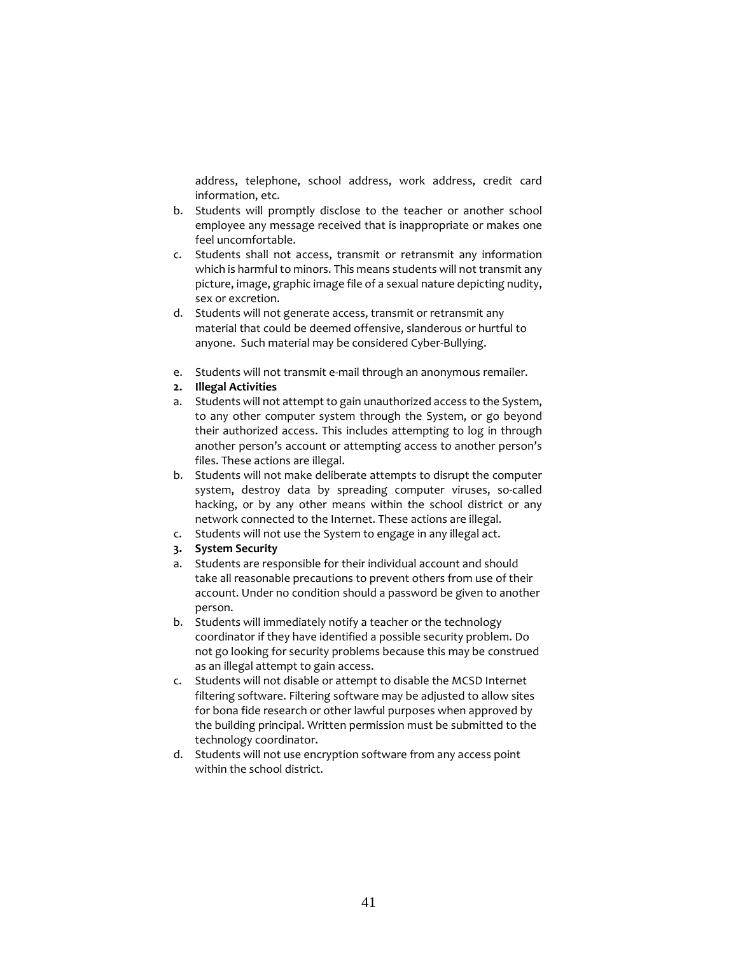address, telephone, school address, work address, credit card information, etc.

- b. Students will promptly disclose to the teacher or another school employee any message received that is inappropriate or makes one feel uncomfortable.
- c. Students shall not access, transmit or retransmit any information which is harmful to minors. This means students will not transmit any picture, image, graphic image file of a sexual nature depicting nudity, sex or excretion.
- d. Students will not generate access, transmit or retransmit any material that could be deemed offensive, slanderous or hurtful to anyone. Such material may be considered Cyber-Bullying.
- e. Students will not transmit e-mail through an anonymous remailer.
- **2. Illegal Activities**
- a. Students will not attempt to gain unauthorized access to the System, to any other computer system through the System, or go beyond their authorized access. This includes attempting to log in through another person's account or attempting access to another person's files. These actions are illegal.
- b. Students will not make deliberate attempts to disrupt the computer system, destroy data by spreading computer viruses, so-called hacking, or by any other means within the school district or any network connected to the Internet. These actions are illegal.
- c. Students will not use the System to engage in any illegal act.
- **3. System Security**
- a. Students are responsible for their individual account and should take all reasonable precautions to prevent others from use of their account. Under no condition should a password be given to another person.
- b. Students will immediately notify a teacher or the technology coordinator if they have identified a possible security problem. Do not go looking for security problems because this may be construed as an illegal attempt to gain access.
- c. Students will not disable or attempt to disable the MCSD Internet filtering software. Filtering software may be adjusted to allow sites for bona fide research or other lawful purposes when approved by the building principal. Written permission must be submitted to the technology coordinator.
- d. Students will not use encryption software from any access point within the school district.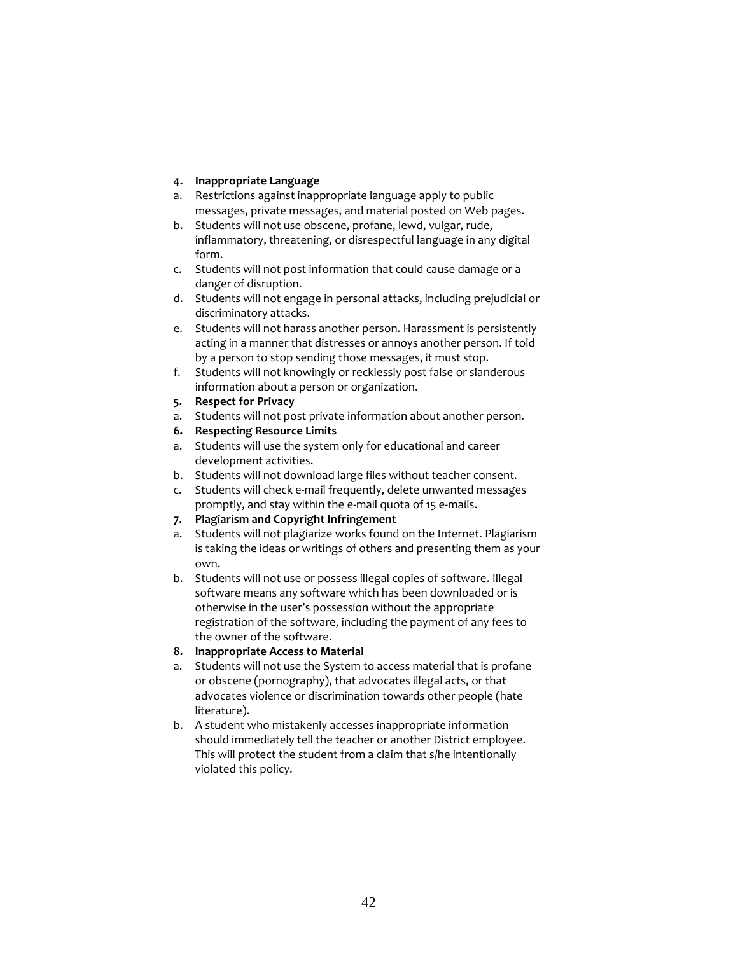# **4. Inappropriate Language**

- a. Restrictions against inappropriate language apply to public messages, private messages, and material posted on Web pages.
- b. Students will not use obscene, profane, lewd, vulgar, rude, inflammatory, threatening, or disrespectful language in any digital form.
- c. Students will not post information that could cause damage or a danger of disruption.
- d. Students will not engage in personal attacks, including prejudicial or discriminatory attacks.
- e. Students will not harass another person. Harassment is persistently acting in a manner that distresses or annoys another person. If told by a person to stop sending those messages, it must stop.
- f. Students will not knowingly or recklessly post false or slanderous information about a person or organization.
- **5. Respect for Privacy**
- a. Students will not post private information about another person.
- **6. Respecting Resource Limits**
- a. Students will use the system only for educational and career development activities.
- b. Students will not download large files without teacher consent.
- c. Students will check e-mail frequently, delete unwanted messages promptly, and stay within the e-mail quota of 15 e-mails.
- **7. Plagiarism and Copyright Infringement**
- a. Students will not plagiarize works found on the Internet. Plagiarism is taking the ideas or writings of others and presenting them as your own.
- b. Students will not use or possess illegal copies of software. Illegal software means any software which has been downloaded or is otherwise in the user's possession without the appropriate registration of the software, including the payment of any fees to the owner of the software.

# **8. Inappropriate Access to Material**

- a. Students will not use the System to access material that is profane or obscene (pornography), that advocates illegal acts, or that advocates violence or discrimination towards other people (hate literature).
- b. A student who mistakenly accesses inappropriate information should immediately tell the teacher or another District employee. This will protect the student from a claim that s/he intentionally violated this policy.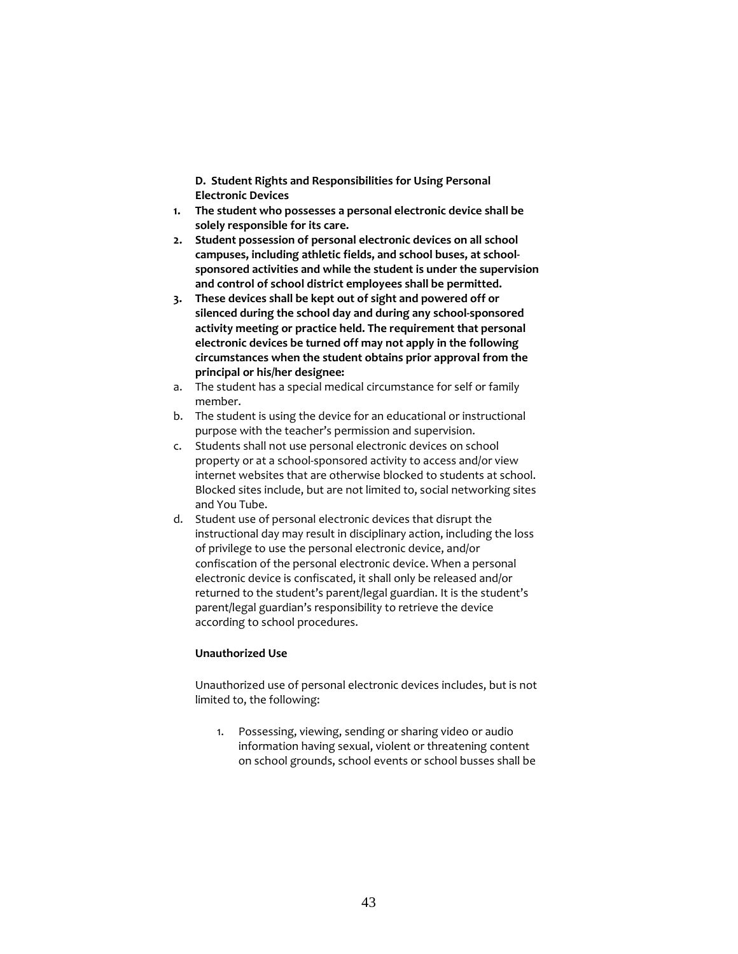**D. Student Rights and Responsibilities for Using Personal Electronic Devices**

- **1. The student who possesses a personal electronic device shall be solely responsible for its care.**
- **2. Student possession of personal electronic devices on all school campuses, including athletic fields, and school buses, at schoolsponsored activities and while the student is under the supervision and control of school district employees shall be permitted.**
- **3. These devices shall be kept out of sight and powered off or silenced during the school day and during any school-sponsored activity meeting or practice held. The requirement that personal electronic devices be turned off may not apply in the following circumstances when the student obtains prior approval from the principal or his/her designee:**
- a. The student has a special medical circumstance for self or family member.
- b. The student is using the device for an educational or instructional purpose with the teacher's permission and supervision.
- c. Students shall not use personal electronic devices on school property or at a school-sponsored activity to access and/or view internet websites that are otherwise blocked to students at school. Blocked sites include, but are not limited to, social networking sites and You Tube.
- d. Student use of personal electronic devices that disrupt the instructional day may result in disciplinary action, including the loss of privilege to use the personal electronic device, and/or confiscation of the personal electronic device. When a personal electronic device is confiscated, it shall only be released and/or returned to the student's parent/legal guardian. It is the student's parent/legal guardian's responsibility to retrieve the device according to school procedures.

# **Unauthorized Use**

Unauthorized use of personal electronic devices includes, but is not limited to, the following:

1. Possessing, viewing, sending or sharing video or audio information having sexual, violent or threatening content on school grounds, school events or school busses shall be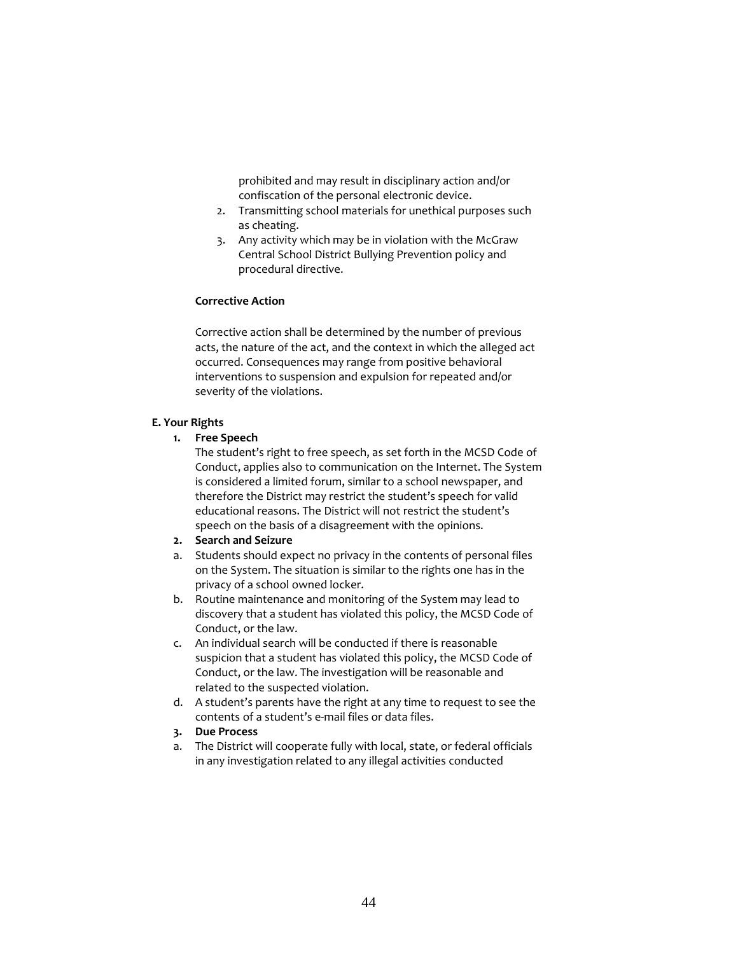prohibited and may result in disciplinary action and/or confiscation of the personal electronic device.

- 2. Transmitting school materials for unethical purposes such as cheating.
- 3. Any activity which may be in violation with the McGraw Central School District Bullying Prevention policy and procedural directive.

# **Corrective Action**

Corrective action shall be determined by the number of previous acts, the nature of the act, and the context in which the alleged act occurred. Consequences may range from positive behavioral interventions to suspension and expulsion for repeated and/or severity of the violations.

#### **E. Your Rights**

# **1. Free Speech**

The student's right to free speech, as set forth in the MCSD Code of Conduct, applies also to communication on the Internet. The System is considered a limited forum, similar to a school newspaper, and therefore the District may restrict the student's speech for valid educational reasons. The District will not restrict the student's speech on the basis of a disagreement with the opinions.

# **2. Search and Seizure**

- a. Students should expect no privacy in the contents of personal files on the System. The situation is similar to the rights one has in the privacy of a school owned locker.
- b. Routine maintenance and monitoring of the System may lead to discovery that a student has violated this policy, the MCSD Code of Conduct, or the law.
- c. An individual search will be conducted if there is reasonable suspicion that a student has violated this policy, the MCSD Code of Conduct, or the law. The investigation will be reasonable and related to the suspected violation.
- d. A student's parents have the right at any time to request to see the contents of a student's e-mail files or data files.
- **3. Due Process**
- a. The District will cooperate fully with local, state, or federal officials in any investigation related to any illegal activities conducted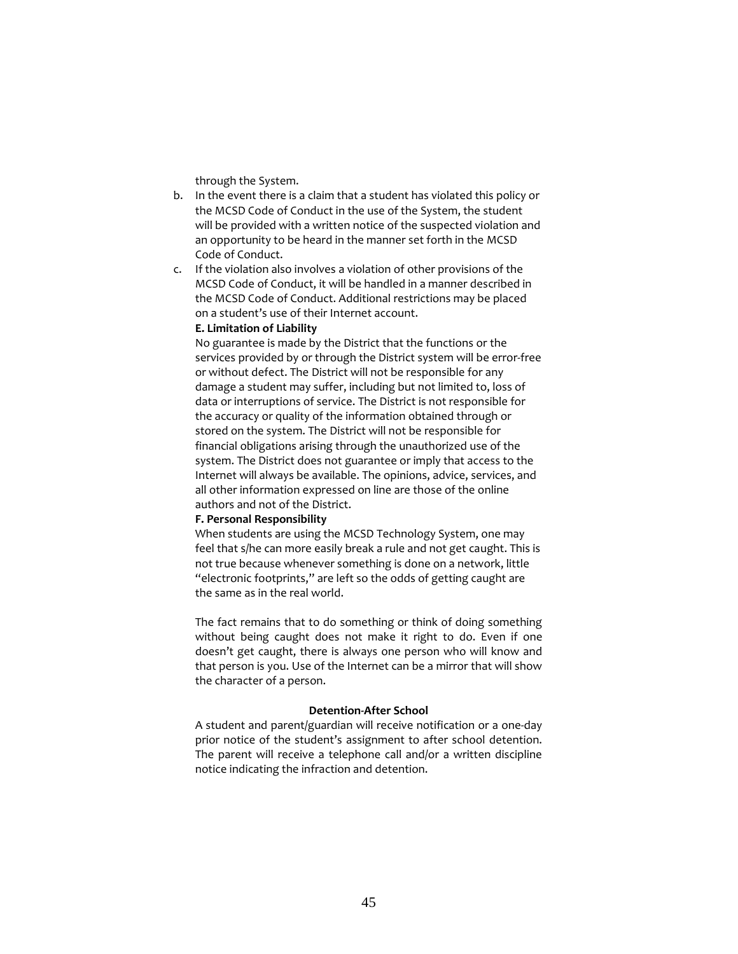through the System.

- b. In the event there is a claim that a student has violated this policy or the MCSD Code of Conduct in the use of the System, the student will be provided with a written notice of the suspected violation and an opportunity to be heard in the manner set forth in the MCSD Code of Conduct.
- c. If the violation also involves a violation of other provisions of the MCSD Code of Conduct, it will be handled in a manner described in the MCSD Code of Conduct. Additional restrictions may be placed on a student's use of their Internet account.

### **E. Limitation of Liability**

No guarantee is made by the District that the functions or the services provided by or through the District system will be error-free or without defect. The District will not be responsible for any damage a student may suffer, including but not limited to, loss of data or interruptions of service. The District is not responsible for the accuracy or quality of the information obtained through or stored on the system. The District will not be responsible for financial obligations arising through the unauthorized use of the system. The District does not guarantee or imply that access to the Internet will always be available. The opinions, advice, services, and all other information expressed on line are those of the online authors and not of the District.

#### **F. Personal Responsibility**

When students are using the MCSD Technology System, one may feel that s/he can more easily break a rule and not get caught. This is not true because whenever something is done on a network, little "electronic footprints," are left so the odds of getting caught are the same as in the real world.

The fact remains that to do something or think of doing something without being caught does not make it right to do. Even if one doesn't get caught, there is always one person who will know and that person is you. Use of the Internet can be a mirror that will show the character of a person.

# **Detention-After School**

A student and parent/guardian will receive notification or a one-day prior notice of the student's assignment to after school detention. The parent will receive a telephone call and/or a written discipline notice indicating the infraction and detention.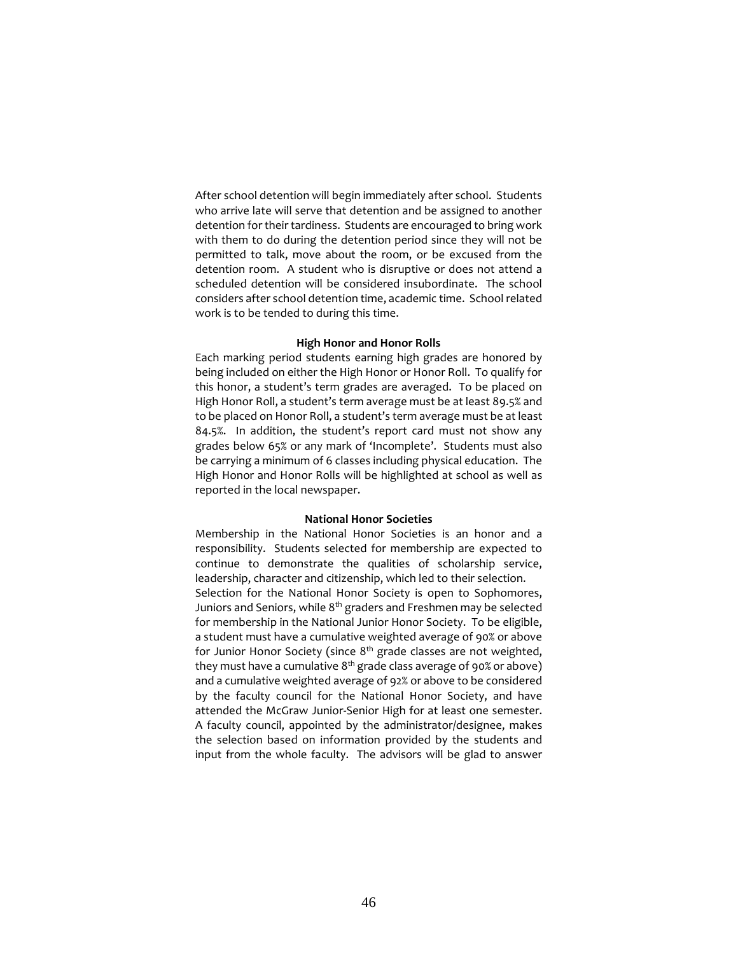After school detention will begin immediately after school. Students who arrive late will serve that detention and be assigned to another detention for their tardiness. Students are encouraged to bring work with them to do during the detention period since they will not be permitted to talk, move about the room, or be excused from the detention room. A student who is disruptive or does not attend a scheduled detention will be considered insubordinate. The school considers after school detention time, academic time. School related work is to be tended to during this time.

#### **High Honor and Honor Rolls**

Each marking period students earning high grades are honored by being included on either the High Honor or Honor Roll. To qualify for this honor, a student's term grades are averaged. To be placed on High Honor Roll, a student's term average must be at least 89.5% and to be placed on Honor Roll, a student's term average must be at least 84.5%. In addition, the student's report card must not show any grades below 65% or any mark of 'Incomplete'. Students must also be carrying a minimum of 6 classes including physical education. The High Honor and Honor Rolls will be highlighted at school as well as reported in the local newspaper.

# **National Honor Societies**

Membership in the National Honor Societies is an honor and a responsibility. Students selected for membership are expected to continue to demonstrate the qualities of scholarship service, leadership, character and citizenship, which led to their selection. Selection for the National Honor Society is open to Sophomores, Juniors and Seniors, while  $8<sup>th</sup>$  graders and Freshmen may be selected for membership in the National Junior Honor Society. To be eligible, a student must have a cumulative weighted average of 90% or above for Junior Honor Society (since  $8<sup>th</sup>$  grade classes are not weighted, they must have a cumulative  $8<sup>th</sup>$  grade class average of 90% or above) and a cumulative weighted average of 92% or above to be considered by the faculty council for the National Honor Society, and have attended the McGraw Junior-Senior High for at least one semester. A faculty council, appointed by the administrator/designee, makes the selection based on information provided by the students and input from the whole faculty. The advisors will be glad to answer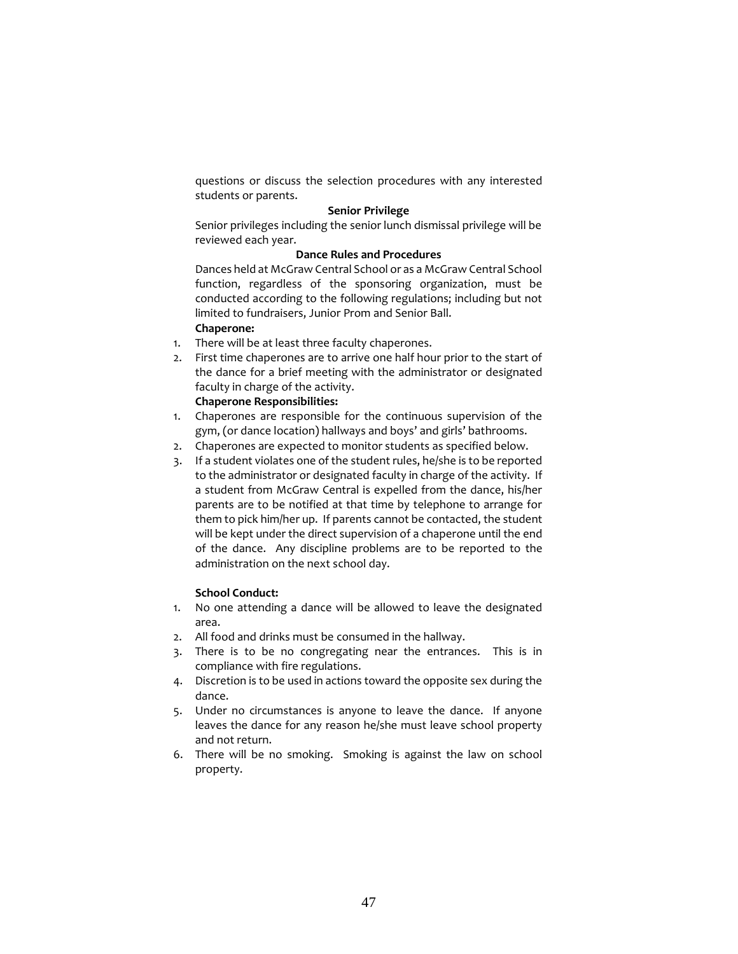questions or discuss the selection procedures with any interested students or parents.

### **Senior Privilege**

Senior privileges including the senior lunch dismissal privilege will be reviewed each year.

# **Dance Rules and Procedures**

Dances held at McGraw Central School or as a McGraw Central School function, regardless of the sponsoring organization, must be conducted according to the following regulations; including but not limited to fundraisers, Junior Prom and Senior Ball.

# **Chaperone:**

- 1. There will be at least three faculty chaperones.
- 2. First time chaperones are to arrive one half hour prior to the start of the dance for a brief meeting with the administrator or designated faculty in charge of the activity.

# **Chaperone Responsibilities:**

- 1. Chaperones are responsible for the continuous supervision of the gym, (or dance location) hallways and boys' and girls' bathrooms.
- 2. Chaperones are expected to monitor students as specified below.
- 3. If a student violates one of the student rules, he/she is to be reported to the administrator or designated faculty in charge of the activity. If a student from McGraw Central is expelled from the dance, his/her parents are to be notified at that time by telephone to arrange for them to pick him/her up. If parents cannot be contacted, the student will be kept under the direct supervision of a chaperone until the end of the dance. Any discipline problems are to be reported to the administration on the next school day.

### **School Conduct:**

- 1. No one attending a dance will be allowed to leave the designated area.
- 2. All food and drinks must be consumed in the hallway.
- 3. There is to be no congregating near the entrances. This is in compliance with fire regulations.
- 4. Discretion is to be used in actions toward the opposite sex during the dance.
- 5. Under no circumstances is anyone to leave the dance. If anyone leaves the dance for any reason he/she must leave school property and not return.
- 6. There will be no smoking. Smoking is against the law on school property.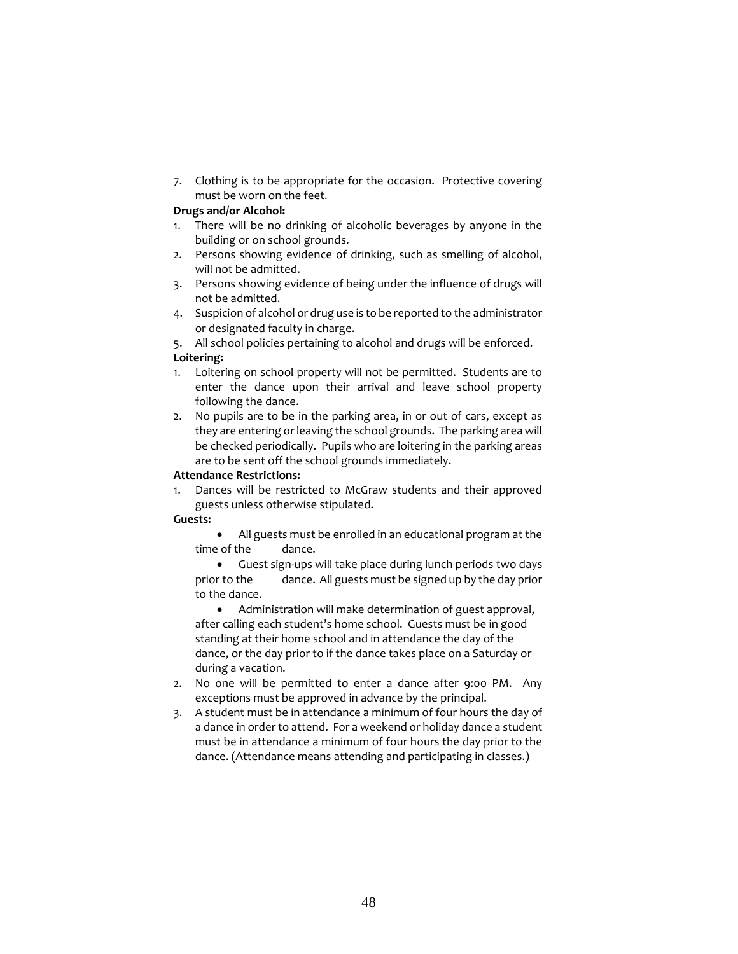7. Clothing is to be appropriate for the occasion. Protective covering must be worn on the feet.

# **Drugs and/or Alcohol:**

- 1. There will be no drinking of alcoholic beverages by anyone in the building or on school grounds.
- 2. Persons showing evidence of drinking, such as smelling of alcohol, will not be admitted.
- 3. Persons showing evidence of being under the influence of drugs will not be admitted.
- 4. Suspicion of alcohol or drug use is to be reported to the administrator or designated faculty in charge.

5. All school policies pertaining to alcohol and drugs will be enforced.

# **Loitering:**

- 1. Loitering on school property will not be permitted. Students are to enter the dance upon their arrival and leave school property following the dance.
- 2. No pupils are to be in the parking area, in or out of cars, except as they are entering or leaving the school grounds. The parking area will be checked periodically. Pupils who are loitering in the parking areas are to be sent off the school grounds immediately.

# **Attendance Restrictions:**

1. Dances will be restricted to McGraw students and their approved guests unless otherwise stipulated.

# **Guests:**

• All guests must be enrolled in an educational program at the time of the dance.

• Guest sign-ups will take place during lunch periods two days prior to the dance. All guests must be signed up by the day prior to the dance.

• Administration will make determination of guest approval, after calling each student's home school. Guests must be in good standing at their home school and in attendance the day of the dance, or the day prior to if the dance takes place on a Saturday or during a vacation.

- 2. No one will be permitted to enter a dance after 9:00 PM. Any exceptions must be approved in advance by the principal.
- 3. A student must be in attendance a minimum of four hours the day of a dance in order to attend. For a weekend or holiday dance a student must be in attendance a minimum of four hours the day prior to the dance. (Attendance means attending and participating in classes.)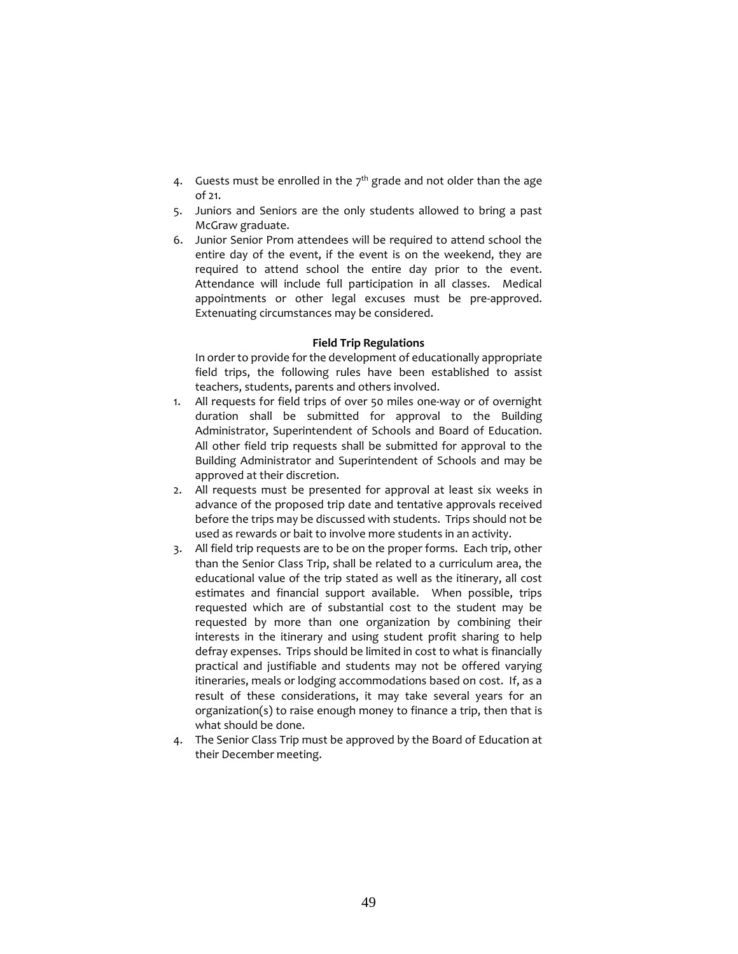- 4. Guests must be enrolled in the  $7<sup>th</sup>$  grade and not older than the age of 21.
- 5. Juniors and Seniors are the only students allowed to bring a past McGraw graduate.
- 6. Junior Senior Prom attendees will be required to attend school the entire day of the event, if the event is on the weekend, they are required to attend school the entire day prior to the event. Attendance will include full participation in all classes. Medical appointments or other legal excuses must be pre-approved. Extenuating circumstances may be considered.

#### **Field Trip Regulations**

In order to provide for the development of educationally appropriate field trips, the following rules have been established to assist teachers, students, parents and others involved.

- 1. All requests for field trips of over 50 miles one-way or of overnight duration shall be submitted for approval to the Building Administrator, Superintendent of Schools and Board of Education. All other field trip requests shall be submitted for approval to the Building Administrator and Superintendent of Schools and may be approved at their discretion.
- 2. All requests must be presented for approval at least six weeks in advance of the proposed trip date and tentative approvals received before the trips may be discussed with students. Trips should not be used as rewards or bait to involve more students in an activity.
- 3. All field trip requests are to be on the proper forms. Each trip, other than the Senior Class Trip, shall be related to a curriculum area, the educational value of the trip stated as well as the itinerary, all cost estimates and financial support available. When possible, trips requested which are of substantial cost to the student may be requested by more than one organization by combining their interests in the itinerary and using student profit sharing to help defray expenses. Trips should be limited in cost to what is financially practical and justifiable and students may not be offered varying itineraries, meals or lodging accommodations based on cost. If, as a result of these considerations, it may take several years for an organization(s) to raise enough money to finance a trip, then that is what should be done.
- 4. The Senior Class Trip must be approved by the Board of Education at their December meeting.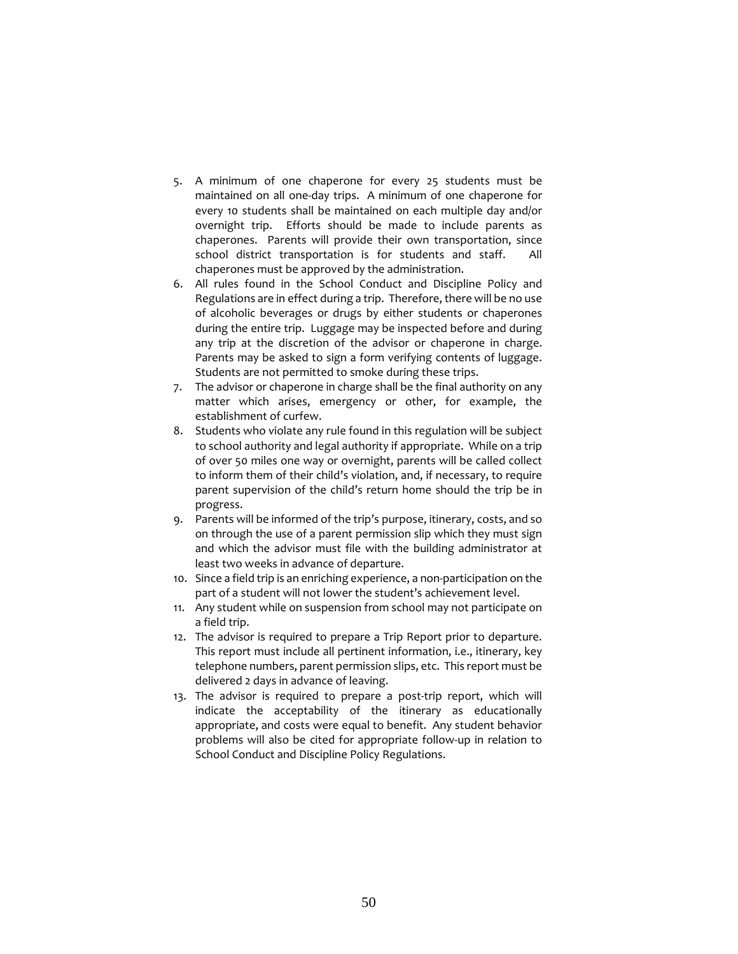- 5. A minimum of one chaperone for every 25 students must be maintained on all one-day trips. A minimum of one chaperone for every 10 students shall be maintained on each multiple day and/or overnight trip. Efforts should be made to include parents as chaperones. Parents will provide their own transportation, since school district transportation is for students and staff. All chaperones must be approved by the administration.
- 6. All rules found in the School Conduct and Discipline Policy and Regulations are in effect during a trip. Therefore, there will be no use of alcoholic beverages or drugs by either students or chaperones during the entire trip. Luggage may be inspected before and during any trip at the discretion of the advisor or chaperone in charge. Parents may be asked to sign a form verifying contents of luggage. Students are not permitted to smoke during these trips.
- 7. The advisor or chaperone in charge shall be the final authority on any matter which arises, emergency or other, for example, the establishment of curfew.
- 8. Students who violate any rule found in this regulation will be subject to school authority and legal authority if appropriate. While on a trip of over 50 miles one way or overnight, parents will be called collect to inform them of their child's violation, and, if necessary, to require parent supervision of the child's return home should the trip be in progress.
- 9. Parents will be informed of the trip's purpose, itinerary, costs, and so on through the use of a parent permission slip which they must sign and which the advisor must file with the building administrator at least two weeks in advance of departure.
- 10. Since a field trip is an enriching experience, a non-participation on the part of a student will not lower the student's achievement level.
- 11. Any student while on suspension from school may not participate on a field trip.
- 12. The advisor is required to prepare a Trip Report prior to departure. This report must include all pertinent information, i.e., itinerary, key telephone numbers, parent permission slips, etc. This report must be delivered 2 days in advance of leaving.
- 13. The advisor is required to prepare a post-trip report, which will indicate the acceptability of the itinerary as educationally appropriate, and costs were equal to benefit. Any student behavior problems will also be cited for appropriate follow-up in relation to School Conduct and Discipline Policy Regulations.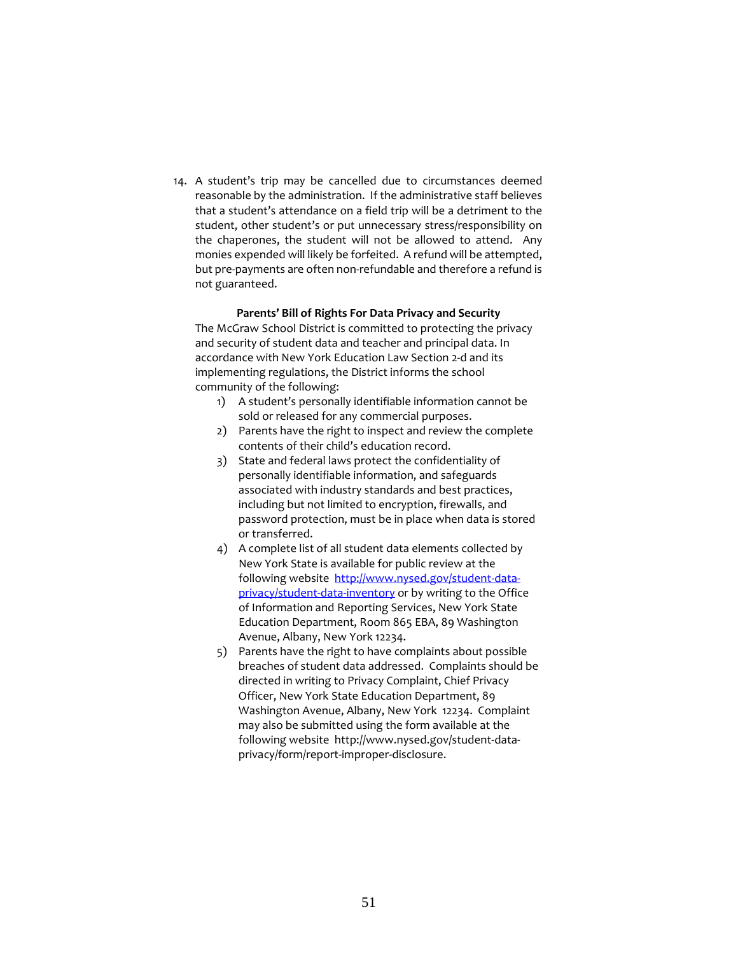14. A student's trip may be cancelled due to circumstances deemed reasonable by the administration. If the administrative staff believes that a student's attendance on a field trip will be a detriment to the student, other student's or put unnecessary stress/responsibility on the chaperones, the student will not be allowed to attend. Any monies expended will likely be forfeited. A refund will be attempted, but pre-payments are often non-refundable and therefore a refund is not guaranteed.

# **Parents' Bill of Rights For Data Privacy and Security**

The McGraw School District is committed to protecting the privacy and security of student data and teacher and principal data. In accordance with New York Education Law Section 2-d and its implementing regulations, the District informs the school community of the following:

- 1) A student's personally identifiable information cannot be sold or released for any commercial purposes.
- 2) Parents have the right to inspect and review the complete contents of their child's education record.
- 3) State and federal laws protect the confidentiality of personally identifiable information, and safeguards associated with industry standards and best practices, including but not limited to encryption, firewalls, and password protection, must be in place when data is stored or transferred.
- 4) A complete list of all student data elements collected by New York State is available for public review at the following website [http://www.nysed.gov/student-data](http://www.nysed.gov/student-data-privacy/student-data-inventory)[privacy/student-data-inventory](http://www.nysed.gov/student-data-privacy/student-data-inventory) or by writing to the Office of Information and Reporting Services, New York State Education Department, Room 865 EBA, 89 Washington Avenue, Albany, New York 12234.
- 5) Parents have the right to have complaints about possible breaches of student data addressed. Complaints should be directed in writing to Privacy Complaint, Chief Privacy Officer, New York State Education Department, 89 Washington Avenue, Albany, New York 12234. Complaint may also be submitted using the form available at the following website http://www.nysed.gov/student-dataprivacy/form/report-improper-disclosure.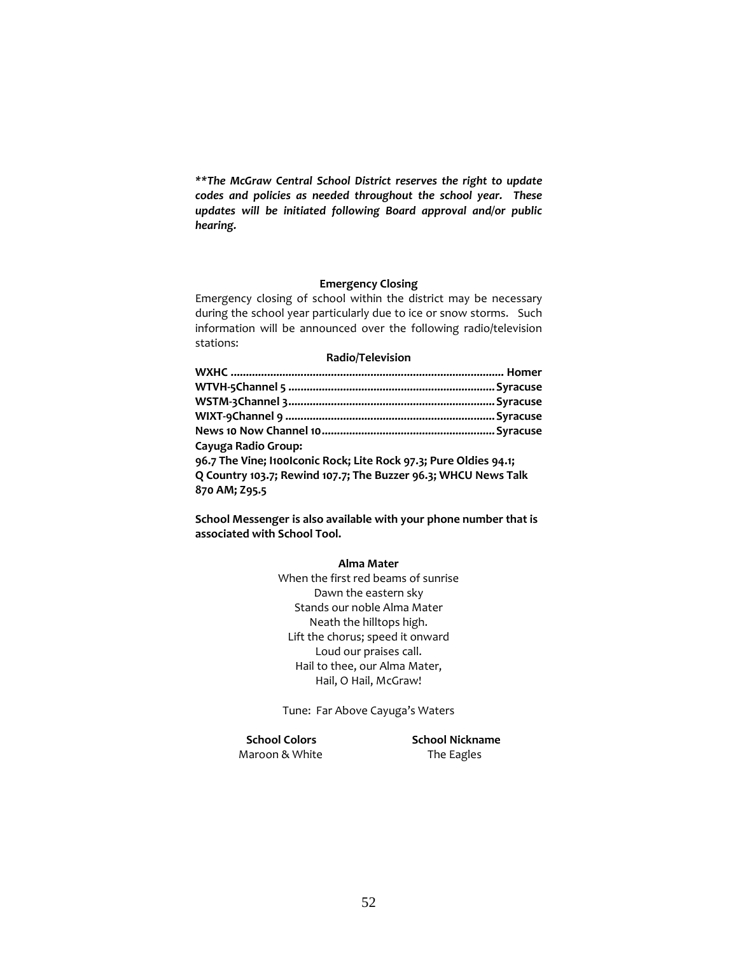*\*\*The McGraw Central School District reserves the right to update codes and policies as needed throughout the school year. These updates will be initiated following Board approval and/or public hearing.*

# **Emergency Closing**

Emergency closing of school within the district may be necessary during the school year particularly due to ice or snow storms. Such information will be announced over the following radio/television stations:

# **Radio/Television**

| Cayuga Radio Group:                                               |  |
|-------------------------------------------------------------------|--|
| 96.7 The Vine; Itoolconic Rock; Lite Rock 97.3; Pure Oldies 94.1; |  |
| Q Country 103.7; Rewind 107.7; The Buzzer 96.3; WHCU News Talk    |  |
| 870 AM; Z95.5                                                     |  |

**School Messenger is also available with your phone number that is associated with School Tool.** 

# **Alma Mater**

When the first red beams of sunrise Dawn the eastern sky Stands our noble Alma Mater Neath the hilltops high. Lift the chorus; speed it onward Loud our praises call. Hail to thee, our Alma Mater, Hail, O Hail, McGraw!

Tune: Far Above Cayuga's Waters

Maroon & White The Eagles

 **School Colors School Nickname**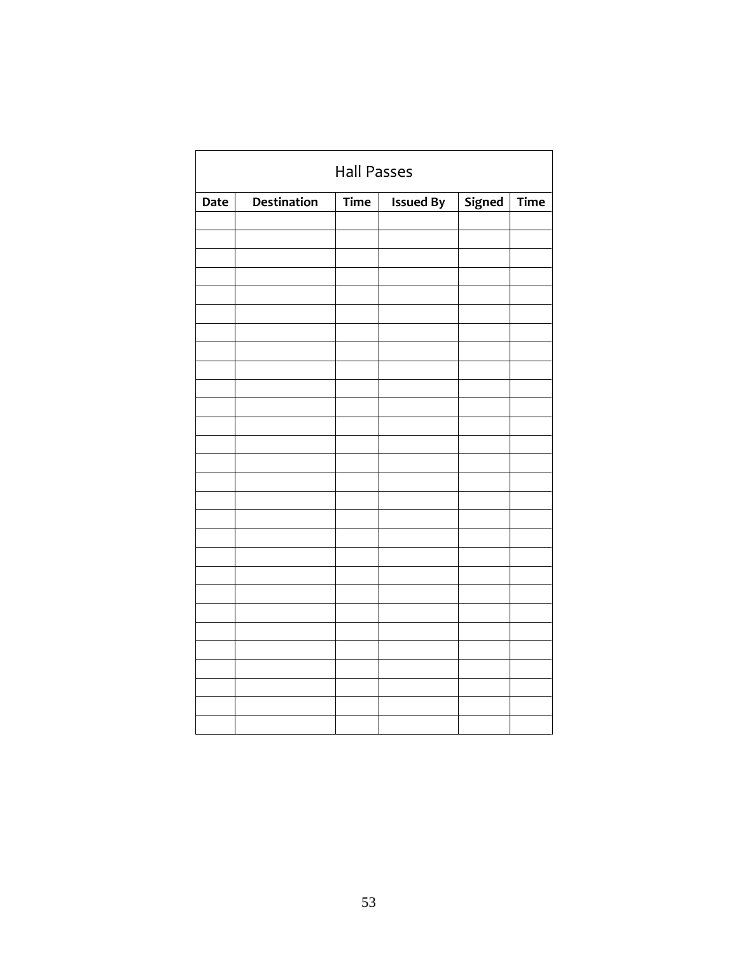| <b>Hall Passes</b> |                                                                                       |  |  |  |  |  |  |  |
|--------------------|---------------------------------------------------------------------------------------|--|--|--|--|--|--|--|
| Date               | <b>Destination</b><br><b>Issued By</b><br>Signed<br>$\overline{T}$ ime<br><b>Time</b> |  |  |  |  |  |  |  |
|                    |                                                                                       |  |  |  |  |  |  |  |
|                    |                                                                                       |  |  |  |  |  |  |  |
|                    |                                                                                       |  |  |  |  |  |  |  |
|                    |                                                                                       |  |  |  |  |  |  |  |
|                    |                                                                                       |  |  |  |  |  |  |  |
|                    |                                                                                       |  |  |  |  |  |  |  |
|                    |                                                                                       |  |  |  |  |  |  |  |
|                    |                                                                                       |  |  |  |  |  |  |  |
|                    |                                                                                       |  |  |  |  |  |  |  |
|                    |                                                                                       |  |  |  |  |  |  |  |
|                    |                                                                                       |  |  |  |  |  |  |  |
|                    |                                                                                       |  |  |  |  |  |  |  |
|                    |                                                                                       |  |  |  |  |  |  |  |
|                    |                                                                                       |  |  |  |  |  |  |  |
|                    |                                                                                       |  |  |  |  |  |  |  |
|                    |                                                                                       |  |  |  |  |  |  |  |
|                    |                                                                                       |  |  |  |  |  |  |  |
|                    |                                                                                       |  |  |  |  |  |  |  |
|                    |                                                                                       |  |  |  |  |  |  |  |
|                    |                                                                                       |  |  |  |  |  |  |  |
|                    |                                                                                       |  |  |  |  |  |  |  |
|                    |                                                                                       |  |  |  |  |  |  |  |
|                    |                                                                                       |  |  |  |  |  |  |  |
|                    |                                                                                       |  |  |  |  |  |  |  |
|                    |                                                                                       |  |  |  |  |  |  |  |
|                    |                                                                                       |  |  |  |  |  |  |  |
|                    |                                                                                       |  |  |  |  |  |  |  |
|                    |                                                                                       |  |  |  |  |  |  |  |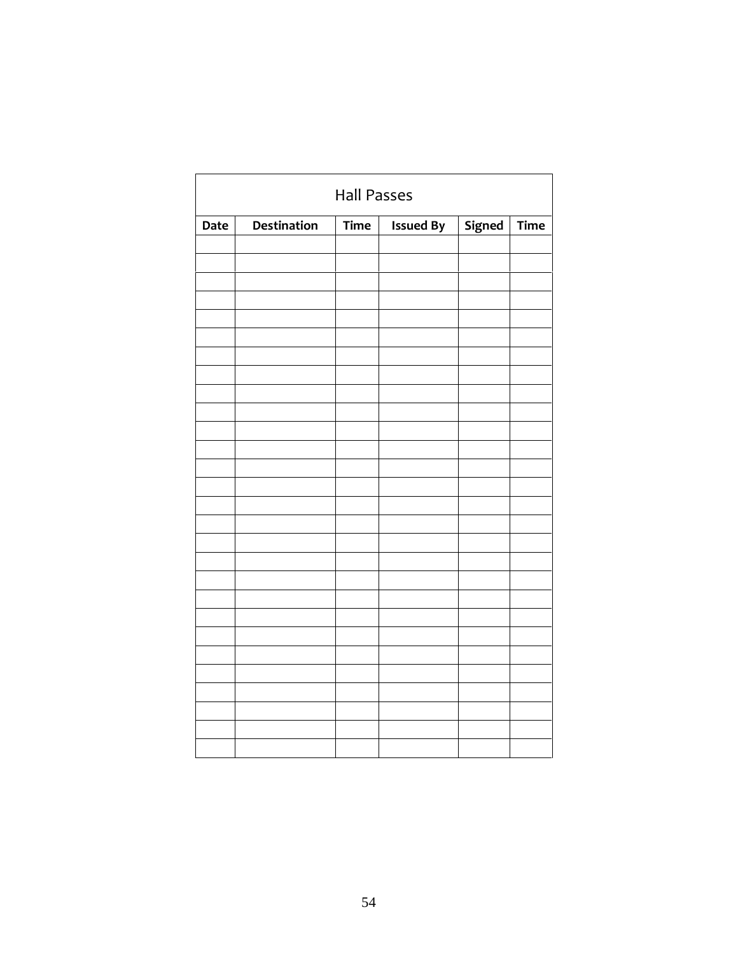|             | <b>Hall Passes</b>                                                             |  |  |  |  |  |  |  |
|-------------|--------------------------------------------------------------------------------|--|--|--|--|--|--|--|
| <b>Date</b> | Destination<br>Signed<br>$\overline{T}$ ime<br><b>Issued By</b><br><b>Time</b> |  |  |  |  |  |  |  |
|             |                                                                                |  |  |  |  |  |  |  |
|             |                                                                                |  |  |  |  |  |  |  |
|             |                                                                                |  |  |  |  |  |  |  |
|             |                                                                                |  |  |  |  |  |  |  |
|             |                                                                                |  |  |  |  |  |  |  |
|             |                                                                                |  |  |  |  |  |  |  |
|             |                                                                                |  |  |  |  |  |  |  |
|             |                                                                                |  |  |  |  |  |  |  |
|             |                                                                                |  |  |  |  |  |  |  |
|             |                                                                                |  |  |  |  |  |  |  |
|             |                                                                                |  |  |  |  |  |  |  |
|             |                                                                                |  |  |  |  |  |  |  |
|             |                                                                                |  |  |  |  |  |  |  |
|             |                                                                                |  |  |  |  |  |  |  |
|             |                                                                                |  |  |  |  |  |  |  |
|             |                                                                                |  |  |  |  |  |  |  |
|             |                                                                                |  |  |  |  |  |  |  |
|             |                                                                                |  |  |  |  |  |  |  |
|             |                                                                                |  |  |  |  |  |  |  |
|             |                                                                                |  |  |  |  |  |  |  |
|             |                                                                                |  |  |  |  |  |  |  |
|             |                                                                                |  |  |  |  |  |  |  |
|             |                                                                                |  |  |  |  |  |  |  |
|             |                                                                                |  |  |  |  |  |  |  |
|             |                                                                                |  |  |  |  |  |  |  |
|             |                                                                                |  |  |  |  |  |  |  |
|             |                                                                                |  |  |  |  |  |  |  |
|             |                                                                                |  |  |  |  |  |  |  |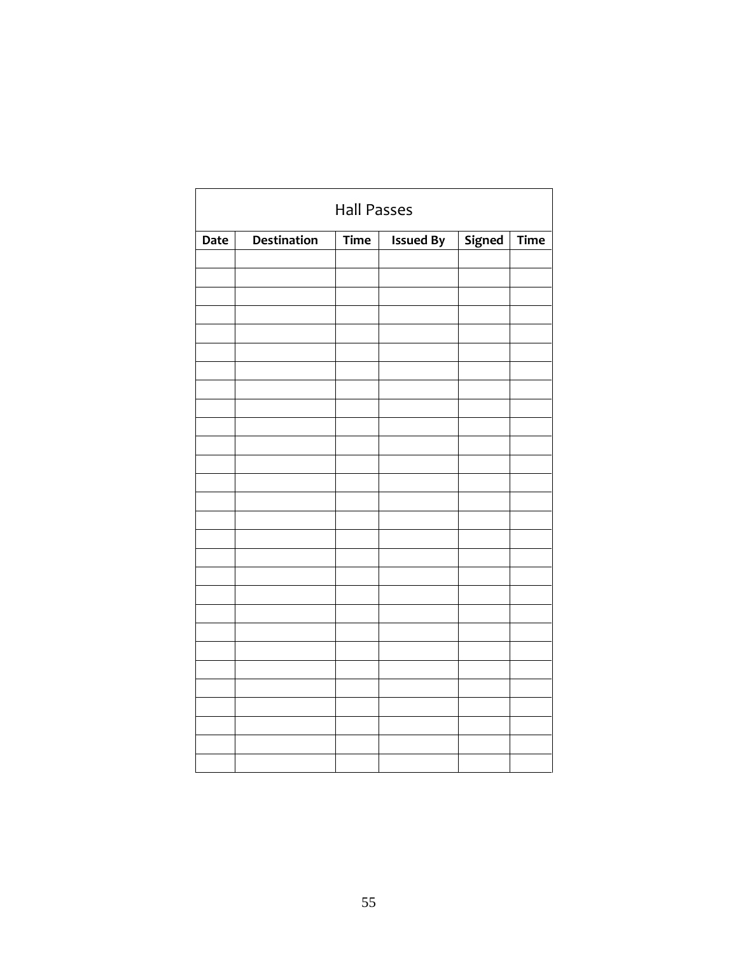| <b>Hall Passes</b> |                                                                         |  |  |  |  |  |  |  |
|--------------------|-------------------------------------------------------------------------|--|--|--|--|--|--|--|
| Date               | <b>Destination</b><br>Signed<br>Time<br><b>Issued By</b><br><b>Time</b> |  |  |  |  |  |  |  |
|                    |                                                                         |  |  |  |  |  |  |  |
|                    |                                                                         |  |  |  |  |  |  |  |
|                    |                                                                         |  |  |  |  |  |  |  |
|                    |                                                                         |  |  |  |  |  |  |  |
|                    |                                                                         |  |  |  |  |  |  |  |
|                    |                                                                         |  |  |  |  |  |  |  |
|                    |                                                                         |  |  |  |  |  |  |  |
|                    |                                                                         |  |  |  |  |  |  |  |
|                    |                                                                         |  |  |  |  |  |  |  |
|                    |                                                                         |  |  |  |  |  |  |  |
|                    |                                                                         |  |  |  |  |  |  |  |
|                    |                                                                         |  |  |  |  |  |  |  |
|                    |                                                                         |  |  |  |  |  |  |  |
|                    |                                                                         |  |  |  |  |  |  |  |
|                    |                                                                         |  |  |  |  |  |  |  |
|                    |                                                                         |  |  |  |  |  |  |  |
|                    |                                                                         |  |  |  |  |  |  |  |
|                    |                                                                         |  |  |  |  |  |  |  |
|                    |                                                                         |  |  |  |  |  |  |  |
|                    |                                                                         |  |  |  |  |  |  |  |
|                    |                                                                         |  |  |  |  |  |  |  |
|                    |                                                                         |  |  |  |  |  |  |  |
|                    |                                                                         |  |  |  |  |  |  |  |
|                    |                                                                         |  |  |  |  |  |  |  |
|                    |                                                                         |  |  |  |  |  |  |  |
|                    |                                                                         |  |  |  |  |  |  |  |
|                    |                                                                         |  |  |  |  |  |  |  |
|                    |                                                                         |  |  |  |  |  |  |  |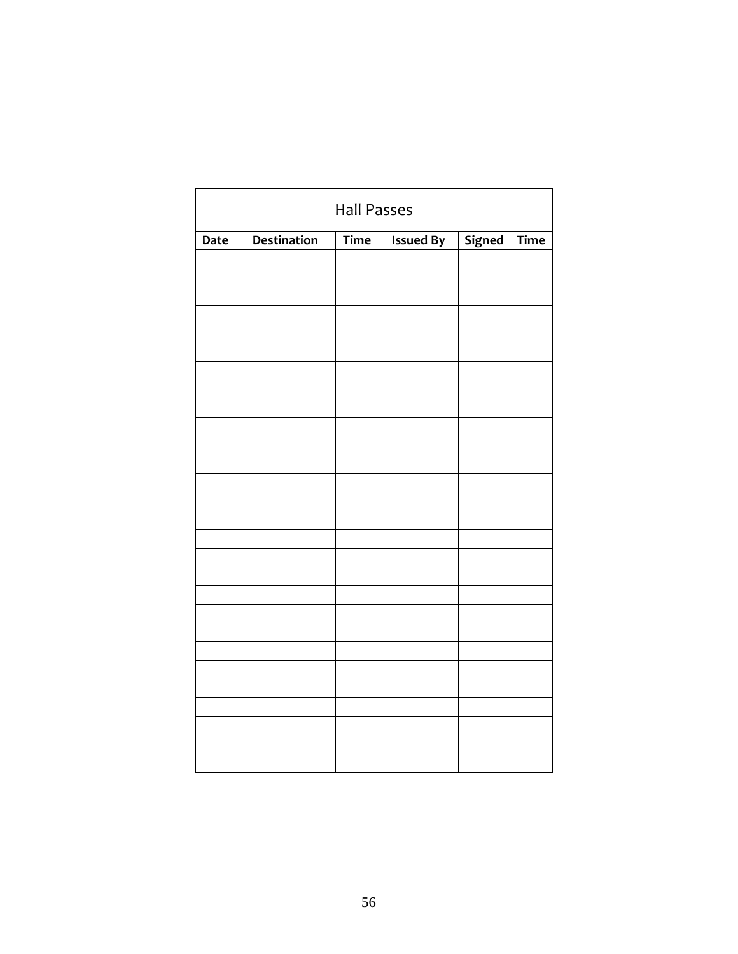| <b>Hall Passes</b> |                                                                         |  |  |  |  |  |  |  |
|--------------------|-------------------------------------------------------------------------|--|--|--|--|--|--|--|
| Date               | <b>Destination</b><br>Signed<br>Time<br><b>Issued By</b><br><b>Time</b> |  |  |  |  |  |  |  |
|                    |                                                                         |  |  |  |  |  |  |  |
|                    |                                                                         |  |  |  |  |  |  |  |
|                    |                                                                         |  |  |  |  |  |  |  |
|                    |                                                                         |  |  |  |  |  |  |  |
|                    |                                                                         |  |  |  |  |  |  |  |
|                    |                                                                         |  |  |  |  |  |  |  |
|                    |                                                                         |  |  |  |  |  |  |  |
|                    |                                                                         |  |  |  |  |  |  |  |
|                    |                                                                         |  |  |  |  |  |  |  |
|                    |                                                                         |  |  |  |  |  |  |  |
|                    |                                                                         |  |  |  |  |  |  |  |
|                    |                                                                         |  |  |  |  |  |  |  |
|                    |                                                                         |  |  |  |  |  |  |  |
|                    |                                                                         |  |  |  |  |  |  |  |
|                    |                                                                         |  |  |  |  |  |  |  |
|                    |                                                                         |  |  |  |  |  |  |  |
|                    |                                                                         |  |  |  |  |  |  |  |
|                    |                                                                         |  |  |  |  |  |  |  |
|                    |                                                                         |  |  |  |  |  |  |  |
|                    |                                                                         |  |  |  |  |  |  |  |
|                    |                                                                         |  |  |  |  |  |  |  |
|                    |                                                                         |  |  |  |  |  |  |  |
|                    |                                                                         |  |  |  |  |  |  |  |
|                    |                                                                         |  |  |  |  |  |  |  |
|                    |                                                                         |  |  |  |  |  |  |  |
|                    |                                                                         |  |  |  |  |  |  |  |
|                    |                                                                         |  |  |  |  |  |  |  |
|                    |                                                                         |  |  |  |  |  |  |  |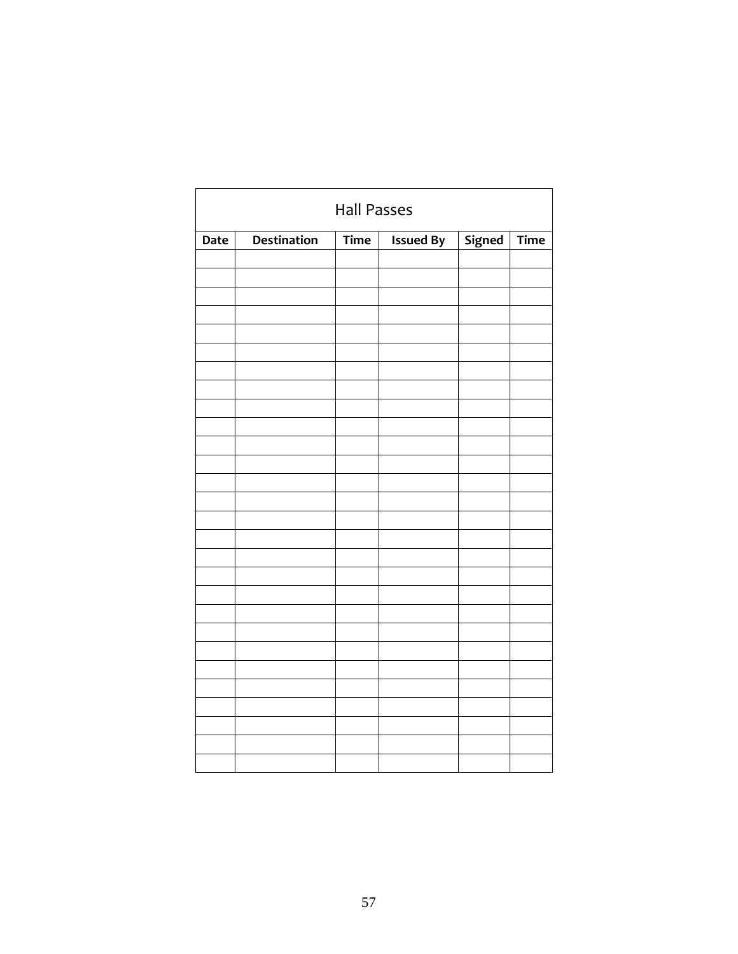| <b>Hall Passes</b> |                                                                  |  |  |  |  |  |  |  |
|--------------------|------------------------------------------------------------------|--|--|--|--|--|--|--|
| Date               | Destination<br>Signed<br>Time<br><b>Issued By</b><br><b>Time</b> |  |  |  |  |  |  |  |
|                    |                                                                  |  |  |  |  |  |  |  |
|                    |                                                                  |  |  |  |  |  |  |  |
|                    |                                                                  |  |  |  |  |  |  |  |
|                    |                                                                  |  |  |  |  |  |  |  |
|                    |                                                                  |  |  |  |  |  |  |  |
|                    |                                                                  |  |  |  |  |  |  |  |
|                    |                                                                  |  |  |  |  |  |  |  |
|                    |                                                                  |  |  |  |  |  |  |  |
|                    |                                                                  |  |  |  |  |  |  |  |
|                    |                                                                  |  |  |  |  |  |  |  |
|                    |                                                                  |  |  |  |  |  |  |  |
|                    |                                                                  |  |  |  |  |  |  |  |
|                    |                                                                  |  |  |  |  |  |  |  |
|                    |                                                                  |  |  |  |  |  |  |  |
|                    |                                                                  |  |  |  |  |  |  |  |
|                    |                                                                  |  |  |  |  |  |  |  |
|                    |                                                                  |  |  |  |  |  |  |  |
|                    |                                                                  |  |  |  |  |  |  |  |
|                    |                                                                  |  |  |  |  |  |  |  |
|                    |                                                                  |  |  |  |  |  |  |  |
|                    |                                                                  |  |  |  |  |  |  |  |
|                    |                                                                  |  |  |  |  |  |  |  |
|                    |                                                                  |  |  |  |  |  |  |  |
|                    |                                                                  |  |  |  |  |  |  |  |
|                    |                                                                  |  |  |  |  |  |  |  |
|                    |                                                                  |  |  |  |  |  |  |  |
|                    |                                                                  |  |  |  |  |  |  |  |
|                    |                                                                  |  |  |  |  |  |  |  |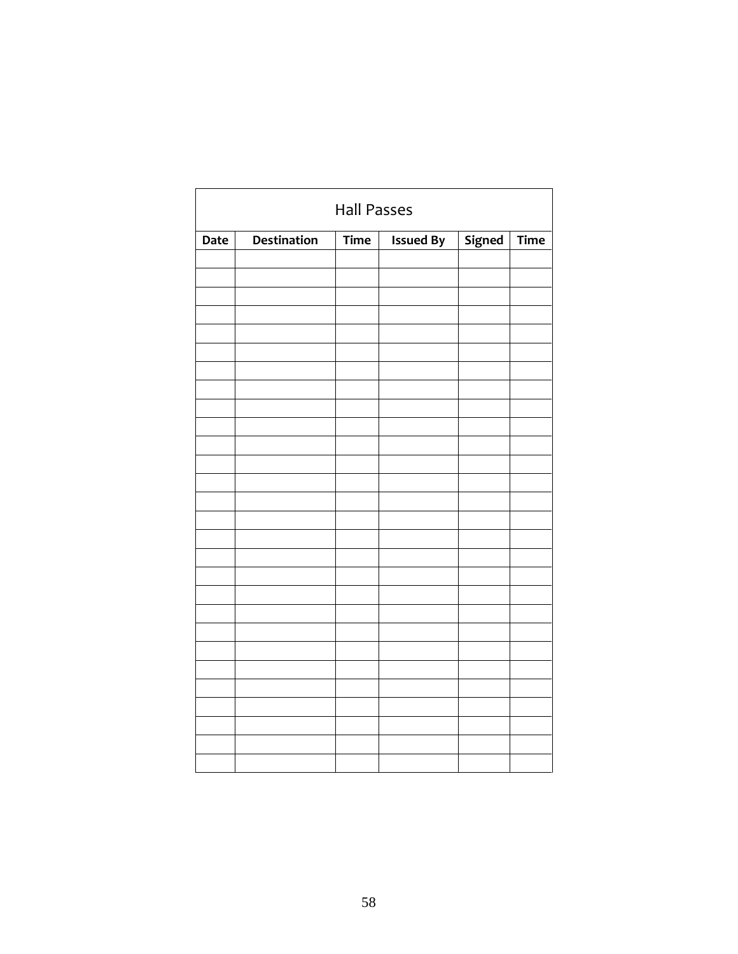| <b>Hall Passes</b> |                                                                         |  |  |  |  |  |  |  |
|--------------------|-------------------------------------------------------------------------|--|--|--|--|--|--|--|
| Date               | <b>Destination</b><br>Signed<br>Time<br><b>Issued By</b><br><b>Time</b> |  |  |  |  |  |  |  |
|                    |                                                                         |  |  |  |  |  |  |  |
|                    |                                                                         |  |  |  |  |  |  |  |
|                    |                                                                         |  |  |  |  |  |  |  |
|                    |                                                                         |  |  |  |  |  |  |  |
|                    |                                                                         |  |  |  |  |  |  |  |
|                    |                                                                         |  |  |  |  |  |  |  |
|                    |                                                                         |  |  |  |  |  |  |  |
|                    |                                                                         |  |  |  |  |  |  |  |
|                    |                                                                         |  |  |  |  |  |  |  |
|                    |                                                                         |  |  |  |  |  |  |  |
|                    |                                                                         |  |  |  |  |  |  |  |
|                    |                                                                         |  |  |  |  |  |  |  |
|                    |                                                                         |  |  |  |  |  |  |  |
|                    |                                                                         |  |  |  |  |  |  |  |
|                    |                                                                         |  |  |  |  |  |  |  |
|                    |                                                                         |  |  |  |  |  |  |  |
|                    |                                                                         |  |  |  |  |  |  |  |
|                    |                                                                         |  |  |  |  |  |  |  |
|                    |                                                                         |  |  |  |  |  |  |  |
|                    |                                                                         |  |  |  |  |  |  |  |
|                    |                                                                         |  |  |  |  |  |  |  |
|                    |                                                                         |  |  |  |  |  |  |  |
|                    |                                                                         |  |  |  |  |  |  |  |
|                    |                                                                         |  |  |  |  |  |  |  |
|                    |                                                                         |  |  |  |  |  |  |  |
|                    |                                                                         |  |  |  |  |  |  |  |
|                    |                                                                         |  |  |  |  |  |  |  |
|                    |                                                                         |  |  |  |  |  |  |  |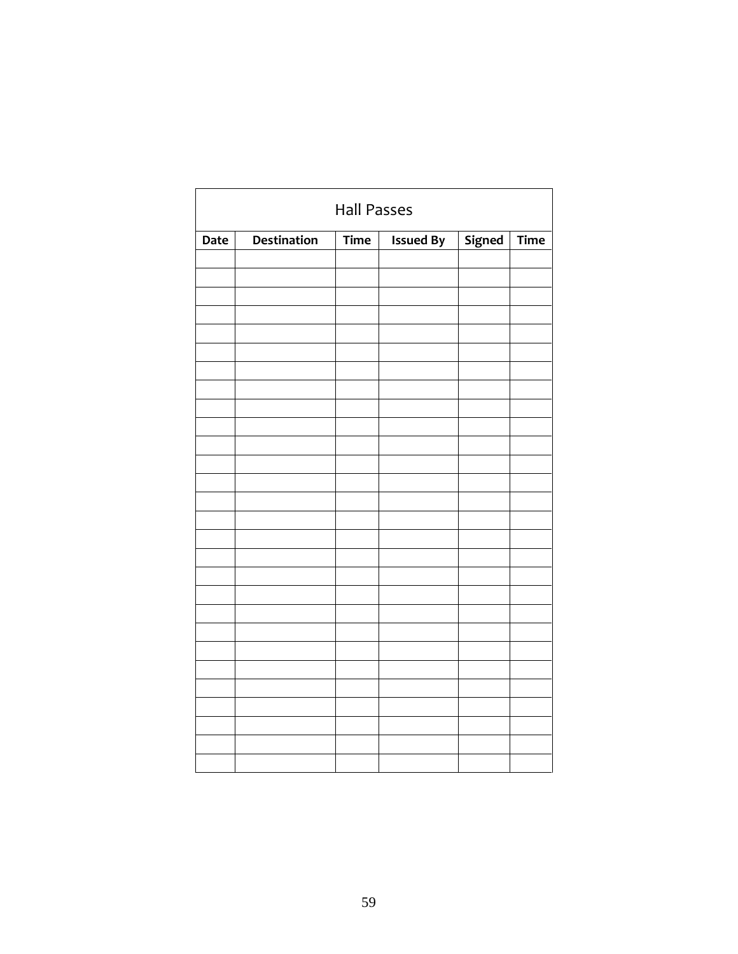| <b>Hall Passes</b> |                                                                         |  |  |  |  |  |  |  |
|--------------------|-------------------------------------------------------------------------|--|--|--|--|--|--|--|
| Date               | <b>Destination</b><br>Signed<br>Time<br><b>Issued By</b><br><b>Time</b> |  |  |  |  |  |  |  |
|                    |                                                                         |  |  |  |  |  |  |  |
|                    |                                                                         |  |  |  |  |  |  |  |
|                    |                                                                         |  |  |  |  |  |  |  |
|                    |                                                                         |  |  |  |  |  |  |  |
|                    |                                                                         |  |  |  |  |  |  |  |
|                    |                                                                         |  |  |  |  |  |  |  |
|                    |                                                                         |  |  |  |  |  |  |  |
|                    |                                                                         |  |  |  |  |  |  |  |
|                    |                                                                         |  |  |  |  |  |  |  |
|                    |                                                                         |  |  |  |  |  |  |  |
|                    |                                                                         |  |  |  |  |  |  |  |
|                    |                                                                         |  |  |  |  |  |  |  |
|                    |                                                                         |  |  |  |  |  |  |  |
|                    |                                                                         |  |  |  |  |  |  |  |
|                    |                                                                         |  |  |  |  |  |  |  |
|                    |                                                                         |  |  |  |  |  |  |  |
|                    |                                                                         |  |  |  |  |  |  |  |
|                    |                                                                         |  |  |  |  |  |  |  |
|                    |                                                                         |  |  |  |  |  |  |  |
|                    |                                                                         |  |  |  |  |  |  |  |
|                    |                                                                         |  |  |  |  |  |  |  |
|                    |                                                                         |  |  |  |  |  |  |  |
|                    |                                                                         |  |  |  |  |  |  |  |
|                    |                                                                         |  |  |  |  |  |  |  |
|                    |                                                                         |  |  |  |  |  |  |  |
|                    |                                                                         |  |  |  |  |  |  |  |
|                    |                                                                         |  |  |  |  |  |  |  |
|                    |                                                                         |  |  |  |  |  |  |  |